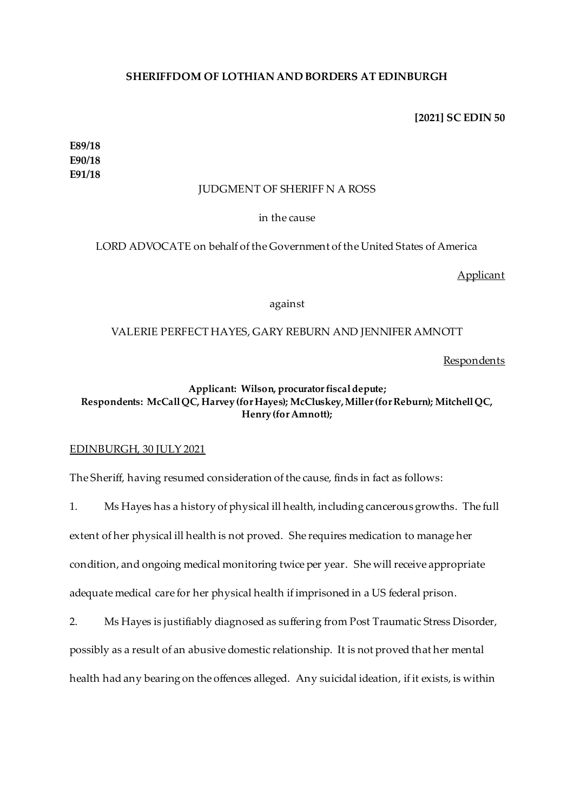# **SHERIFFDOM OF LOTHIAN AND BORDERS AT EDINBURGH**

## **[2021] SC EDIN 50**

**E89/18 E90/18 E91/18**

# JUDGMENT OF SHERIFF N A ROSS

## in the cause

LORD ADVOCATE on behalf of the Government of the United States of America

**Applicant** 

against

## VALERIE PERFECT HAYES, GARY REBURN AND JENNIFER AMNOTT

**Respondents** 

## **Applicant: Wilson, procurator fiscal depute; Respondents: McCall QC, Harvey (for Hayes); McCluskey, Miller (for Reburn); Mitchell QC, Henry (for Amnott);**

## EDINBURGH, 30 JULY 2021

The Sheriff, having resumed consideration of the cause, finds in fact as follows:

1. Ms Hayes has a history of physical ill health, including cancerous growths. The full

extent of her physical ill health is not proved. She requires medication to manage her

condition, and ongoing medical monitoring twice per year. She will receive appropriate

adequate medical care for her physical health if imprisoned in a US federal prison.

2. Ms Hayes is justifiably diagnosed as suffering from Post Traumatic Stress Disorder,

possibly as a result of an abusive domestic relationship. It is not proved that her mental

health had any bearing on the offences alleged. Any suicidal ideation, if it exists, is within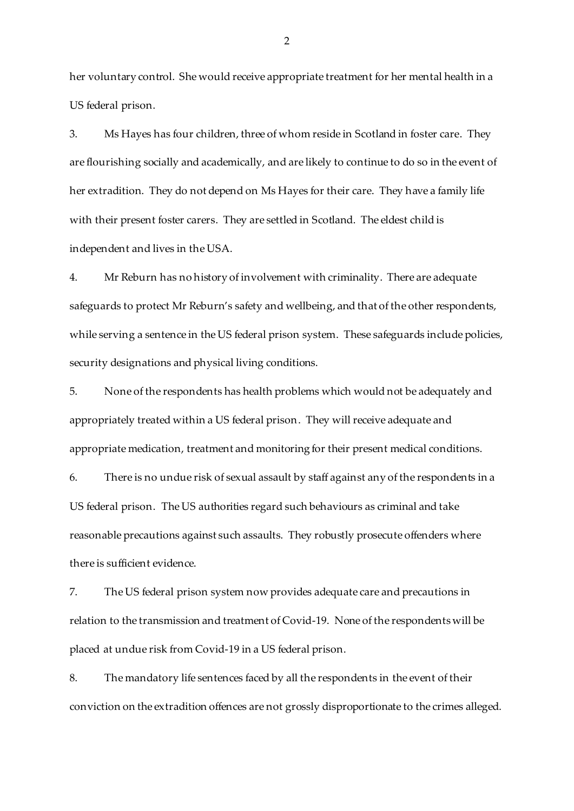her voluntary control. She would receive appropriate treatment for her mental health in a US federal prison.

3. Ms Hayes has four children, three of whom reside in Scotland in foster care. They are flourishing socially and academically, and are likely to continue to do so in the event of her extradition. They do not depend on Ms Hayes for their care. They have a family life with their present foster carers. They are settled in Scotland. The eldest child is independent and lives in the USA.

4. Mr Reburn has no history of involvement with criminality. There are adequate safeguards to protect Mr Reburn's safety and wellbeing, and that of the other respondents, while serving a sentence in the US federal prison system. These safeguards include policies, security designations and physical living conditions.

5. None of the respondents has health problems which would not be adequately and appropriately treated within a US federal prison. They will receive adequate and appropriate medication, treatment and monitoring for their present medical conditions.

6. There is no undue risk of sexual assault by staff against any of the respondents in a US federal prison. The US authorities regard such behaviours as criminal and take reasonable precautions against such assaults. They robustly prosecute offenders where there is sufficient evidence.

7. The US federal prison system now provides adequate care and precautions in relation to the transmission and treatment of Covid-19. None of the respondents will be placed at undue risk from Covid-19 in a US federal prison.

8. The mandatory life sentences faced by all the respondents in the event of their conviction on the extradition offences are not grossly disproportionate to the crimes alleged.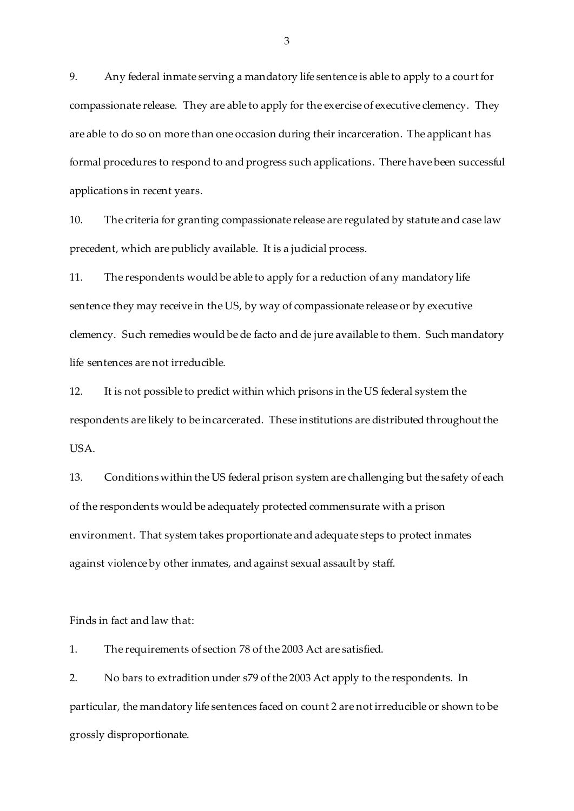9. Any federal inmate serving a mandatory life sentence is able to apply to a court for compassionate release. They are able to apply for the exercise of executive clemency. They are able to do so on more than one occasion during their incarceration. The applicant has formal procedures to respond to and progress such applications. There have been successful applications in recent years.

10. The criteria for granting compassionate release are regulated by statute and case law precedent, which are publicly available. It is a judicial process.

11. The respondents would be able to apply for a reduction of any mandatory life sentence they may receive in the US, by way of compassionate release or by executive clemency. Such remedies would be de facto and de jure available to them. Such mandatory life sentences are not irreducible.

12. It is not possible to predict within which prisons in the US federal system the respondents are likely to be incarcerated. These institutions are distributed throughout the USA.

13. Conditions within the US federal prison system are challenging but the safety of each of the respondents would be adequately protected commensurate with a prison environment. That system takes proportionate and adequate steps to protect inmates against violence by other inmates, and against sexual assault by staff.

Finds in fact and law that:

1. The requirements of section 78 of the 2003 Act are satisfied.

2. No bars to extradition under s79 of the 2003 Act apply to the respondents. In particular, the mandatory life sentences faced on count 2 are not irreducible or shown to be grossly disproportionate.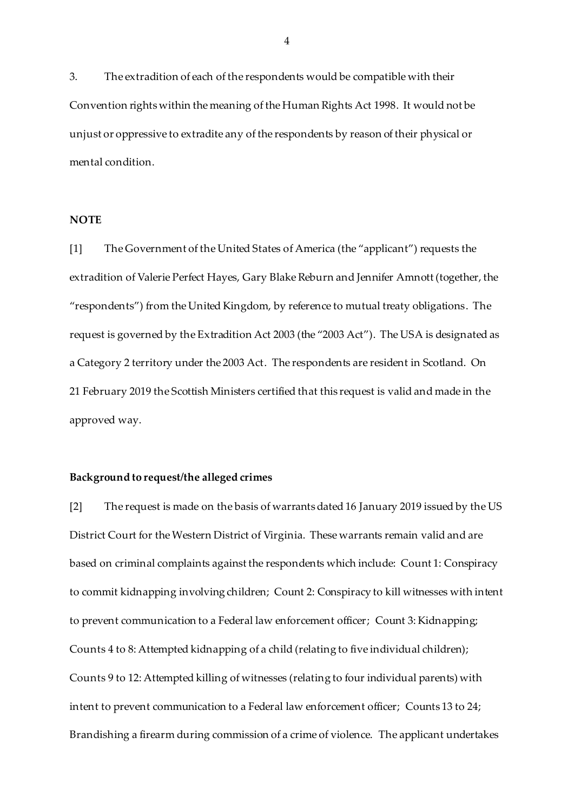3. The extradition of each of the respondents would be compatible with their Convention rights within the meaning of the Human Rights Act 1998. It would not be unjust or oppressive to extradite any of the respondents by reason of their physical or mental condition.

## **NOTE**

[1] The Government of the United States of America (the "applicant") requests the extradition of Valerie Perfect Hayes, Gary Blake Reburn and Jennifer Amnott (together, the "respondents") from the United Kingdom, by reference to mutual treaty obligations. The request is governed by the Extradition Act 2003 (the "2003 Act"). The USA is designated as a Category 2 territory under the 2003 Act. The respondents are resident in Scotland. On 21 February 2019 the Scottish Ministers certified that this request is valid and made in the approved way.

### **Background to request/the alleged crimes**

[2] The request is made on the basis of warrants dated 16 January 2019 issued by the US District Court for the Western District of Virginia. These warrants remain valid and are based on criminal complaints against the respondents which include: Count 1: Conspiracy to commit kidnapping involving children; Count 2: Conspiracy to kill witnesses with intent to prevent communication to a Federal law enforcement officer; Count 3: Kidnapping; Counts 4 to 8: Attempted kidnapping of a child (relating to five individual children); Counts 9 to 12: Attempted killing of witnesses (relating to four individual parents) with intent to prevent communication to a Federal law enforcement officer; Counts 13 to 24; Brandishing a firearm during commission of a crime of violence. The applicant undertakes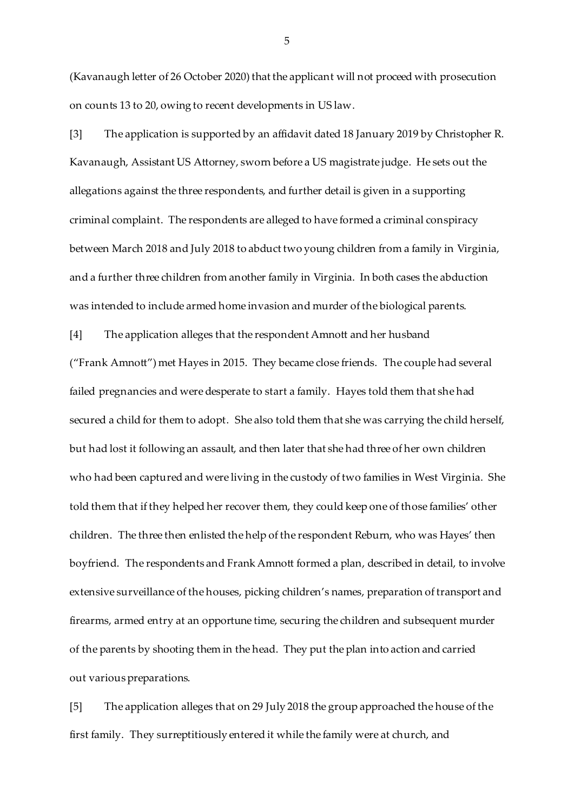(Kavanaugh letter of 26 October 2020) that the applicant will not proceed with prosecution on counts 13 to 20, owing to recent developments in US law.

[3] The application is supported by an affidavit dated 18 January 2019 by Christopher R. Kavanaugh, Assistant US Attorney, sworn before a US magistrate judge. He sets out the allegations against the three respondents, and further detail is given in a supporting criminal complaint. The respondents are alleged to have formed a criminal conspiracy between March 2018 and July 2018 to abduct two young children from a family in Virginia, and a further three children from another family in Virginia. In both cases the abduction was intended to include armed home invasion and murder of the biological parents.

[4] The application alleges that the respondent Amnott and her husband ("Frank Amnott") met Hayes in 2015. They became close friends. The couple had several failed pregnancies and were desperate to start a family. Hayes told them that she had secured a child for them to adopt. She also told them that she was carrying the child herself, but had lost it following an assault, and then later that she had three of her own children who had been captured and were living in the custody of two families in West Virginia. She told them that if they helped her recover them, they could keep one of those families' other children. The three then enlisted the help of the respondent Reburn, who was Hayes' then boyfriend. The respondents and Frank Amnott formed a plan, described in detail, to involve extensive surveillance of the houses, picking children's names, preparation of transport and firearms, armed entry at an opportune time, securing the children and subsequent murder of the parents by shooting them in the head. They put the plan into action and carried out various preparations.

[5] The application alleges that on 29 July 2018 the group approached the house of the first family. They surreptitiously entered it while the family were at church, and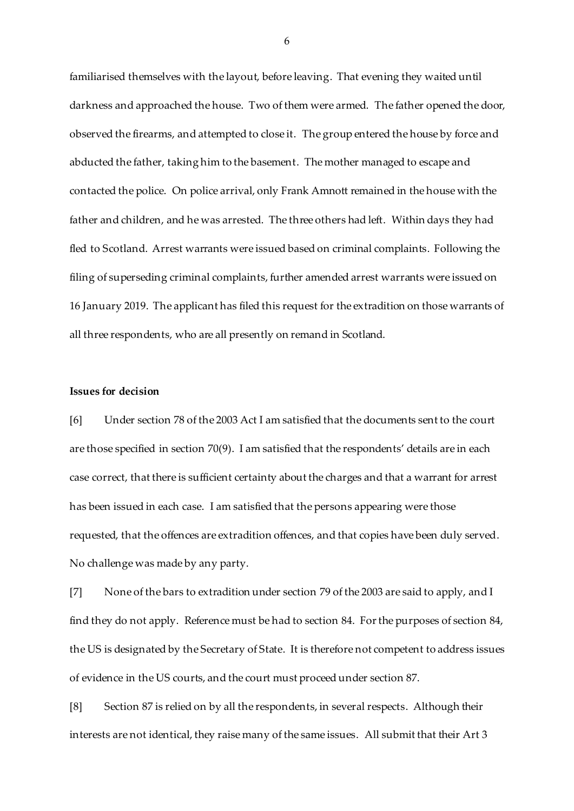familiarised themselves with the layout, before leaving. That evening they waited until darkness and approached the house. Two of them were armed. The father opened the door, observed the firearms, and attempted to close it. The group entered the house by force and abducted the father, taking him to the basement. The mother managed to escape and contacted the police. On police arrival, only Frank Amnott remained in the house with the father and children, and he was arrested. The three others had left. Within days they had fled to Scotland. Arrest warrants were issued based on criminal complaints. Following the filing of superseding criminal complaints, further amended arrest warrants were issued on 16 January 2019. The applicant has filed this request for the extradition on those warrants of all three respondents, who are all presently on remand in Scotland.

### **Issues for decision**

[6] Under section 78 of the 2003 Act I am satisfied that the documents sent to the court are those specified in section 70(9). I am satisfied that the respondents' details are in each case correct, that there is sufficient certainty about the charges and that a warrant for arrest has been issued in each case. I am satisfied that the persons appearing were those requested, that the offences are extradition offences, and that copies have been duly served. No challenge was made by any party.

[7] None of the bars to extradition under section 79 of the 2003 are said to apply, and I find they do not apply. Reference must be had to section 84. For the purposes of section 84, the US is designated by the Secretary of State. It is therefore not competent to address issues of evidence in the US courts, and the court must proceed under section 87.

[8] Section 87 is relied on by all the respondents, in several respects. Although their interests are not identical, they raise many of the same issues. All submit that their Art 3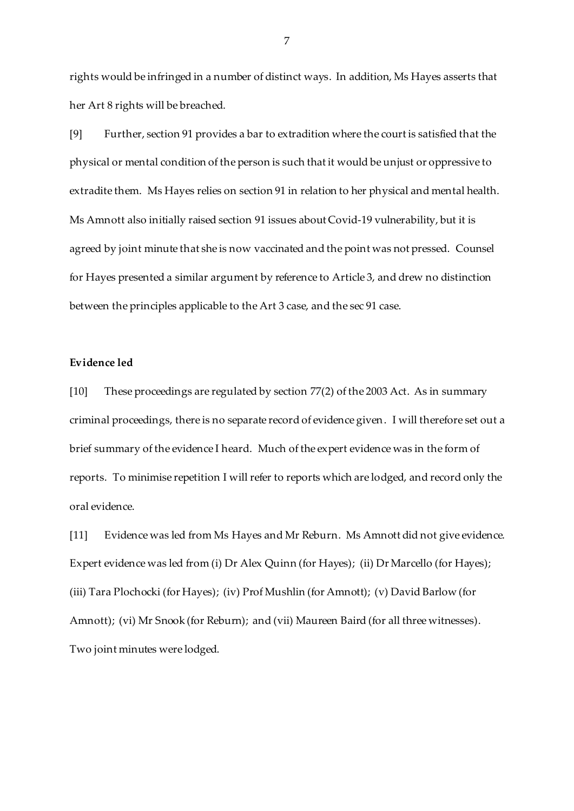rights would be infringed in a number of distinct ways. In addition, Ms Hayes asserts that her Art 8 rights will be breached.

[9] Further, section 91 provides a bar to extradition where the court is satisfied that the physical or mental condition of the person is such that it would be unjust or oppressive to extradite them. Ms Hayes relies on section 91 in relation to her physical and mental health. Ms Amnott also initially raised section 91 issues about Covid-19 vulnerability, but it is agreed by joint minute that she is now vaccinated and the point was not pressed. Counsel for Hayes presented a similar argument by reference to Article 3, and drew no distinction between the principles applicable to the Art 3 case, and the sec 91 case.

### **Evidence led**

[10] These proceedings are regulated by section 77(2) of the 2003 Act. As in summary criminal proceedings, there is no separate record of evidence given. I will therefore set out a brief summary of the evidence I heard. Much of the expert evidence was in the form of reports. To minimise repetition I will refer to reports which are lodged, and record only the oral evidence.

[11] Evidence was led from Ms Hayes and Mr Reburn. Ms Amnott did not give evidence. Expert evidence was led from (i) Dr Alex Quinn (for Hayes); (ii) Dr Marcello (for Hayes); (iii) Tara Plochocki (for Hayes); (iv) Prof Mushlin (for Amnott); (v) David Barlow (for Amnott); (vi) Mr Snook (for Reburn); and (vii) Maureen Baird (for all three witnesses). Two joint minutes were lodged.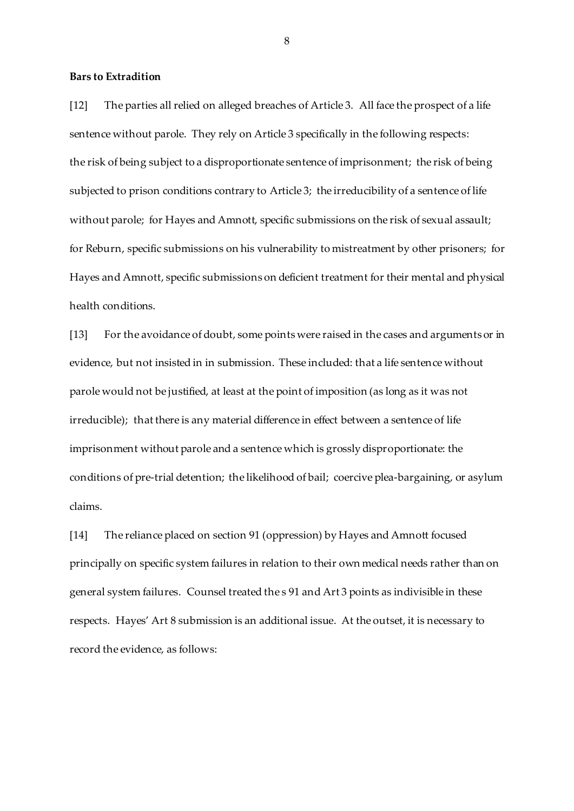### **Bars to Extradition**

[12] The parties all relied on alleged breaches of Article 3. All face the prospect of a life sentence without parole. They rely on Article 3 specifically in the following respects: the risk of being subject to a disproportionate sentence of imprisonment; the risk of being subjected to prison conditions contrary to Article 3; the irreducibility of a sentence of life without parole; for Hayes and Amnott, specific submissions on the risk of sexual assault; for Reburn, specific submissions on his vulnerability to mistreatment by other prisoners; for Hayes and Amnott, specific submissions on deficient treatment for their mental and physical health conditions.

[13] For the avoidance of doubt, some points were raised in the cases and arguments or in evidence, but not insisted in in submission. These included: that a life sentence without parole would not be justified, at least at the point of imposition (as long as it was not irreducible); that there is any material difference in effect between a sentence of life imprisonment without parole and a sentence which is grossly disproportionate: the conditions of pre-trial detention; the likelihood of bail; coercive plea-bargaining, or asylum claims.

[14] The reliance placed on section 91 (oppression) by Hayes and Amnott focused principally on specific system failures in relation to their own medical needs rather than on general system failures. Counsel treated the s 91 and Art 3 points as indivisible in these respects. Hayes' Art 8 submission is an additional issue. At the outset, it is necessary to record the evidence, as follows: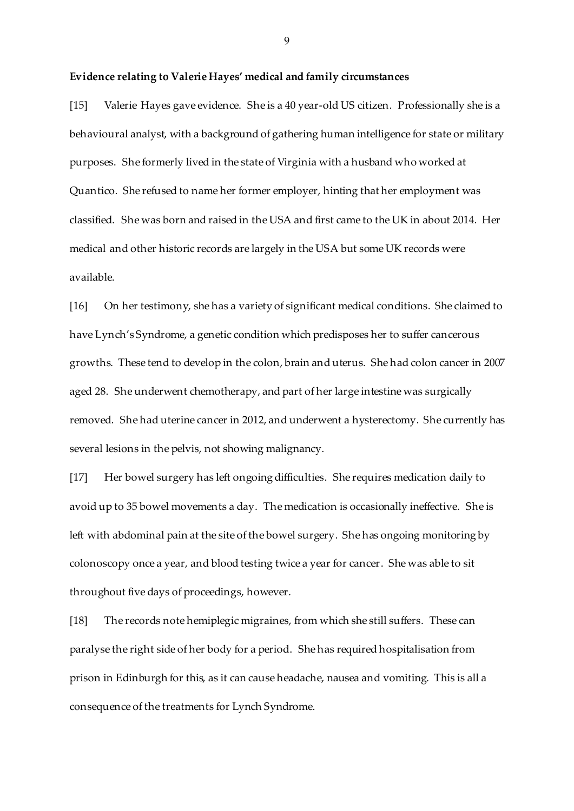# **Evidence relating to Valerie Hayes' medical and family circumstances**

[15] Valerie Hayes gave evidence. She is a 40 year-old US citizen. Professionally she is a behavioural analyst, with a background of gathering human intelligence for state or military purposes. She formerly lived in the state of Virginia with a husband who worked at Quantico. She refused to name her former employer, hinting that her employment was classified. She was born and raised in the USA and first came to the UK in about 2014. Her medical and other historic records are largely in the USA but some UK records were available.

[16] On her testimony, she has a variety of significant medical conditions. She claimed to have Lynch's Syndrome, a genetic condition which predisposes her to suffer cancerous growths. These tend to develop in the colon, brain and uterus. She had colon cancer in 2007 aged 28. She underwent chemotherapy, and part of her large intestine was surgically removed. She had uterine cancer in 2012, and underwent a hysterectomy. She currently has several lesions in the pelvis, not showing malignancy.

[17] Her bowel surgery has left ongoing difficulties. She requires medication daily to avoid up to 35 bowel movements a day. The medication is occasionally ineffective. She is left with abdominal pain at the site of the bowel surgery. She has ongoing monitoring by colonoscopy once a year, and blood testing twice a year for cancer. She was able to sit throughout five days of proceedings, however.

[18] The records note hemiplegic migraines, from which she still suffers. These can paralyse the right side of her body for a period. She has required hospitalisation from prison in Edinburgh for this, as it can cause headache, nausea and vomiting. This is all a consequence of the treatments for Lynch Syndrome.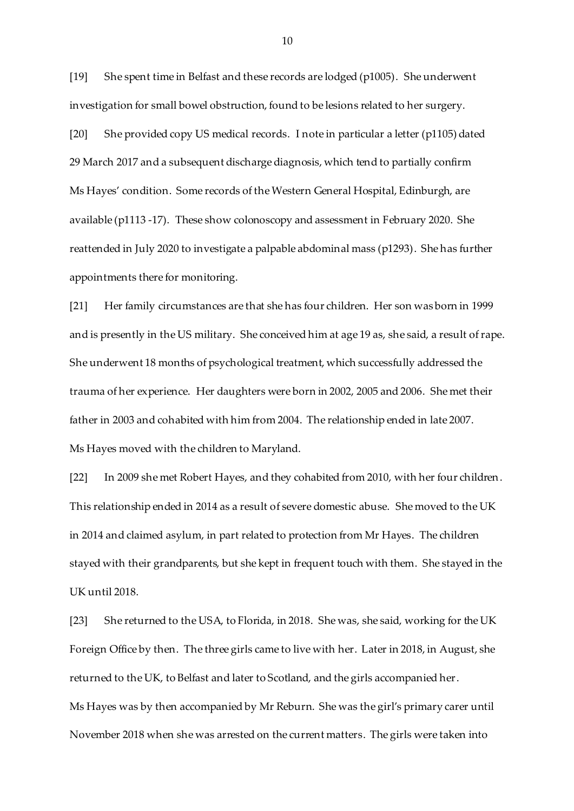[19] She spent time in Belfast and these records are lodged (p1005). She underwent investigation for small bowel obstruction, found to be lesions related to her surgery. [20] She provided copy US medical records. I note in particular a letter (p1105) dated 29 March 2017 and a subsequent discharge diagnosis, which tend to partially confirm Ms Hayes' condition. Some records of the Western General Hospital, Edinburgh, are available (p1113 -17). These show colonoscopy and assessment in February 2020. She reattended in July 2020 to investigate a palpable abdominal mass (p1293). She has further appointments there for monitoring.

[21] Her family circumstances are that she has four children. Her son was born in 1999 and is presently in the US military. She conceived him at age 19 as, she said, a result of rape. She underwent 18 months of psychological treatment, which successfully addressed the trauma of her experience. Her daughters were born in 2002, 2005 and 2006. She met their father in 2003 and cohabited with him from 2004. The relationship ended in late 2007. Ms Hayes moved with the children to Maryland.

[22] In 2009 she met Robert Hayes, and they cohabited from 2010, with her four children. This relationship ended in 2014 as a result of severe domestic abuse. She moved to the UK in 2014 and claimed asylum, in part related to protection from Mr Hayes. The children stayed with their grandparents, but she kept in frequent touch with them. She stayed in the UK until 2018.

[23] She returned to the USA, to Florida, in 2018. She was, she said, working for the UK Foreign Office by then. The three girls came to live with her. Later in 2018, in August, she returned to the UK, to Belfast and later to Scotland, and the girls accompanied her. Ms Hayes was by then accompanied by Mr Reburn. She was the girl's primary carer until November 2018 when she was arrested on the current matters. The girls were taken into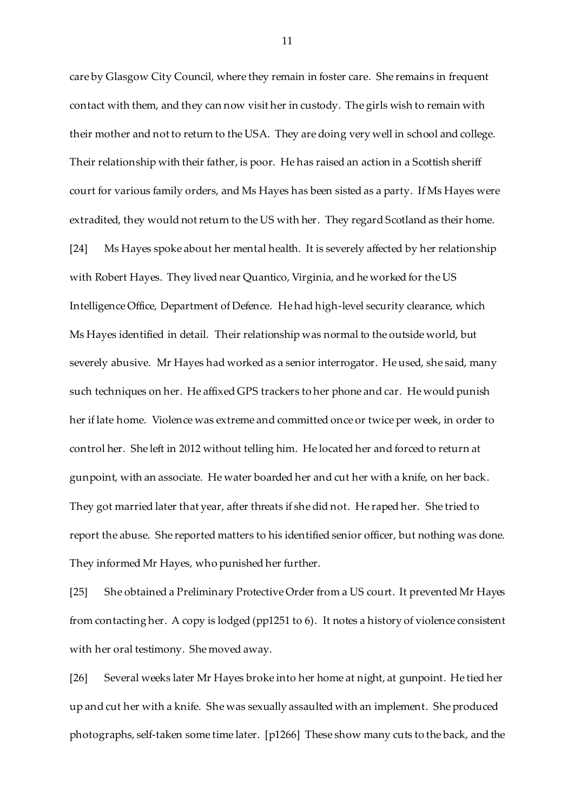care by Glasgow City Council, where they remain in foster care. She remains in frequent contact with them, and they can now visit her in custody. The girls wish to remain with their mother and not to return to the USA. They are doing very well in school and college. Their relationship with their father, is poor. He has raised an action in a Scottish sheriff court for various family orders, and Ms Hayes has been sisted as a party. If Ms Hayes were extradited, they would not return to the US with her. They regard Scotland as their home. [24] Ms Hayes spoke about her mental health. It is severely affected by her relationship with Robert Hayes. They lived near Quantico, Virginia, and he worked for the US Intelligence Office, Department of Defence. He had high-level security clearance, which Ms Hayes identified in detail. Their relationship was normal to the outside world, but severely abusive. Mr Hayes had worked as a senior interrogator. He used, she said, many such techniques on her. He affixed GPS trackers to her phone and car. He would punish her if late home. Violence was extreme and committed once or twice per week, in order to control her. She left in 2012 without telling him. He located her and forced to return at gunpoint, with an associate. He water boarded her and cut her with a knife, on her back. They got married later that year, after threats if she did not. He raped her. She tried to report the abuse. She reported matters to his identified senior officer, but nothing was done. They informed Mr Hayes, who punished her further.

[25] She obtained a Preliminary Protective Order from a US court. It prevented Mr Hayes from contacting her. A copy is lodged (pp1251 to 6). It notes a history of violence consistent with her oral testimony. She moved away.

[26] Several weeks later Mr Hayes broke into her home at night, at gunpoint. He tied her up and cut her with a knife. She was sexually assaulted with an implement. She produced photographs, self-taken some time later. [p1266] These show many cuts to the back, and the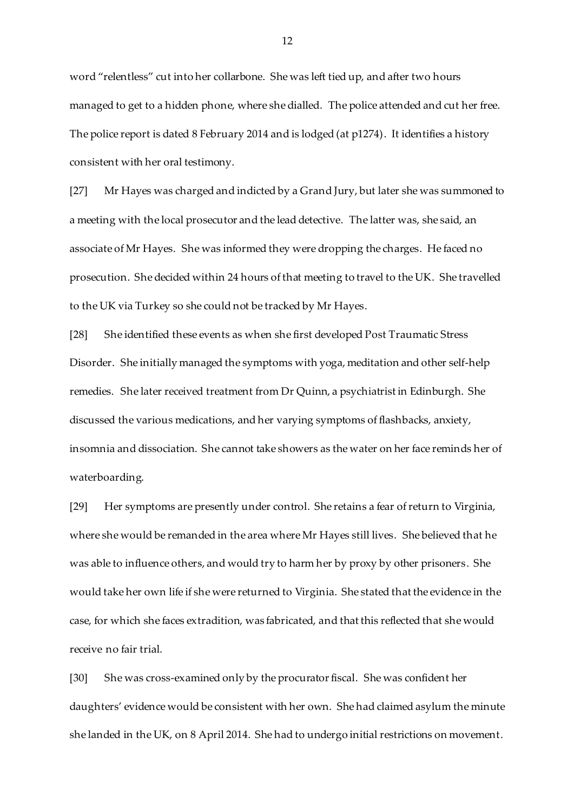word "relentless" cut into her collarbone. She was left tied up, and after two hours managed to get to a hidden phone, where she dialled. The police attended and cut her free. The police report is dated 8 February 2014 and is lodged (at p1274). It identifies a history consistent with her oral testimony.

[27] Mr Hayes was charged and indicted by a Grand Jury, but later she was summoned to a meeting with the local prosecutor and the lead detective. The latter was, she said, an associate of Mr Hayes. She was informed they were dropping the charges. He faced no prosecution. She decided within 24 hours of that meeting to travel to the UK. She travelled to the UK via Turkey so she could not be tracked by Mr Hayes.

[28] She identified these events as when she first developed Post Traumatic Stress Disorder. She initially managed the symptoms with yoga, meditation and other self-help remedies. She later received treatment from Dr Quinn, a psychiatrist in Edinburgh. She discussed the various medications, and her varying symptoms of flashbacks, anxiety, insomnia and dissociation. She cannot take showers as the water on her face reminds her of waterboarding.

[29] Her symptoms are presently under control. She retains a fear of return to Virginia, where she would be remanded in the area where Mr Hayes still lives. She believed that he was able to influence others, and would try to harm her by proxy by other prisoners. She would take her own life if she were returned to Virginia. She stated that the evidence in the case, for which she faces extradition, was fabricated, and that this reflected that she would receive no fair trial.

[30] She was cross-examined only by the procurator fiscal. She was confident her daughters' evidence would be consistent with her own. She had claimed asylum the minute she landed in the UK, on 8 April 2014. She had to undergo initial restrictions on movement.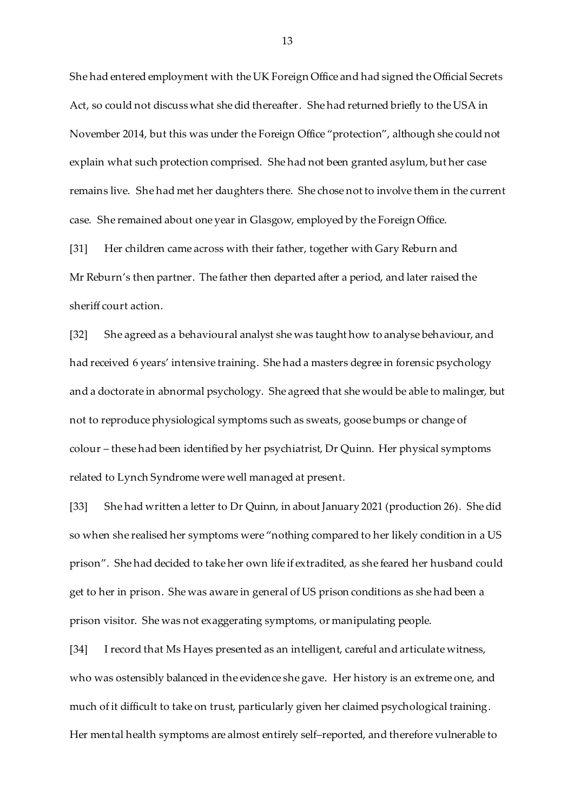She had entered employment with the UK Foreign Office and had signed the Official Secrets Act, so could not discuss what she did thereafter. She had returned briefly to the USA in November 2014, but this was under the Foreign Office "protection", although she could not explain what such protection comprised. She had not been granted asylum, but her case remains live. She had met her daughters there. She chose not to involve them in the current case. She remained about one year in Glasgow, employed by the Foreign Office.

[31] Her children came across with their father, together with Gary Reburn and Mr Reburn's then partner. The father then departed after a period, and later raised the sheriff court action.

[32] She agreed as a behavioural analyst she was taught how to analyse behaviour, and had received 6 years' intensive training. She had a masters degree in forensic psychology and a doctorate in abnormal psychology. She agreed that she would be able to malinger, but not to reproduce physiological symptoms such as sweats, goose bumps or change of colour – these had been identified by her psychiatrist, Dr Quinn. Her physical symptoms related to Lynch Syndrome were well managed at present.

[33] She had written a letter to Dr Quinn, in about January 2021 (production 26). She did so when she realised her symptoms were "nothing compared to her likely condition in a US prison". She had decided to take her own life if extradited, as she feared her husband could get to her in prison. She was aware in general of US prison conditions as she had been a prison visitor. She was not exaggerating symptoms, or manipulating people.

[34] I record that Ms Hayes presented as an intelligent, careful and articulate witness, who was ostensibly balanced in the evidence she gave. Her history is an extreme one, and much of it difficult to take on trust, particularly given her claimed psychological training. Her mental health symptoms are almost entirely self–reported, and therefore vulnerable to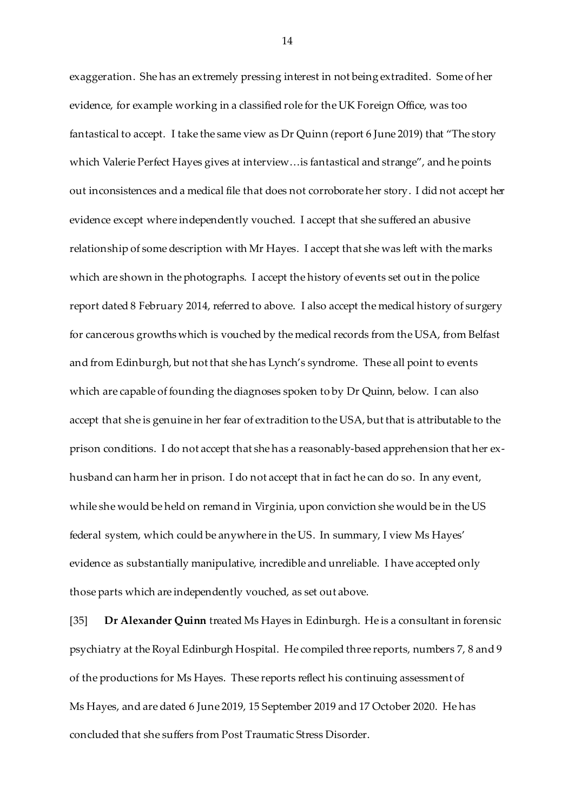exaggeration. She has an extremely pressing interest in not being extradited. Some of her evidence, for example working in a classified role for the UK Foreign Office, was too fantastical to accept. I take the same view as Dr Quinn (report 6 June 2019) that "The story which Valerie Perfect Hayes gives at interview…is fantastical and strange", and he points out inconsistences and a medical file that does not corroborate her story. I did not accept her evidence except where independently vouched. I accept that she suffered an abusive relationship of some description with Mr Hayes. I accept that she was left with the marks which are shown in the photographs. I accept the history of events set out in the police report dated 8 February 2014, referred to above. I also accept the medical history of surgery for cancerous growths which is vouched by the medical records from the USA, from Belfast and from Edinburgh, but not that she has Lynch's syndrome. These all point to events which are capable of founding the diagnoses spoken to by Dr Quinn, below. I can also accept that she is genuine in her fear of extradition to the USA, but that is attributable to the prison conditions. I do not accept that she has a reasonably-based apprehension that her exhusband can harm her in prison. I do not accept that in fact he can do so. In any event, while she would be held on remand in Virginia, upon conviction she would be in the US federal system, which could be anywhere in the US. In summary, I view Ms Hayes' evidence as substantially manipulative, incredible and unreliable. I have accepted only those parts which are independently vouched, as set out above.

[35] **Dr Alexander Quinn** treated Ms Hayes in Edinburgh. He is a consultant in forensic psychiatry at the Royal Edinburgh Hospital. He compiled three reports, numbers 7, 8 and 9 of the productions for Ms Hayes. These reports reflect his continuing assessment of Ms Hayes, and are dated 6 June 2019, 15 September 2019 and 17 October 2020. He has concluded that she suffers from Post Traumatic Stress Disorder.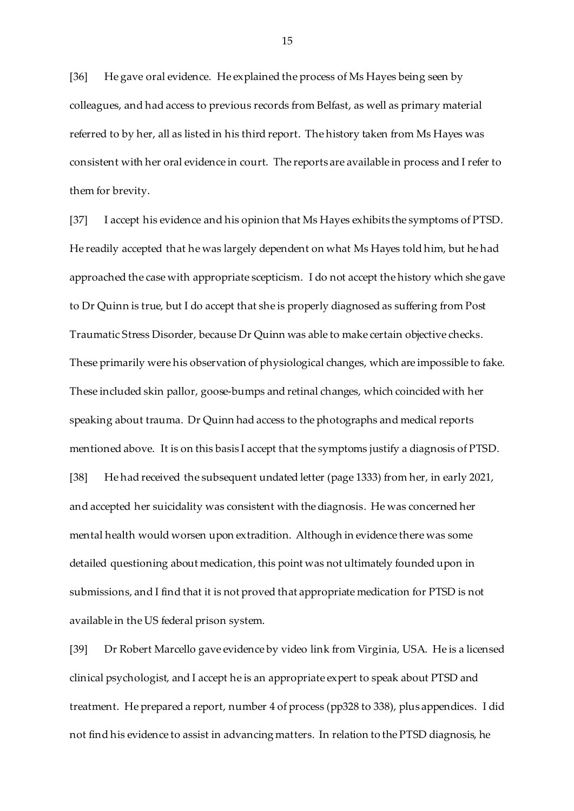[36] He gave oral evidence. He explained the process of Ms Hayes being seen by colleagues, and had access to previous records from Belfast, as well as primary material referred to by her, all as listed in his third report. The history taken from Ms Hayes was consistent with her oral evidence in court. The reports are available in process and I refer to them for brevity.

[37] I accept his evidence and his opinion that Ms Hayes exhibits the symptoms of PTSD. He readily accepted that he was largely dependent on what Ms Hayes told him, but he had approached the case with appropriate scepticism. I do not accept the history which she gave to Dr Quinn is true, but I do accept that she is properly diagnosed as suffering from Post Traumatic Stress Disorder, because Dr Quinn was able to make certain objective checks. These primarily were his observation of physiological changes, which are impossible to fake. These included skin pallor, goose-bumps and retinal changes, which coincided with her speaking about trauma. Dr Quinn had access to the photographs and medical reports mentioned above. It is on this basis I accept that the symptoms justify a diagnosis of PTSD. [38] He had received the subsequent undated letter (page 1333) from her, in early 2021, and accepted her suicidality was consistent with the diagnosis. He was concerned her mental health would worsen upon extradition. Although in evidence there was some detailed questioning about medication, this point was not ultimately founded upon in submissions, and I find that it is not proved that appropriate medication for PTSD is not available in the US federal prison system.

[39] Dr Robert Marcello gave evidence by video link from Virginia, USA. He is a licensed clinical psychologist, and I accept he is an appropriate expert to speak about PTSD and treatment. He prepared a report, number 4 of process (pp328 to 338), plus appendices. I did not find his evidence to assist in advancing matters. In relation to the PTSD diagnosis, he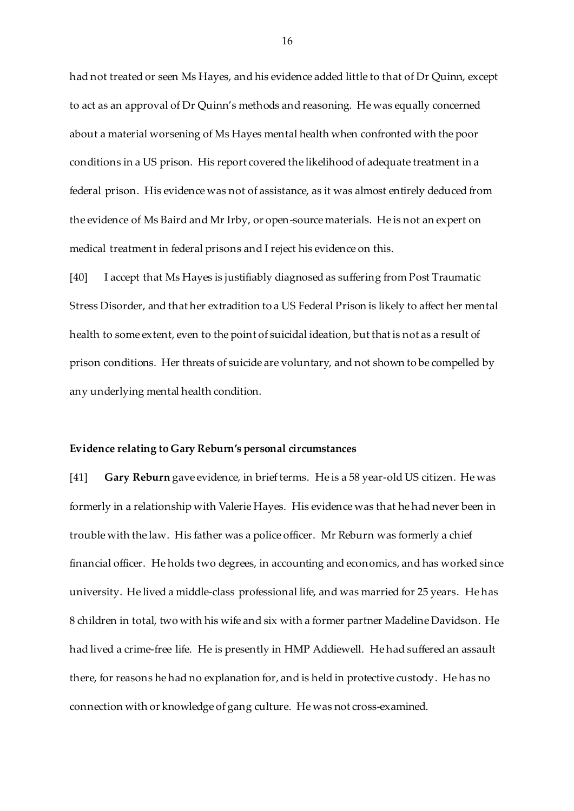had not treated or seen Ms Hayes, and his evidence added little to that of Dr Quinn, except to act as an approval of Dr Quinn's methods and reasoning. He was equally concerned about a material worsening of Ms Hayes mental health when confronted with the poor conditions in a US prison. His report covered the likelihood of adequate treatment in a federal prison. His evidence was not of assistance, as it was almost entirely deduced from the evidence of Ms Baird and Mr Irby, or open-source materials. He is not an expert on medical treatment in federal prisons and I reject his evidence on this.

[40] I accept that Ms Hayes is justifiably diagnosed as suffering from Post Traumatic Stress Disorder, and that her extradition to a US Federal Prison is likely to affect her mental health to some extent, even to the point of suicidal ideation, but that is not as a result of prison conditions. Her threats of suicide are voluntary, and not shown to be compelled by any underlying mental health condition.

#### **Evidence relating to Gary Reburn's personal circumstances**

[41] **Gary Reburn** gave evidence, in brief terms. He is a 58 year-old US citizen. He was formerly in a relationship with Valerie Hayes. His evidence was that he had never been in trouble with the law. His father was a police officer. Mr Reburn was formerly a chief financial officer. He holds two degrees, in accounting and economics, and has worked since university. He lived a middle-class professional life, and was married for 25 years. He has 8 children in total, two with his wife and six with a former partner Madeline Davidson. He had lived a crime-free life. He is presently in HMP Addiewell. He had suffered an assault there, for reasons he had no explanation for, and is held in protective custody. He has no connection with or knowledge of gang culture. He was not cross-examined.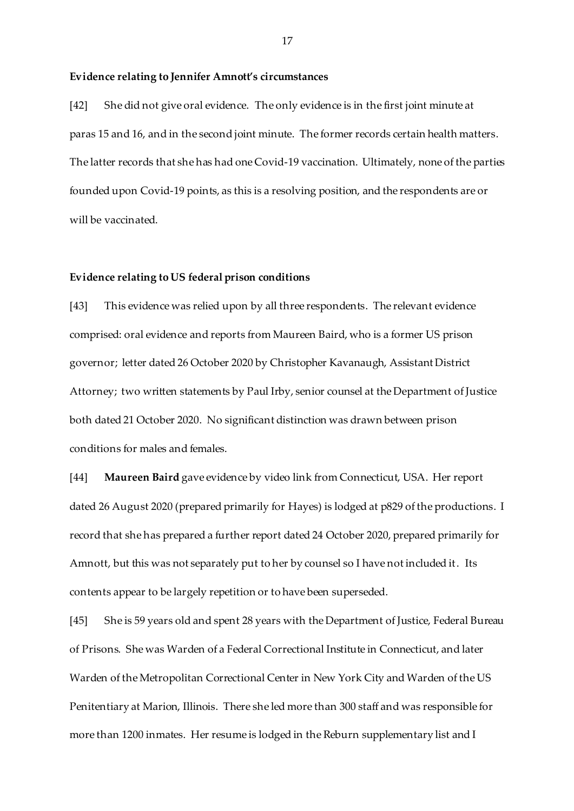#### **Evidence relating to Jennifer Amnott's circumstances**

[42] She did not give oral evidence. The only evidence is in the first joint minute at paras 15 and 16, and in the second joint minute. The former records certain health matters. The latter records that she has had one Covid-19 vaccination. Ultimately, none of the parties founded upon Covid-19 points, as this is a resolving position, and the respondents are or will be vaccinated.

### **Evidence relating to US federal prison conditions**

[43] This evidence was relied upon by all three respondents. The relevant evidence comprised: oral evidence and reports from Maureen Baird, who is a former US prison governor; letter dated 26 October 2020 by Christopher Kavanaugh, Assistant District Attorney; two written statements by Paul Irby, senior counsel at the Department of Justice both dated 21 October 2020. No significant distinction was drawn between prison conditions for males and females.

[44] **Maureen Baird** gave evidence by video link from Connecticut, USA. Her report dated 26 August 2020 (prepared primarily for Hayes) is lodged at p829 of the productions. I record that she has prepared a further report dated 24 October 2020, prepared primarily for Amnott, but this was not separately put to her by counsel so I have not included it. Its contents appear to be largely repetition or to have been superseded.

[45] She is 59 years old and spent 28 years with the Department of Justice, Federal Bureau of Prisons. She was Warden of a Federal Correctional Institute in Connecticut, and later Warden of the Metropolitan Correctional Center in New York City and Warden of the US Penitentiary at Marion, Illinois. There she led more than 300 staff and was responsible for more than 1200 inmates. Her resume is lodged in the Reburn supplementary list and I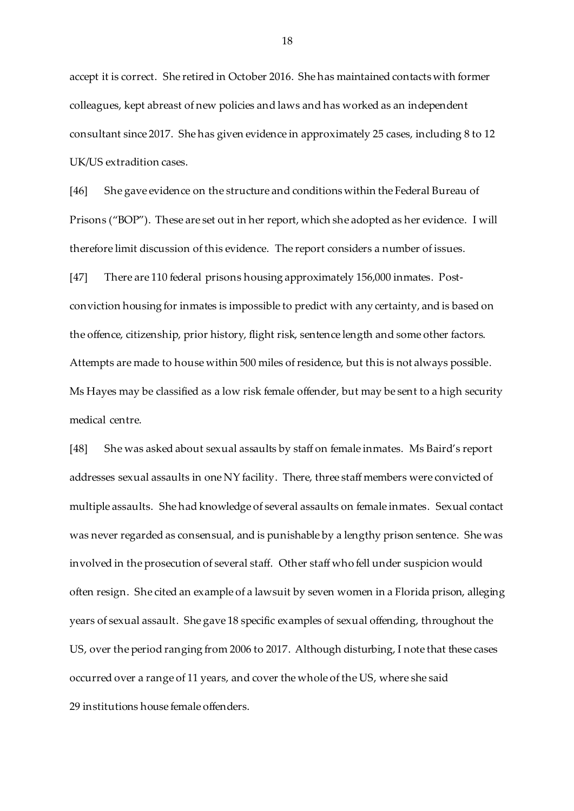accept it is correct. She retired in October 2016. She has maintained contacts with former colleagues, kept abreast of new policies and laws and has worked as an independent consultant since 2017. She has given evidence in approximately 25 cases, including 8 to 12 UK/US extradition cases.

[46] She gave evidence on the structure and conditions within the Federal Bureau of Prisons ("BOP"). These are set out in her report, which she adopted as her evidence. I will therefore limit discussion of this evidence. The report considers a number of issues.

[47] There are 110 federal prisons housing approximately 156,000 inmates. Postconviction housing for inmates is impossible to predict with any certainty, and is based on the offence, citizenship, prior history, flight risk, sentence length and some other factors. Attempts are made to house within 500 miles of residence, but this is not always possible. Ms Hayes may be classified as a low risk female offender, but may be sent to a high security medical centre.

[48] She was asked about sexual assaults by staff on female inmates. Ms Baird's report addresses sexual assaults in one NY facility. There, three staff members were convicted of multiple assaults. She had knowledge of several assaults on female inmates. Sexual contact was never regarded as consensual, and is punishable by a lengthy prison sentence. She was involved in the prosecution of several staff. Other staff who fell under suspicion would often resign. She cited an example of a lawsuit by seven women in a Florida prison, alleging years of sexual assault. She gave 18 specific examples of sexual offending, throughout the US, over the period ranging from 2006 to 2017. Although disturbing, I note that these cases occurred over a range of 11 years, and cover the whole of the US, where she said 29 institutions house female offenders.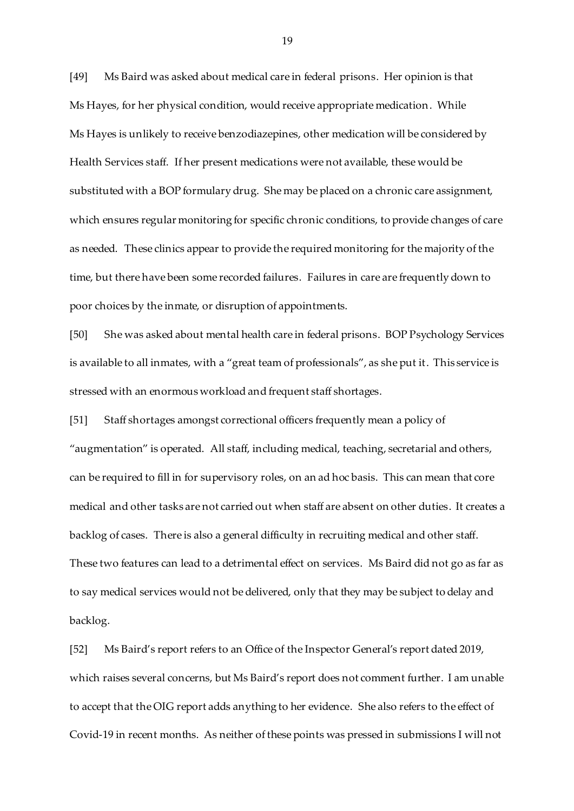[49] Ms Baird was asked about medical care in federal prisons. Her opinion is that Ms Hayes, for her physical condition, would receive appropriate medication. While Ms Hayes is unlikely to receive benzodiazepines, other medication will be considered by Health Services staff. If her present medications were not available, these would be substituted with a BOP formulary drug. She may be placed on a chronic care assignment, which ensures regular monitoring for specific chronic conditions, to provide changes of care as needed. These clinics appear to provide the required monitoring for the majority of the time, but there have been some recorded failures. Failures in care are frequently down to poor choices by the inmate, or disruption of appointments.

[50] She was asked about mental health care in federal prisons. BOP Psychology Services is available to all inmates, with a "great team of professionals", as she put it. This service is stressed with an enormous workload and frequent staff shortages.

[51] Staff shortages amongst correctional officers frequently mean a policy of "augmentation" is operated. All staff, including medical, teaching, secretarial and others, can be required to fill in for supervisory roles, on an ad hoc basis. This can mean that core medical and other tasks are not carried out when staff are absent on other duties. It creates a backlog of cases. There is also a general difficulty in recruiting medical and other staff. These two features can lead to a detrimental effect on services. Ms Baird did not go as far as to say medical services would not be delivered, only that they may be subject to delay and backlog.

[52] Ms Baird's report refers to an Office of the Inspector General's report dated 2019, which raises several concerns, but Ms Baird's report does not comment further. I am unable to accept that the OIG report adds anything to her evidence. She also refers to the effect of Covid-19 in recent months. As neither of these points was pressed in submissions I will not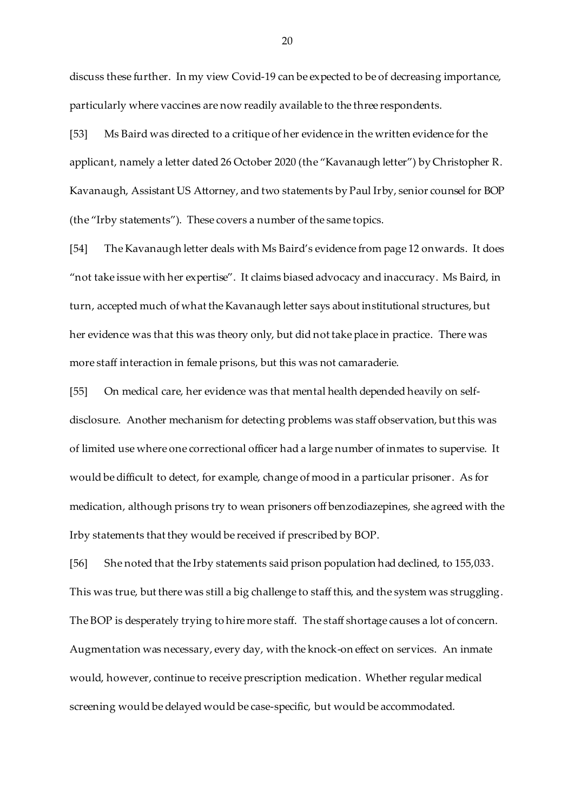discuss these further. In my view Covid-19 can be expected to be of decreasing importance, particularly where vaccines are now readily available to the three respondents.

[53] Ms Baird was directed to a critique of her evidence in the written evidence for the applicant, namely a letter dated 26 October 2020 (the "Kavanaugh letter") by Christopher R. Kavanaugh, Assistant US Attorney, and two statements by Paul Irby, senior counsel for BOP (the "Irby statements"). These covers a number of the same topics.

[54] The Kavanaugh letter deals with Ms Baird's evidence from page 12 onwards. It does "not take issue with her expertise". It claims biased advocacy and inaccuracy. Ms Baird, in turn, accepted much of what the Kavanaugh letter says about institutional structures, but her evidence was that this was theory only, but did not take place in practice. There was more staff interaction in female prisons, but this was not camaraderie.

[55] On medical care, her evidence was that mental health depended heavily on selfdisclosure. Another mechanism for detecting problems was staff observation, but this was of limited use where one correctional officer had a large number of inmates to supervise. It would be difficult to detect, for example, change of mood in a particular prisoner. As for medication, although prisons try to wean prisoners off benzodiazepines, she agreed with the Irby statements that they would be received if prescribed by BOP.

[56] She noted that the Irby statements said prison population had declined, to 155,033. This was true, but there was still a big challenge to staff this, and the system was struggling. The BOP is desperately trying to hire more staff. The staff shortage causes a lot of concern. Augmentation was necessary, every day, with the knock-on effect on services. An inmate would, however, continue to receive prescription medication. Whether regular medical screening would be delayed would be case-specific, but would be accommodated.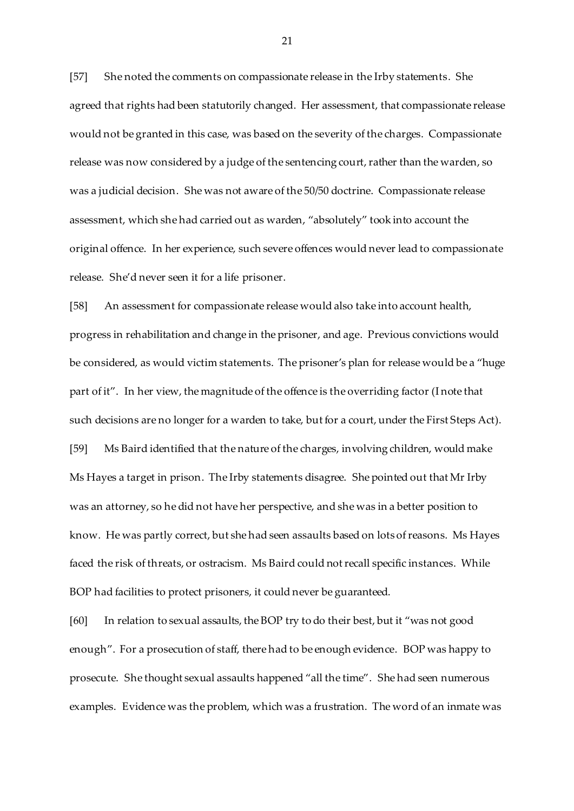[57] She noted the comments on compassionate release in the Irby statements. She agreed that rights had been statutorily changed. Her assessment, that compassionate release would not be granted in this case, was based on the severity of the charges. Compassionate release was now considered by a judge of the sentencing court, rather than the warden, so was a judicial decision. She was not aware of the 50/50 doctrine. Compassionate release assessment, which she had carried out as warden, "absolutely" took into account the original offence. In her experience, such severe offences would never lead to compassionate release. She'd never seen it for a life prisoner.

[58] An assessment for compassionate release would also take into account health, progress in rehabilitation and change in the prisoner, and age. Previous convictions would be considered, as would victim statements. The prisoner's plan for release would be a "huge part of it". In her view, the magnitude of the offence is the overriding factor (I note that such decisions are no longer for a warden to take, but for a court, under the First Steps Act). [59] Ms Baird identified that the nature of the charges, involving children, would make Ms Hayes a target in prison. The Irby statements disagree. She pointed out that Mr Irby was an attorney, so he did not have her perspective, and she was in a better position to know. He was partly correct, but she had seen assaults based on lots of reasons. Ms Hayes faced the risk of threats, or ostracism. Ms Baird could not recall specific instances. While BOP had facilities to protect prisoners, it could never be guaranteed.

[60] In relation to sexual assaults, the BOP try to do their best, but it "was not good enough". For a prosecution of staff, there had to be enough evidence. BOP was happy to prosecute. She thought sexual assaults happened "all the time". She had seen numerous examples. Evidence was the problem, which was a frustration. The word of an inmate was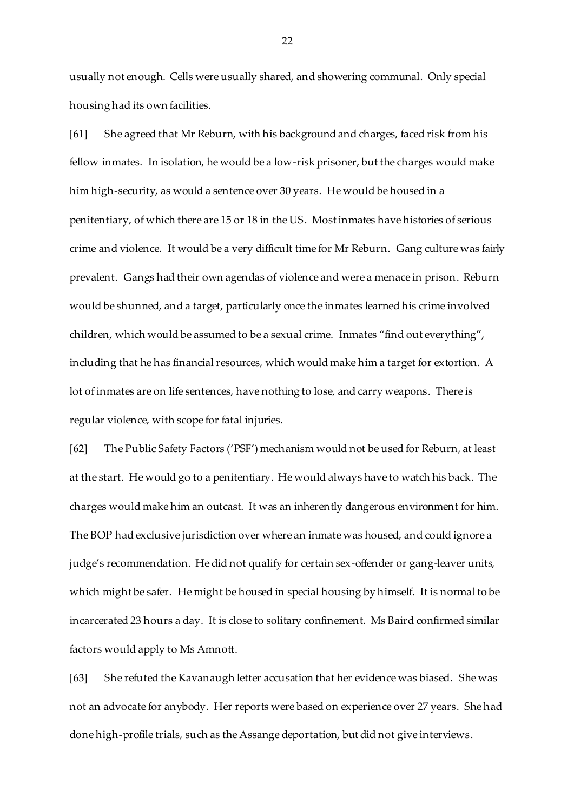usually not enough. Cells were usually shared, and showering communal. Only special housing had its own facilities.

[61] She agreed that Mr Reburn, with his background and charges, faced risk from his fellow inmates. In isolation, he would be a low-risk prisoner, but the charges would make him high-security, as would a sentence over 30 years. He would be housed in a penitentiary, of which there are 15 or 18 in the US. Most inmates have histories of serious crime and violence. It would be a very difficult time for Mr Reburn. Gang culture was fairly prevalent. Gangs had their own agendas of violence and were a menace in prison. Reburn would be shunned, and a target, particularly once the inmates learned his crime involved children, which would be assumed to be a sexual crime. Inmates "find out everything", including that he has financial resources, which would make him a target for extortion. A lot of inmates are on life sentences, have nothing to lose, and carry weapons. There is regular violence, with scope for fatal injuries.

[62] The Public Safety Factors ('PSF') mechanism would not be used for Reburn, at least at the start. He would go to a penitentiary. He would always have to watch his back. The charges would make him an outcast. It was an inherently dangerous environment for him. The BOP had exclusive jurisdiction over where an inmate was housed, and could ignore a judge's recommendation. He did not qualify for certain sex-offender or gang-leaver units, which might be safer. He might be housed in special housing by himself. It is normal to be incarcerated 23 hours a day. It is close to solitary confinement. Ms Baird confirmed similar factors would apply to Ms Amnott.

[63] She refuted the Kavanaugh letter accusation that her evidence was biased. She was not an advocate for anybody. Her reports were based on experience over 27 years. She had done high-profile trials, such as the Assange deportation, but did not give interviews.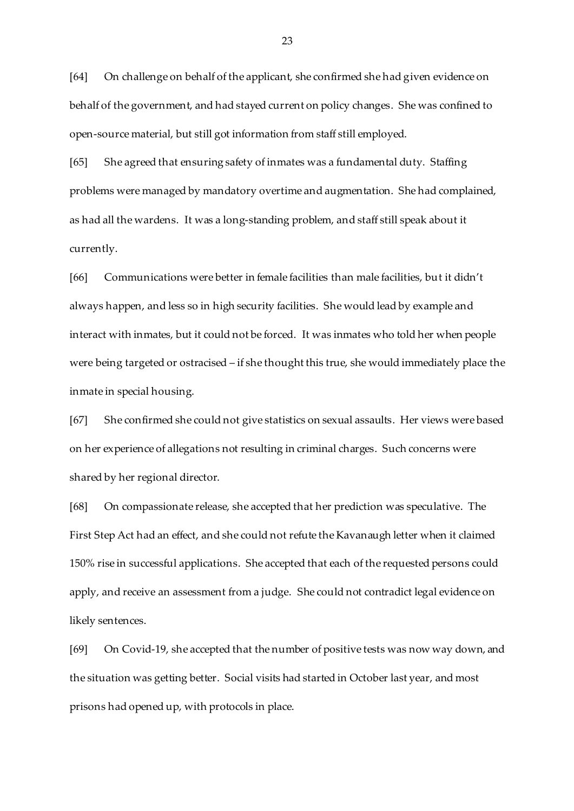[64] On challenge on behalf of the applicant, she confirmed she had given evidence on behalf of the government, and had stayed current on policy changes. She was confined to open-source material, but still got information from staff still employed.

[65] She agreed that ensuring safety of inmates was a fundamental duty. Staffing problems were managed by mandatory overtime and augmentation. She had complained, as had all the wardens. It was a long-standing problem, and staff still speak about it currently.

[66] Communications were better in female facilities than male facilities, but it didn't always happen, and less so in high security facilities. She would lead by example and interact with inmates, but it could not be forced. It was inmates who told her when people were being targeted or ostracised – if she thought this true, she would immediately place the inmate in special housing.

[67] She confirmed she could not give statistics on sexual assaults. Her views were based on her experience of allegations not resulting in criminal charges. Such concerns were shared by her regional director.

[68] On compassionate release, she accepted that her prediction was speculative. The First Step Act had an effect, and she could not refute the Kavanaugh letter when it claimed 150% rise in successful applications. She accepted that each of the requested persons could apply, and receive an assessment from a judge. She could not contradict legal evidence on likely sentences.

[69] On Covid-19, she accepted that the number of positive tests was now way down, and the situation was getting better. Social visits had started in October last year, and most prisons had opened up, with protocols in place.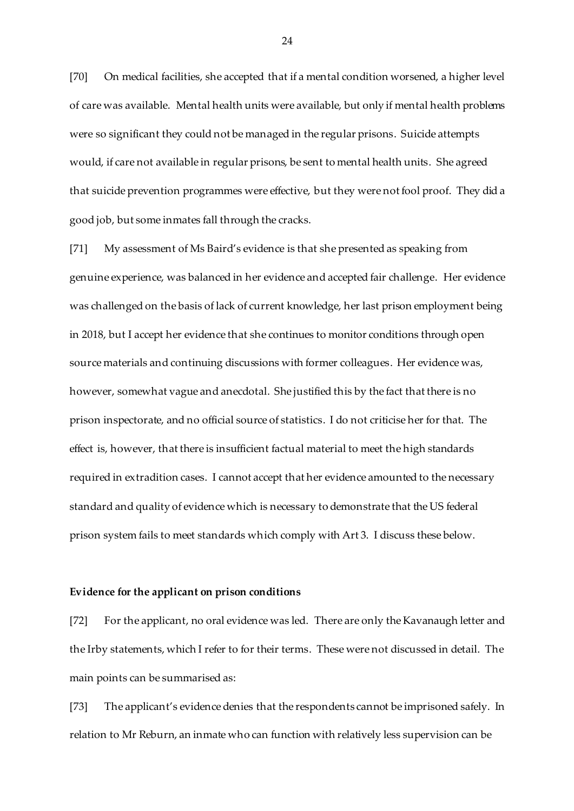[70] On medical facilities, she accepted that if a mental condition worsened, a higher level of care was available. Mental health units were available, but only if mental health problems were so significant they could not be managed in the regular prisons. Suicide attempts would, if care not available in regular prisons, be sent to mental health units. She agreed that suicide prevention programmes were effective, but they were not fool proof. They did a good job, but some inmates fall through the cracks.

[71] My assessment of Ms Baird's evidence is that she presented as speaking from genuine experience, was balanced in her evidence and accepted fair challenge. Her evidence was challenged on the basis of lack of current knowledge, her last prison employment being in 2018, but I accept her evidence that she continues to monitor conditions through open source materials and continuing discussions with former colleagues. Her evidence was, however, somewhat vague and anecdotal. She justified this by the fact that there is no prison inspectorate, and no official source of statistics. I do not criticise her for that. The effect is, however, that there is insufficient factual material to meet the high standards required in extradition cases. I cannot accept that her evidence amounted to the necessary standard and quality of evidence which is necessary to demonstrate that the US federal prison system fails to meet standards which comply with Art 3. I discuss these below.

#### **Evidence for the applicant on prison conditions**

[72] For the applicant, no oral evidence was led. There are only the Kavanaugh letter and the Irby statements, which I refer to for their terms. These were not discussed in detail. The main points can be summarised as:

[73] The applicant's evidence denies that the respondents cannot be imprisoned safely. In relation to Mr Reburn, an inmate who can function with relatively less supervision can be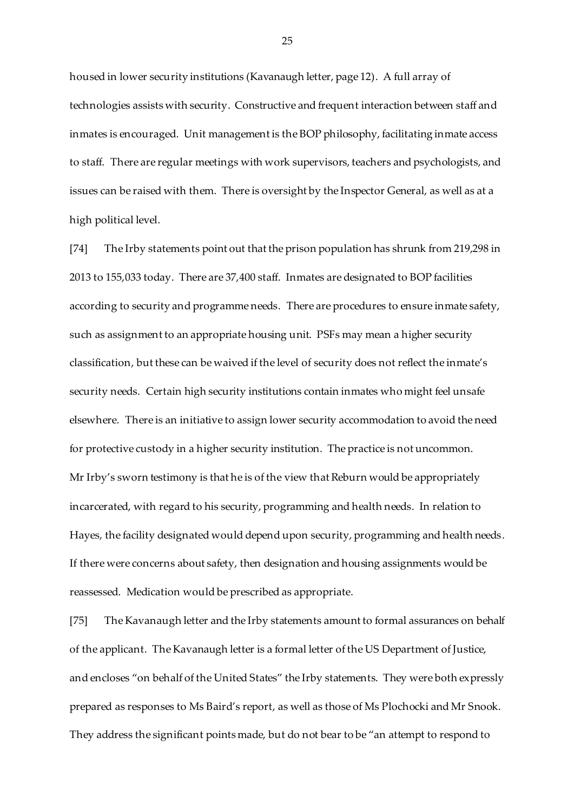housed in lower security institutions (Kavanaugh letter, page 12). A full array of technologies assists with security. Constructive and frequent interaction between staff and inmates is encouraged. Unit management is the BOP philosophy, facilitating inmate access to staff. There are regular meetings with work supervisors, teachers and psychologists, and issues can be raised with them. There is oversight by the Inspector General, as well as at a high political level.

[74] The Irby statements point out that the prison population has shrunk from 219,298 in 2013 to 155,033 today. There are 37,400 staff. Inmates are designated to BOP facilities according to security and programme needs. There are procedures to ensure inmate safety, such as assignment to an appropriate housing unit. PSFs may mean a higher security classification, but these can be waived if the level of security does not reflect the inmate's security needs. Certain high security institutions contain inmates who might feel unsafe elsewhere. There is an initiative to assign lower security accommodation to avoid the need for protective custody in a higher security institution. The practice is not uncommon. Mr Irby's sworn testimony is that he is of the view that Reburn would be appropriately incarcerated, with regard to his security, programming and health needs. In relation to Hayes, the facility designated would depend upon security, programming and health needs. If there were concerns about safety, then designation and housing assignments would be reassessed. Medication would be prescribed as appropriate.

[75] The Kavanaugh letter and the Irby statements amount to formal assurances on behalf of the applicant. The Kavanaugh letter is a formal letter of the US Department of Justice, and encloses "on behalf of the United States" the Irby statements. They were both expressly prepared as responses to Ms Baird's report, as well as those of Ms Plochocki and Mr Snook. They address the significant points made, but do not bear to be "an attempt to respond to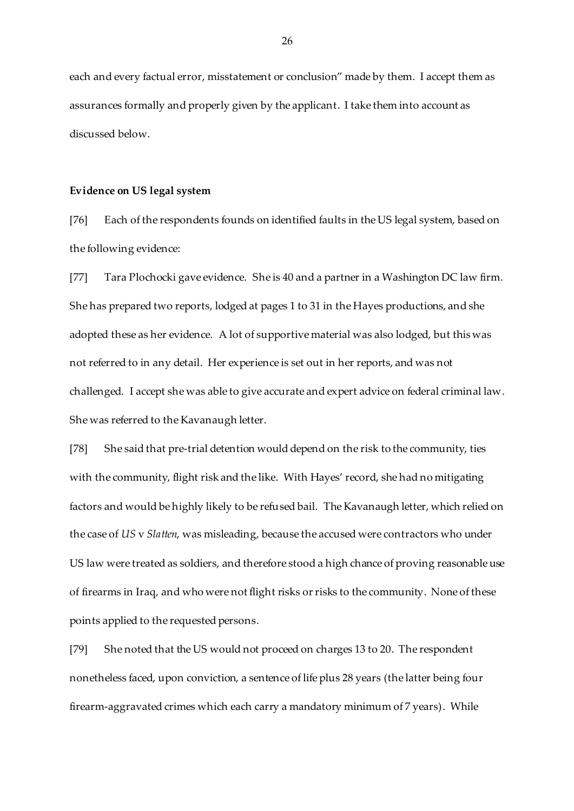each and every factual error, misstatement or conclusion" made by them. I accept them as assurances formally and properly given by the applicant. I take them into account as discussed below.

# **Evidence on US legal system**

[76] Each of the respondents founds on identified faults in the US legal system, based on the following evidence:

[77] Tara Plochocki gave evidence. She is 40 and a partner in a Washington DC law firm. She has prepared two reports, lodged at pages 1 to 31 in the Hayes productions, and she adopted these as her evidence. A lot of supportive material was also lodged, but this was not referred to in any detail. Her experience is set out in her reports, and was not challenged. I accept she was able to give accurate and expert advice on federal criminal law. She was referred to the Kavanaugh letter.

[78] She said that pre-trial detention would depend on the risk to the community, ties with the community, flight risk and the like. With Hayes' record, she had no mitigating factors and would be highly likely to be refused bail. The Kavanaugh letter, which relied on the case of *US* v *Slatten*, was misleading, because the accused were contractors who under US law were treated as soldiers, and therefore stood a high chance of proving reasonable use of firearms in Iraq, and who were not flight risks or risks to the community. None of these points applied to the requested persons.

[79] She noted that the US would not proceed on charges 13 to 20. The respondent nonetheless faced, upon conviction, a sentence of life plus 28 years (the latter being four firearm-aggravated crimes which each carry a mandatory minimum of 7 years). While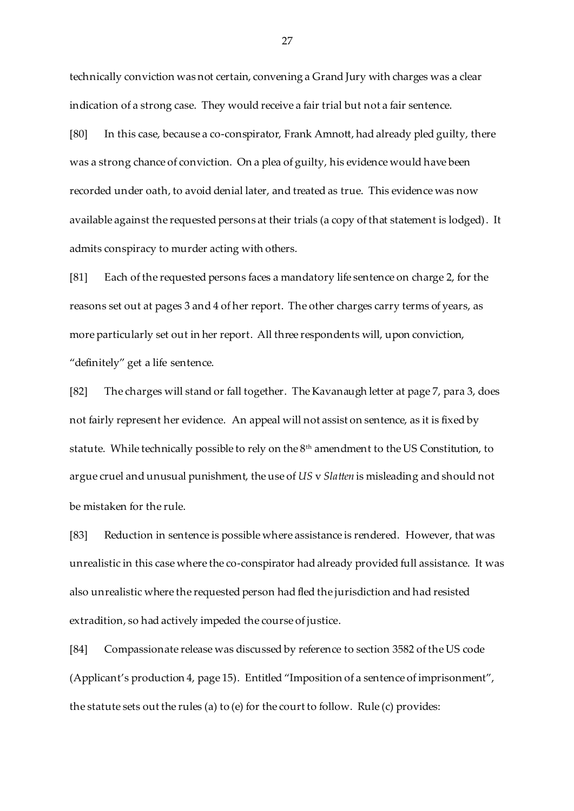technically conviction was not certain, convening a Grand Jury with charges was a clear indication of a strong case. They would receive a fair trial but not a fair sentence. [80] In this case, because a co-conspirator, Frank Amnott, had already pled guilty, there was a strong chance of conviction. On a plea of guilty, his evidence would have been recorded under oath, to avoid denial later, and treated as true. This evidence was now available against the requested persons at their trials (a copy of that statement is lodged). It admits conspiracy to murder acting with others.

[81] Each of the requested persons faces a mandatory life sentence on charge 2, for the reasons set out at pages 3 and 4 of her report. The other charges carry terms of years, as more particularly set out in her report. All three respondents will, upon conviction, "definitely" get a life sentence.

[82] The charges will stand or fall together. The Kavanaugh letter at page 7, para 3, does not fairly represent her evidence. An appeal will not assist on sentence, as it is fixed by statute. While technically possible to rely on the 8th amendment to the US Constitution, to argue cruel and unusual punishment, the use of *US* v *Slatten* is misleading and should not be mistaken for the rule.

[83] Reduction in sentence is possible where assistance is rendered. However, that was unrealistic in this case where the co-conspirator had already provided full assistance. It was also unrealistic where the requested person had fled the jurisdiction and had resisted extradition, so had actively impeded the course of justice.

[84] Compassionate release was discussed by reference to section 3582 of the US code (Applicant's production 4, page 15). Entitled "Imposition of a sentence of imprisonment", the statute sets out the rules (a) to (e) for the court to follow. Rule (c) provides: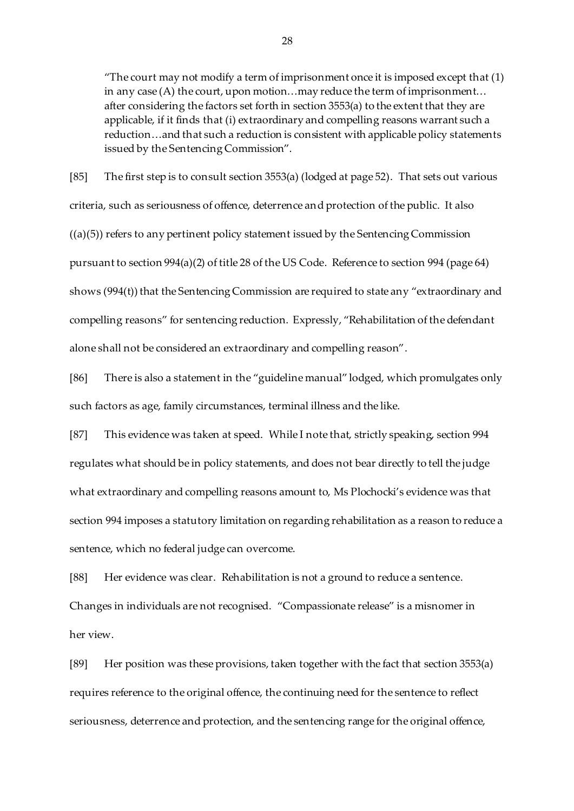"The court may not modify a term of imprisonment once it is imposed except that  $(1)$ in any case (A) the court, upon motion…may reduce the term of imprisonment… after considering the factors set forth in section 3553(a) to the extent that they are applicable, if it finds that (i) extraordinary and compelling reasons warrant such a reduction…and that such a reduction is consistent with applicable policy statements issued by the Sentencing Commission".

[85] The first step is to consult section 3553(a) (lodged at page 52). That sets out various criteria, such as seriousness of offence, deterrence and protection of the public. It also  $((a)(5))$  refers to any pertinent policy statement issued by the Sentencing Commission pursuant to section 994(a)(2) of title 28 of the US Code. Reference to section 994 (page 64) shows (994(t)) that the Sentencing Commission are required to state any "extraordinary and compelling reasons" for sentencing reduction. Expressly, "Rehabilitation of the defendant alone shall not be considered an extraordinary and compelling reason".

[86] There is also a statement in the "guideline manual" lodged, which promulgates only such factors as age, family circumstances, terminal illness and the like.

[87] This evidence was taken at speed. While I note that, strictly speaking, section 994 regulates what should be in policy statements, and does not bear directly to tell the judge what extraordinary and compelling reasons amount to, Ms Plochocki's evidence was that section 994 imposes a statutory limitation on regarding rehabilitation as a reason to reduce a sentence, which no federal judge can overcome.

[88] Her evidence was clear. Rehabilitation is not a ground to reduce a sentence. Changes in individuals are not recognised. "Compassionate release" is a misnomer in her view.

[89] Her position was these provisions, taken together with the fact that section 3553(a) requires reference to the original offence, the continuing need for the sentence to reflect seriousness, deterrence and protection, and the sentencing range for the original offence,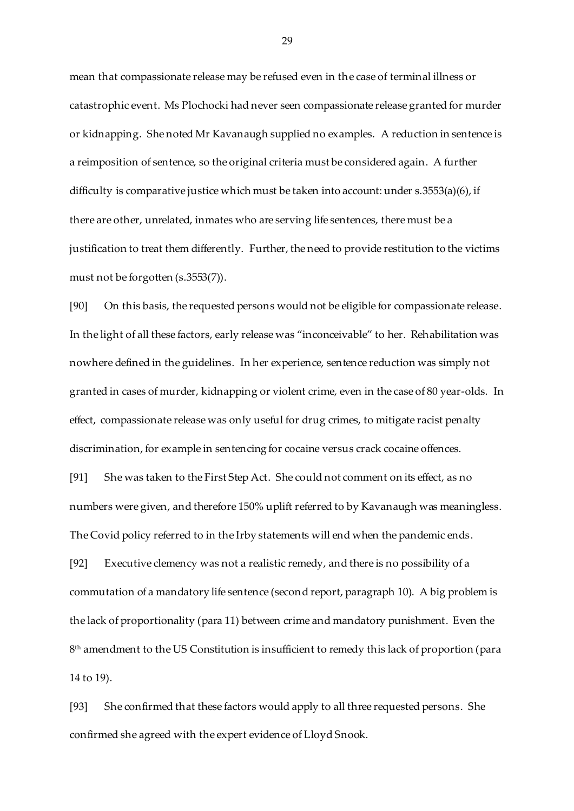mean that compassionate release may be refused even in the case of terminal illness or catastrophic event. Ms Plochocki had never seen compassionate release granted for murder or kidnapping. She noted Mr Kavanaugh supplied no examples. A reduction in sentence is a reimposition of sentence, so the original criteria must be considered again. A further difficulty is comparative justice which must be taken into account: under s.3553(a)(6), if there are other, unrelated, inmates who are serving life sentences, there must be a justification to treat them differently. Further, the need to provide restitution to the victims must not be forgotten (s.3553(7)).

[90] On this basis, the requested persons would not be eligible for compassionate release. In the light of all these factors, early release was "inconceivable" to her. Rehabilitation was nowhere defined in the guidelines. In her experience, sentence reduction was simply not granted in cases of murder, kidnapping or violent crime, even in the case of 80 year-olds. In effect, compassionate release was only useful for drug crimes, to mitigate racist penalty discrimination, for example in sentencing for cocaine versus crack cocaine offences.

[91] She was taken to the First Step Act. She could not comment on its effect, as no numbers were given, and therefore 150% uplift referred to by Kavanaugh was meaningless. The Covid policy referred to in the Irby statements will end when the pandemic ends.

[92] Executive clemency was not a realistic remedy, and there is no possibility of a commutation of a mandatory life sentence (second report, paragraph 10). A big problem is the lack of proportionality (para 11) between crime and mandatory punishment. Even the 8 th amendment to the US Constitution is insufficient to remedy this lack of proportion (para 14 to 19).

[93] She confirmed that these factors would apply to all three requested persons. She confirmed she agreed with the expert evidence of Lloyd Snook.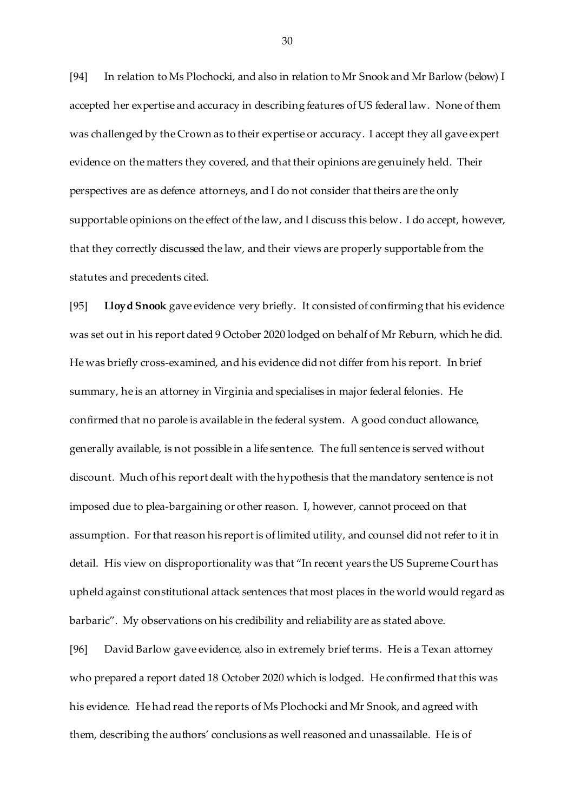[94] In relation to Ms Plochocki, and also in relation to Mr Snook and Mr Barlow (below) I accepted her expertise and accuracy in describing features of US federal law. None of them was challenged by the Crown as to their expertise or accuracy. I accept they all gave expert evidence on the matters they covered, and that their opinions are genuinely held. Their perspectives are as defence attorneys, and I do not consider that theirs are the only supportable opinions on the effect of the law, and I discuss this below. I do accept, however, that they correctly discussed the law, and their views are properly supportable from the statutes and precedents cited.

[95] **Lloyd Snook** gave evidence very briefly. It consisted of confirming that his evidence was set out in his report dated 9 October 2020 lodged on behalf of Mr Reburn, which he did. He was briefly cross-examined, and his evidence did not differ from his report. In brief summary, he is an attorney in Virginia and specialises in major federal felonies. He confirmed that no parole is available in the federal system. A good conduct allowance, generally available, is not possible in a life sentence. The full sentence is served without discount. Much of his report dealt with the hypothesis that the mandatory sentence is not imposed due to plea-bargaining or other reason. I, however, cannot proceed on that assumption. For that reason his report is of limited utility, and counsel did not refer to it in detail. His view on disproportionality was that "In recent years the US Supreme Court has upheld against constitutional attack sentences that most places in the world would regard as barbaric". My observations on his credibility and reliability are as stated above.

[96] David Barlow gave evidence, also in extremely brief terms. He is a Texan attorney who prepared a report dated 18 October 2020 which is lodged. He confirmed that this was his evidence. He had read the reports of Ms Plochocki and Mr Snook, and agreed with them, describing the authors' conclusions as well reasoned and unassailable. He is of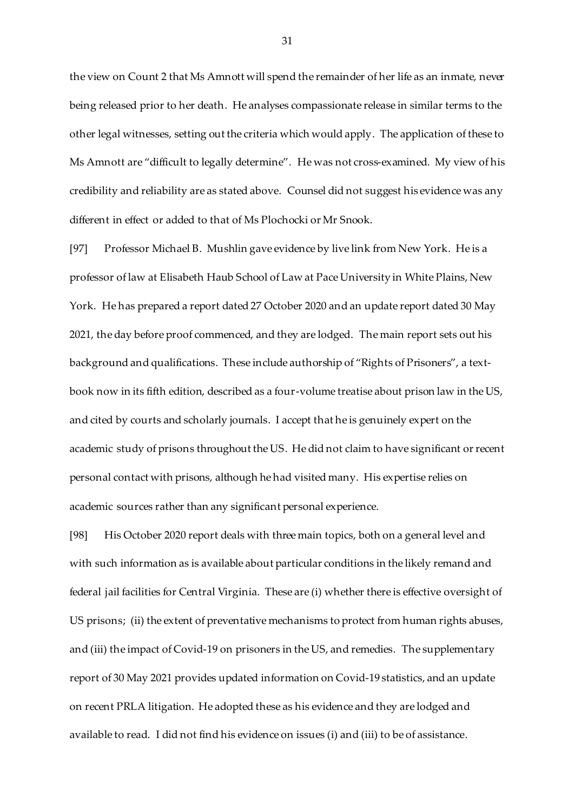the view on Count 2 that Ms Amnott will spend the remainder of her life as an inmate, never being released prior to her death. He analyses compassionate release in similar terms to the other legal witnesses, setting out the criteria which would apply. The application of these to Ms Amnott are "difficult to legally determine". He was not cross-examined. My view of his credibility and reliability are as stated above. Counsel did not suggest his evidence was any different in effect or added to that of Ms Plochocki or Mr Snook.

[97] Professor Michael B. Mushlin gave evidence by live link from New York. He is a professor of law at Elisabeth Haub School of Law at Pace University in White Plains, New York. He has prepared a report dated 27 October 2020 and an update report dated 30 May 2021, the day before proof commenced, and they are lodged. The main report sets out his background and qualifications. These include authorship of "Rights of Prisoners", a textbook now in its fifth edition, described as a four-volume treatise about prison law in the US, and cited by courts and scholarly journals. I accept that he is genuinely expert on the academic study of prisons throughout the US. He did not claim to have significant or recent personal contact with prisons, although he had visited many. His expertise relies on academic sources rather than any significant personal experience.

[98] His October 2020 report deals with three main topics, both on a general level and with such information as is available about particular conditions in the likely remand and federal jail facilities for Central Virginia. These are (i) whether there is effective oversight of US prisons; (ii) the extent of preventative mechanisms to protect from human rights abuses, and (iii) the impact of Covid-19 on prisoners in the US, and remedies. The supplementary report of 30 May 2021 provides updated information on Covid-19 statistics, and an update on recent PRLA litigation. He adopted these as his evidence and they are lodged and available to read. I did not find his evidence on issues (i) and (iii) to be of assistance.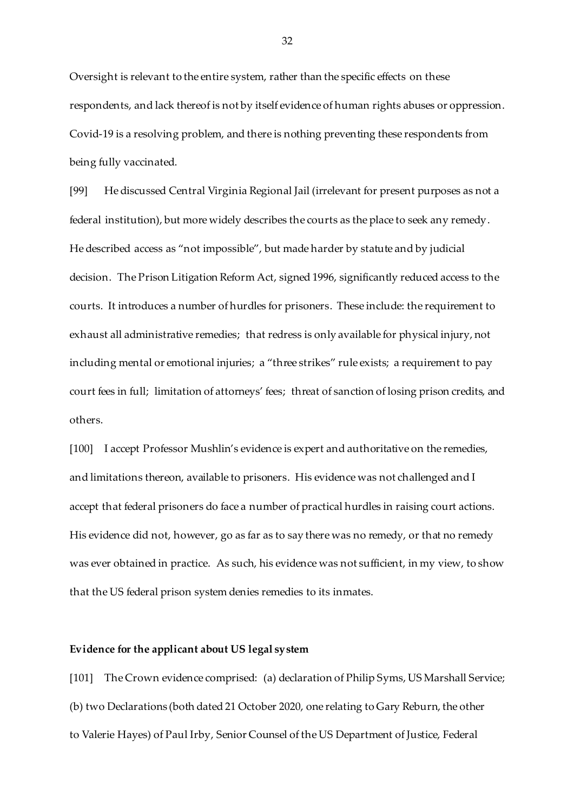Oversight is relevant to the entire system, rather than the specific effects on these respondents, and lack thereof is not by itself evidence of human rights abuses or oppression. Covid-19 is a resolving problem, and there is nothing preventing these respondents from being fully vaccinated.

[99] He discussed Central Virginia Regional Jail (irrelevant for present purposes as not a federal institution), but more widely describes the courts as the place to seek any remedy. He described access as "not impossible", but made harder by statute and by judicial decision. The Prison Litigation Reform Act, signed 1996, significantly reduced access to the courts. It introduces a number of hurdles for prisoners. These include: the requirement to exhaust all administrative remedies; that redress is only available for physical injury, not including mental or emotional injuries; a "three strikes" rule exists; a requirement to pay court fees in full; limitation of attorneys' fees; threat of sanction of losing prison credits, and others.

[100] I accept Professor Mushlin's evidence is expert and authoritative on the remedies, and limitations thereon, available to prisoners. His evidence was not challenged and I accept that federal prisoners do face a number of practical hurdles in raising court actions. His evidence did not, however, go as far as to say there was no remedy, or that no remedy was ever obtained in practice. As such, his evidence was not sufficient, in my view, to show that the US federal prison system denies remedies to its inmates.

### **Evidence for the applicant about US legal system**

[101] The Crown evidence comprised: (a) declaration of Philip Syms, US Marshall Service; (b) two Declarations (both dated 21 October 2020, one relating to Gary Reburn, the other to Valerie Hayes) of Paul Irby, Senior Counsel of the US Department of Justice, Federal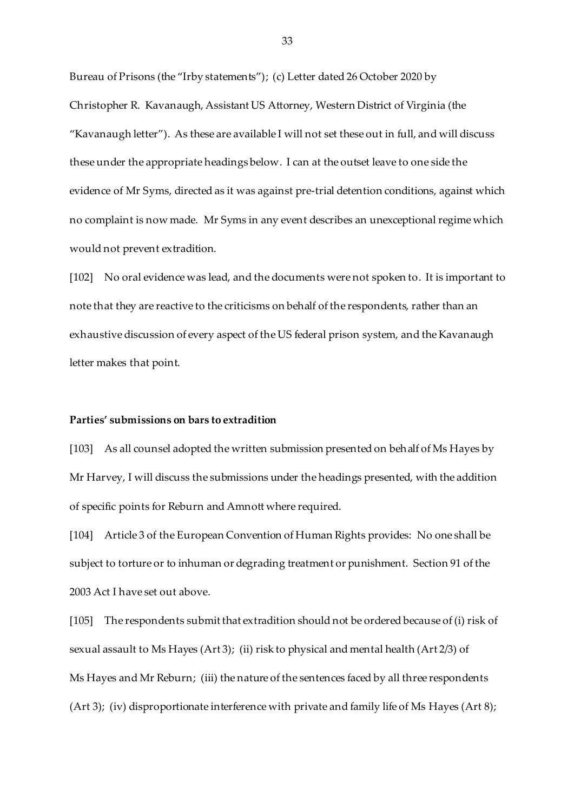Bureau of Prisons (the "Irby statements"); (c) Letter dated 26 October 2020 by Christopher R. Kavanaugh, Assistant US Attorney, Western District of Virginia (the "Kavanaugh letter"). As these are available I will not set these out in full, and will discuss these under the appropriate headings below. I can at the outset leave to one side the evidence of Mr Syms, directed as it was against pre-trial detention conditions, against which no complaint is now made. Mr Syms in any event describes an unexceptional regime which would not prevent extradition.

[102] No oral evidence was lead, and the documents were not spoken to. It is important to note that they are reactive to the criticisms on behalf of the respondents, rather than an exhaustive discussion of every aspect of the US federal prison system, and the Kavanaugh letter makes that point.

### **Parties' submissions on bars to extradition**

[103] As all counsel adopted the written submission presented on behalf of Ms Hayes by Mr Harvey, I will discuss the submissions under the headings presented, with the addition of specific points for Reburn and Amnott where required.

[104] Article 3 of the European Convention of Human Rights provides: No one shall be subject to torture or to inhuman or degrading treatment or punishment. Section 91 of the 2003 Act I have set out above.

[105] The respondents submit that extradition should not be ordered because of (i) risk of sexual assault to Ms Hayes (Art 3); (ii) risk to physical and mental health (Art 2/3) of Ms Hayes and Mr Reburn; (iii) the nature of the sentences faced by all three respondents (Art 3); (iv) disproportionate interference with private and family life of Ms Hayes (Art 8);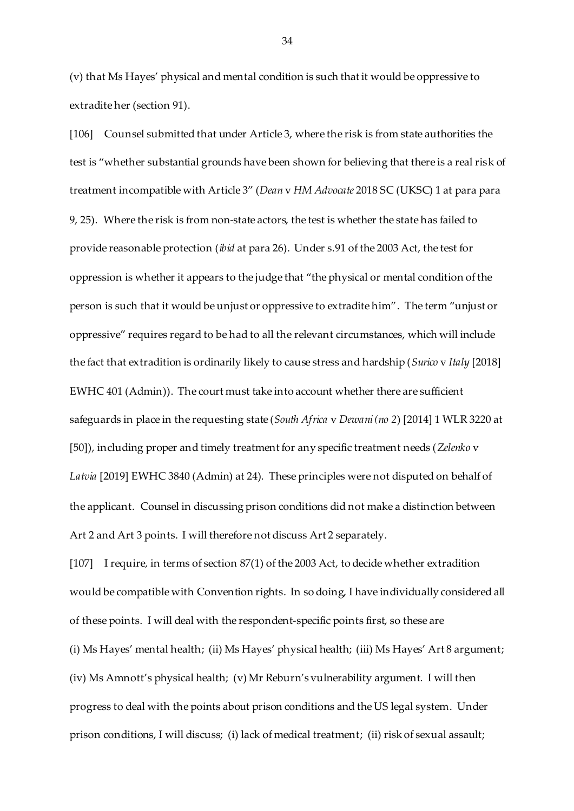(v) that Ms Hayes' physical and mental condition is such that it would be oppressive to extradite her (section 91).

[106] Counsel submitted that under Article 3, where the risk is from state authorities the test is "whether substantial grounds have been shown for believing that there is a real risk of treatment incompatible with Article 3" (*Dean* v *HM Advocate* 2018 SC (UKSC) 1 at para para 9, 25). Where the risk is from non-state actors, the test is whether the state has failed to provide reasonable protection (*ibid* at para 26). Under s.91 of the 2003 Act, the test for oppression is whether it appears to the judge that "the physical or mental condition of the person is such that it would be unjust or oppressive to extradite him". The term "unjust or oppressive" requires regard to be had to all the relevant circumstances, which will include the fact that extradition is ordinarily likely to cause stress and hardship (*Surico* v *Italy* [2018] EWHC 401 (Admin)). The court must take into account whether there are sufficient safeguards in place in the requesting state (*South Africa* v *Dewani (no 2*) [2014] 1 WLR 3220 at [50]), including proper and timely treatment for any specific treatment needs (*Zelenko* v *Latvia* [2019] EWHC 3840 (Admin) at 24). These principles were not disputed on behalf of the applicant. Counsel in discussing prison conditions did not make a distinction between Art 2 and Art 3 points. I will therefore not discuss Art 2 separately.

[107] I require, in terms of section 87(1) of the 2003 Act, to decide whether extradition would be compatible with Convention rights. In so doing, I have individually considered all of these points. I will deal with the respondent-specific points first, so these are (i) Ms Hayes' mental health; (ii) Ms Hayes' physical health; (iii) Ms Hayes' Art 8 argument; (iv) Ms Amnott's physical health; (v) Mr Reburn's vulnerability argument. I will then progress to deal with the points about prison conditions and the US legal system. Under prison conditions, I will discuss; (i) lack of medical treatment; (ii) risk of sexual assault;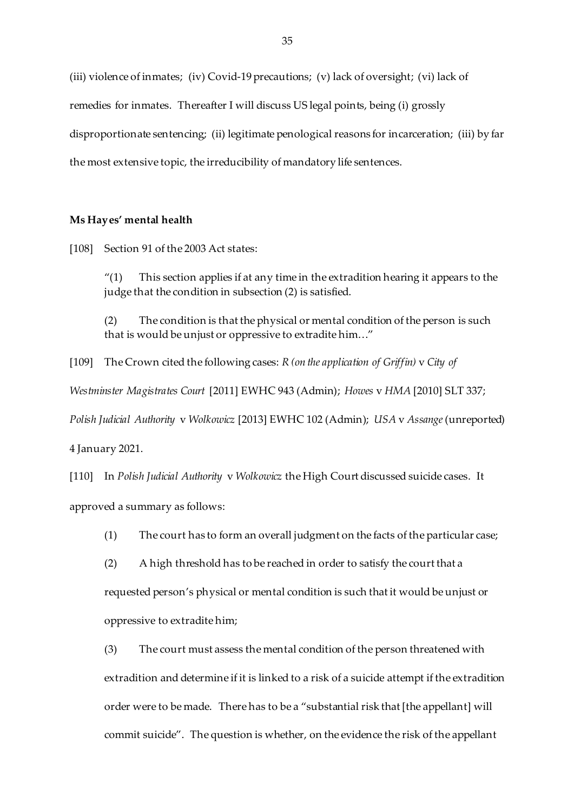(iii) violence of inmates; (iv) Covid-19 precautions; (v) lack of oversight; (vi) lack of remedies for inmates. Thereafter I will discuss US legal points, being (i) grossly disproportionate sentencing; (ii) legitimate penological reasons for incarceration; (iii) by far the most extensive topic, the irreducibility of mandatory life sentences.

### **Ms Hayes' mental health**

[108] Section 91 of the 2003 Act states:

" $(1)$  This section applies if at any time in the extradition hearing it appears to the judge that the condition in subsection (2) is satisfied.

(2) The condition is that the physical or mental condition of the person is such that is would be unjust or oppressive to extradite him…"

[109] The Crown cited the following cases: *R (on the application of Griffin)* v *City of* 

*Westminster Magistrates Court* [2011] EWHC 943 (Admin); *Howes* v *HMA* [2010] SLT 337;

*Polish Judicial Authority* v *Wolkowicz* [2013] EWHC 102 (Admin); *USA* v *Assange*(unreported)

4 January 2021.

[110] In *Polish Judicial Authority* v *Wolkowicz* the High Court discussed suicide cases. It approved a summary as follows:

(1) The court has to form an overall judgment on the facts of the particular case;

(2) A high threshold has to be reached in order to satisfy the court that a

requested person's physical or mental condition is such that it would be unjust or oppressive to extradite him;

(3) The court must assess the mental condition of the person threatened with extradition and determine if it is linked to a risk of a suicide attempt if the extradition order were to be made. There has to be a "substantial risk that [the appellant] will commit suicide". The question is whether, on the evidence the risk of the appellant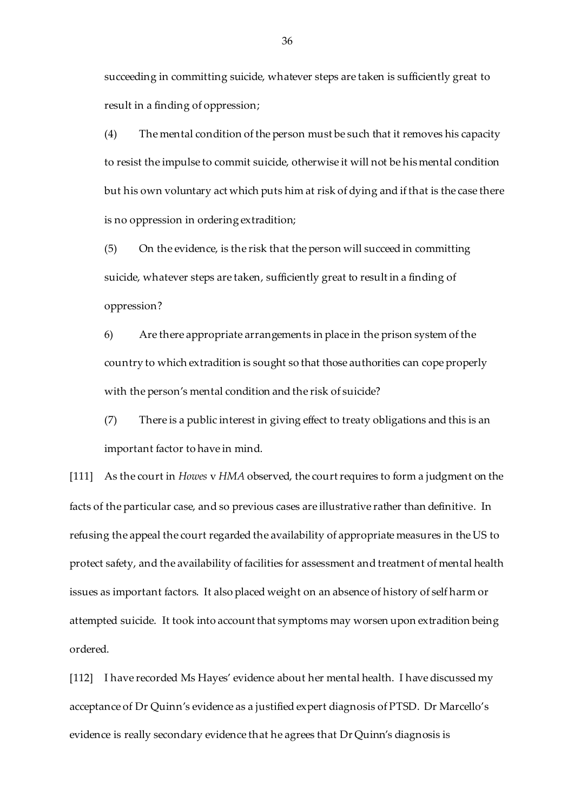succeeding in committing suicide, whatever steps are taken is sufficiently great to result in a finding of oppression;

(4) The mental condition of the person must be such that it removes his capacity to resist the impulse to commit suicide, otherwise it will not be his mental condition but his own voluntary act which puts him at risk of dying and if that is the case there is no oppression in ordering extradition;

(5) On the evidence, is the risk that the person will succeed in committing suicide, whatever steps are taken, sufficiently great to result in a finding of oppression?

6) Are there appropriate arrangements in place in the prison system of the country to which extradition is sought so that those authorities can cope properly with the person's mental condition and the risk of suicide?

(7) There is a public interest in giving effect to treaty obligations and this is an important factor to have in mind.

[111] As the court in *Howes* v *HMA* observed, the court requires to form a judgment on the facts of the particular case, and so previous cases are illustrative rather than definitive. In refusing the appeal the court regarded the availability of appropriate measures in the US to protect safety, and the availability of facilities for assessment and treatment of mental health issues as important factors. It also placed weight on an absence of history of self harm or attempted suicide. It took into account that symptoms may worsen upon extradition being ordered.

[112] I have recorded Ms Hayes' evidence about her mental health. I have discussed my acceptance of Dr Quinn's evidence as a justified expert diagnosis of PTSD. Dr Marcello's evidence is really secondary evidence that he agrees that Dr Quinn's diagnosis is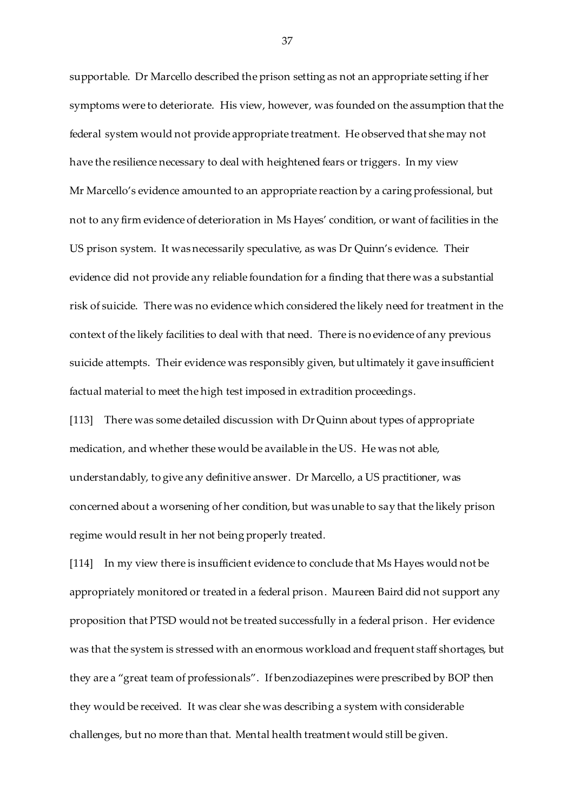supportable. Dr Marcello described the prison setting as not an appropriate setting if her symptoms were to deteriorate. His view, however, was founded on the assumption that the federal system would not provide appropriate treatment. He observed that she may not have the resilience necessary to deal with heightened fears or triggers. In my view Mr Marcello's evidence amounted to an appropriate reaction by a caring professional, but not to any firm evidence of deterioration in Ms Hayes' condition, or want of facilities in the US prison system. It was necessarily speculative, as was Dr Quinn's evidence. Their evidence did not provide any reliable foundation for a finding that there was a substantial risk of suicide. There was no evidence which considered the likely need for treatment in the context of the likely facilities to deal with that need. There is no evidence of any previous suicide attempts. Their evidence was responsibly given, but ultimately it gave insufficient factual material to meet the high test imposed in extradition proceedings.

[113] There was some detailed discussion with Dr Quinn about types of appropriate medication, and whether these would be available in the US. He was not able, understandably, to give any definitive answer. Dr Marcello, a US practitioner, was concerned about a worsening of her condition, but was unable to say that the likely prison regime would result in her not being properly treated.

[114] In my view there is insufficient evidence to conclude that Ms Hayes would not be appropriately monitored or treated in a federal prison. Maureen Baird did not support any proposition that PTSD would not be treated successfully in a federal prison. Her evidence was that the system is stressed with an enormous workload and frequent staff shortages, but they are a "great team of professionals". If benzodiazepines were prescribed by BOP then they would be received. It was clear she was describing a system with considerable challenges, but no more than that. Mental health treatment would still be given.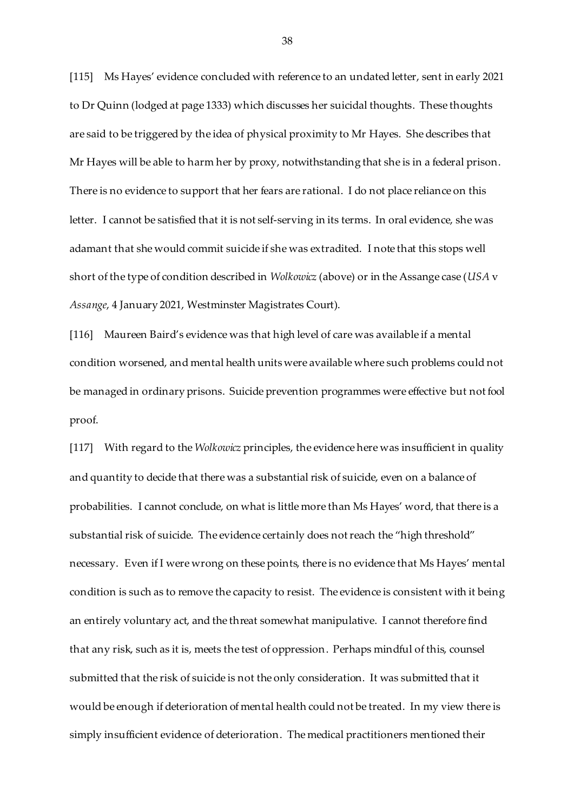[115] Ms Hayes' evidence concluded with reference to an undated letter, sent in early 2021 to Dr Quinn (lodged at page 1333) which discusses her suicidal thoughts. These thoughts are said to be triggered by the idea of physical proximity to Mr Hayes. She describes that Mr Hayes will be able to harm her by proxy, notwithstanding that she is in a federal prison. There is no evidence to support that her fears are rational. I do not place reliance on this letter. I cannot be satisfied that it is not self-serving in its terms. In oral evidence, she was adamant that she would commit suicide if she was extradited. I note that this stops well short of the type of condition described in *Wolkowicz* (above) or in the Assange case (*USA* v *Assange*, 4 January 2021, Westminster Magistrates Court).

[116] Maureen Baird's evidence was that high level of care was available if a mental condition worsened, and mental health units were available where such problems could not be managed in ordinary prisons. Suicide prevention programmes were effective but not fool proof.

[117] With regard to the *Wolkowicz* principles, the evidence here was insufficient in quality and quantity to decide that there was a substantial risk of suicide, even on a balance of probabilities. I cannot conclude, on what is little more than Ms Hayes' word, that there is a substantial risk of suicide. The evidence certainly does not reach the "high threshold" necessary. Even if I were wrong on these points, there is no evidence that Ms Hayes' mental condition is such as to remove the capacity to resist. The evidence is consistent with it being an entirely voluntary act, and the threat somewhat manipulative. I cannot therefore find that any risk, such as it is, meets the test of oppression. Perhaps mindful of this, counsel submitted that the risk of suicide is not the only consideration. It was submitted that it would be enough if deterioration of mental health could not be treated. In my view there is simply insufficient evidence of deterioration. The medical practitioners mentioned their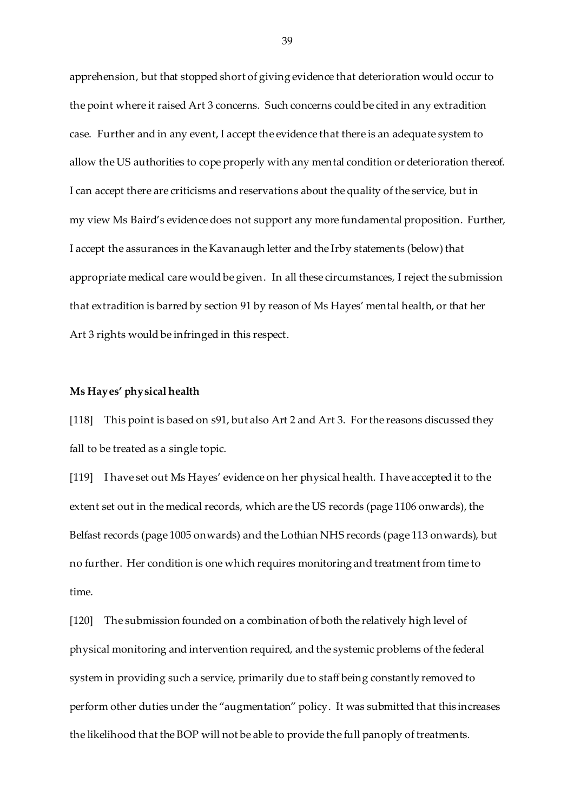apprehension, but that stopped short of giving evidence that deterioration would occur to the point where it raised Art 3 concerns. Such concerns could be cited in any extradition case. Further and in any event, I accept the evidence that there is an adequate system to allow the US authorities to cope properly with any mental condition or deterioration thereof. I can accept there are criticisms and reservations about the quality of the service, but in my view Ms Baird's evidence does not support any more fundamental proposition. Further, I accept the assurances in the Kavanaugh letter and the Irby statements (below) that appropriate medical care would be given. In all these circumstances, I reject the submission that extradition is barred by section 91 by reason of Ms Hayes' mental health, or that her Art 3 rights would be infringed in this respect.

### **Ms Hayes' physical health**

[118] This point is based on s91, but also Art 2 and Art 3. For the reasons discussed they fall to be treated as a single topic.

[119] I have set out Ms Hayes' evidence on her physical health. I have accepted it to the extent set out in the medical records, which are the US records (page 1106 onwards), the Belfast records (page 1005 onwards) and the Lothian NHS records (page 113 onwards), but no further. Her condition is one which requires monitoring and treatment from time to time.

[120] The submission founded on a combination of both the relatively high level of physical monitoring and intervention required, and the systemic problems of the federal system in providing such a service, primarily due to staff being constantly removed to perform other duties under the "augmentation" policy. It was submitted that this increases the likelihood that the BOP will not be able to provide the full panoply of treatments.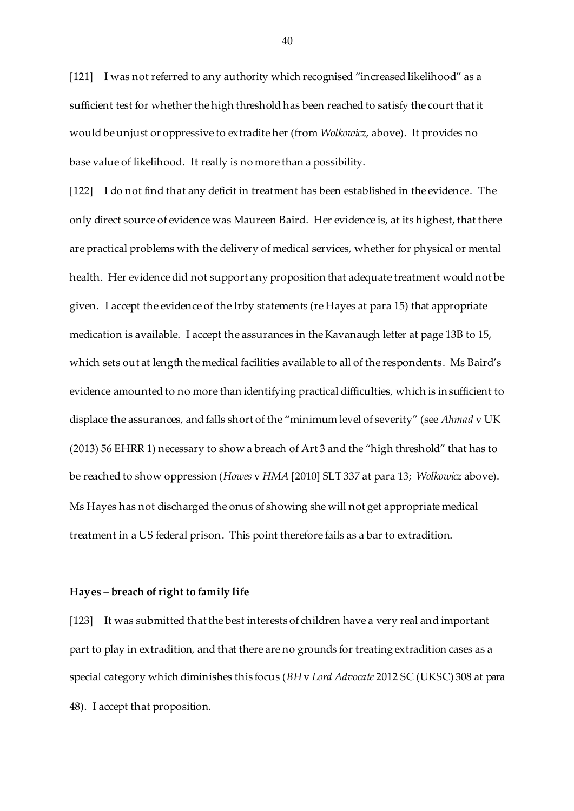[121] I was not referred to any authority which recognised "increased likelihood" as a sufficient test for whether the high threshold has been reached to satisfy the court that it would be unjust or oppressive to extradite her (from *Wolkowicz*, above). It provides no base value of likelihood. It really is no more than a possibility.

[122] I do not find that any deficit in treatment has been established in the evidence. The only direct source of evidence was Maureen Baird. Her evidence is, at its highest, that there are practical problems with the delivery of medical services, whether for physical or mental health. Her evidence did not support any proposition that adequate treatment would not be given. I accept the evidence of the Irby statements (re Hayes at para 15) that appropriate medication is available. I accept the assurances in the Kavanaugh letter at page 13B to 15, which sets out at length the medical facilities available to all of the respondents. Ms Baird's evidence amounted to no more than identifying practical difficulties, which is insufficient to displace the assurances, and falls short of the "minimum level of severity" (see *Ahmad* v UK (2013) 56 EHRR 1) necessary to show a breach of Art 3 and the "high threshold" that has to be reached to show oppression (*Howes* v *HMA* [2010] SLT 337 at para 13; *Wolkowicz* above). Ms Hayes has not discharged the onus of showing she will not get appropriate medical treatment in a US federal prison. This point therefore fails as a bar to extradition.

#### **Hayes – breach of right to family life**

[123] It was submitted that the best interests of children have a very real and important part to play in extradition, and that there are no grounds for treating extradition cases as a special category which diminishes this focus (*BH*v *Lord Advocate* 2012 SC (UKSC) 308 at para 48). I accept that proposition.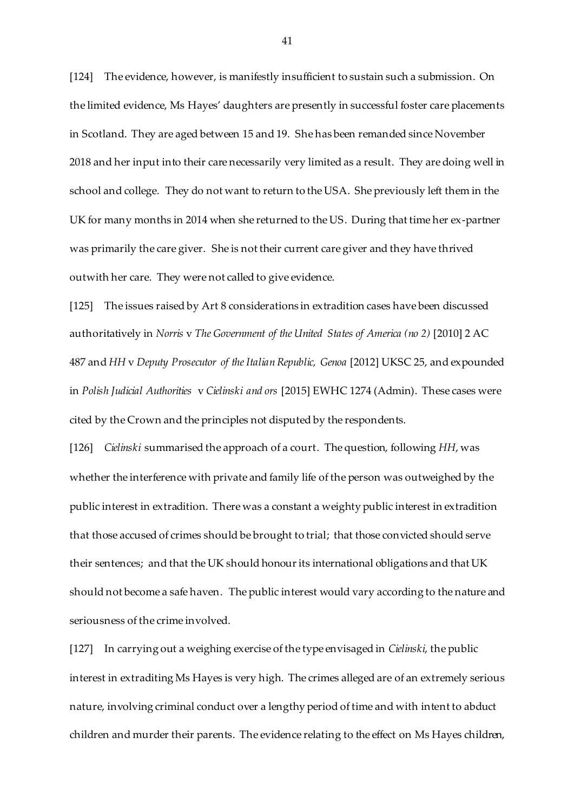[124] The evidence, however, is manifestly insufficient to sustain such a submission. On the limited evidence, Ms Hayes' daughters are presently in successful foster care placements in Scotland. They are aged between 15 and 19. She has been remanded since November 2018 and her input into their care necessarily very limited as a result. They are doing well in school and college. They do not want to return to the USA. She previously left them in the UK for many months in 2014 when she returned to the US. During that time her ex-partner was primarily the care giver. She is not their current care giver and they have thrived outwith her care. They were not called to give evidence.

[125] The issues raised by Art 8 considerations in extradition cases have been discussed authoritatively in *Norris* v *The Government of the United States of America (no 2)* [2010] 2 AC 487 and *HH* v *Deputy Prosecutor of the Italian Republic, Genoa* [2012] UKSC 25, and expounded in *Polish Judicial Authorities* v *Cielinski and ors* [2015] EWHC 1274 (Admin). These cases were cited by the Crown and the principles not disputed by the respondents.

[126] *Cielinski* summarised the approach of a court. The question, following *HH*, was whether the interference with private and family life of the person was outweighed by the public interest in extradition. There was a constant a weighty public interest in extradition that those accused of crimes should be brought to trial; that those convicted should serve their sentences; and that the UK should honour its international obligations and that UK should not become a safe haven. The public interest would vary according to the nature and seriousness of the crime involved.

[127] In carrying out a weighing exercise of the type envisaged in *Cielinski*, the public interest in extraditing Ms Hayes is very high. The crimes alleged are of an extremely serious nature, involving criminal conduct over a lengthy period of time and with intent to abduct children and murder their parents. The evidence relating to the effect on Ms Hayes children,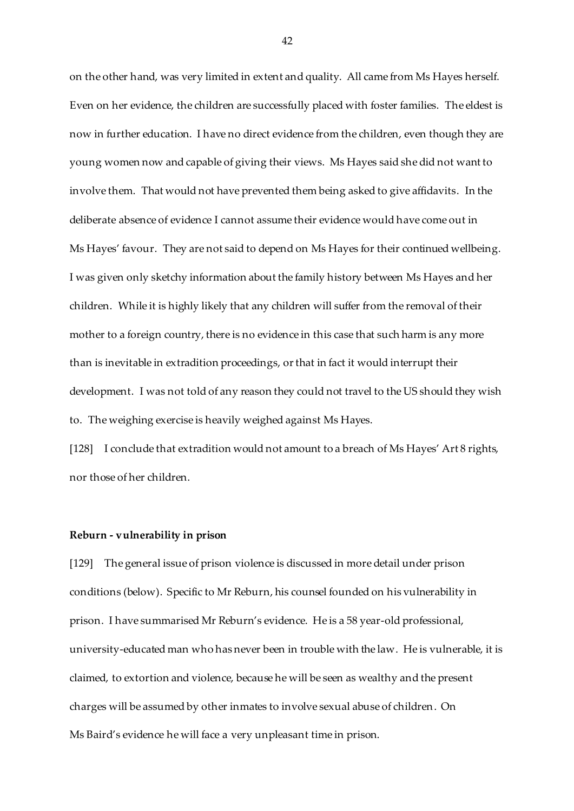on the other hand, was very limited in extent and quality. All came from Ms Hayes herself. Even on her evidence, the children are successfully placed with foster families. The eldest is now in further education. I have no direct evidence from the children, even though they are young women now and capable of giving their views. Ms Hayes said she did not want to involve them. That would not have prevented them being asked to give affidavits. In the deliberate absence of evidence I cannot assume their evidence would have come out in Ms Hayes' favour. They are not said to depend on Ms Hayes for their continued wellbeing. I was given only sketchy information about the family history between Ms Hayes and her children. While it is highly likely that any children will suffer from the removal of their mother to a foreign country, there is no evidence in this case that such harm is any more than is inevitable in extradition proceedings, or that in fact it would interrupt their development. I was not told of any reason they could not travel to the US should they wish to. The weighing exercise is heavily weighed against Ms Hayes.

[128] I conclude that extradition would not amount to a breach of Ms Hayes' Art 8 rights, nor those of her children.

### **Reburn - vulnerability in prison**

[129] The general issue of prison violence is discussed in more detail under prison conditions (below). Specific to Mr Reburn, his counsel founded on his vulnerability in prison. I have summarised Mr Reburn's evidence. He is a 58 year-old professional, university-educated man who has never been in trouble with the law. He is vulnerable, it is claimed, to extortion and violence, because he will be seen as wealthy and the present charges will be assumed by other inmates to involve sexual abuse of children. On Ms Baird's evidence he will face a very unpleasant time in prison.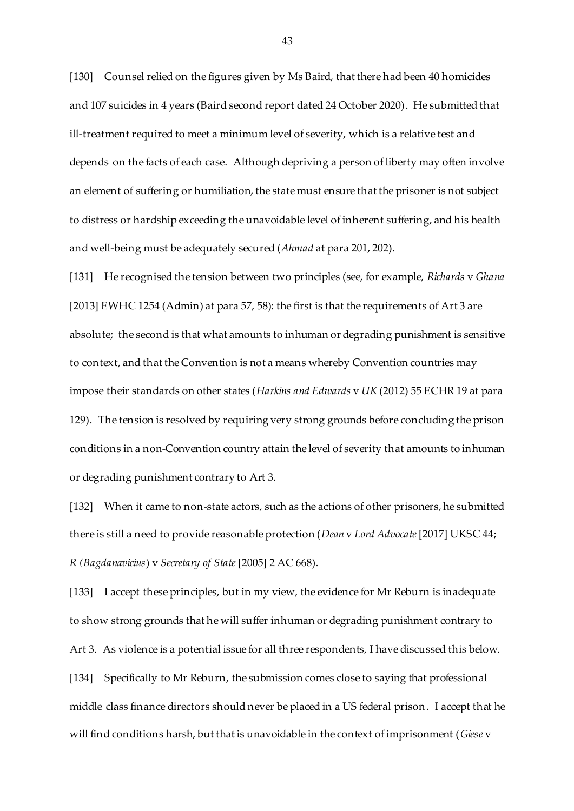[130] Counsel relied on the figures given by Ms Baird, that there had been 40 homicides and 107 suicides in 4 years (Baird second report dated 24 October 2020). He submitted that ill-treatment required to meet a minimum level of severity, which is a relative test and depends on the facts of each case. Although depriving a person of liberty may often involve an element of suffering or humiliation, the state must ensure that the prisoner is not subject to distress or hardship exceeding the unavoidable level of inherent suffering, and his health and well-being must be adequately secured (*Ahmad* at para 201, 202).

[131] He recognised the tension between two principles (see, for example, *Richards* v *Ghana* [2013] EWHC 1254 (Admin) at para 57, 58): the first is that the requirements of Art 3 are absolute; the second is that what amounts to inhuman or degrading punishment is sensitive to context, and that the Convention is not a means whereby Convention countries may impose their standards on other states (*Harkins and Edwards* v *UK* (2012) 55 ECHR 19 at para 129). The tension is resolved by requiring very strong grounds before concluding the prison conditions in a non-Convention country attain the level of severity that amounts to inhuman or degrading punishment contrary to Art 3.

[132] When it came to non-state actors, such as the actions of other prisoners, he submitted there is still a need to provide reasonable protection (*Dean* v *Lord Advocate*[2017] UKSC 44; *R (Bagdanavicius*) v *Secretary of State* [2005] 2 AC 668).

[133] I accept these principles, but in my view, the evidence for Mr Reburn is inadequate to show strong grounds that he will suffer inhuman or degrading punishment contrary to Art 3. As violence is a potential issue for all three respondents, I have discussed this below. [134] Specifically to Mr Reburn, the submission comes close to saying that professional middle class finance directors should never be placed in a US federal prison. I accept that he will find conditions harsh, but that is unavoidable in the context of imprisonment (*Giese* v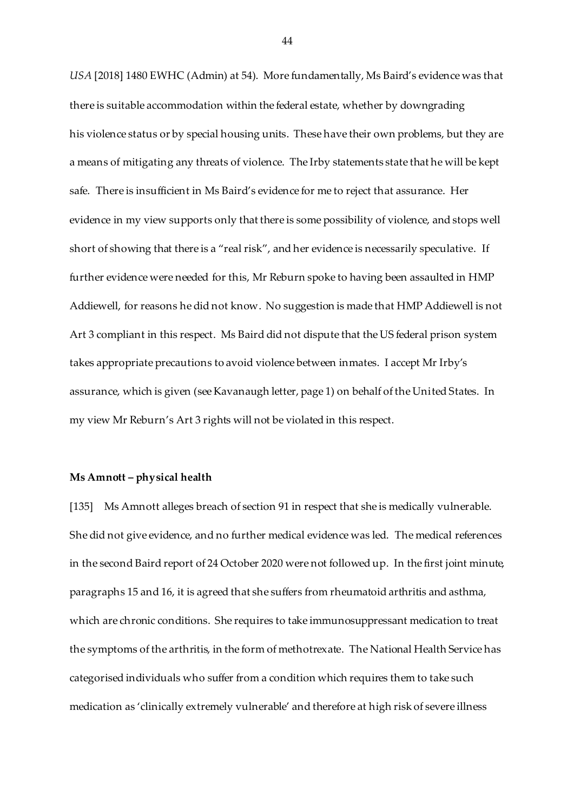*USA* [2018] 1480 EWHC (Admin) at 54). More fundamentally, Ms Baird's evidence was that there is suitable accommodation within the federal estate, whether by downgrading his violence status or by special housing units. These have their own problems, but they are a means of mitigating any threats of violence. The Irby statements state that he will be kept safe. There is insufficient in Ms Baird's evidence for me to reject that assurance. Her evidence in my view supports only that there is some possibility of violence, and stops well short of showing that there is a "real risk", and her evidence is necessarily speculative. If further evidence were needed for this, Mr Reburn spoke to having been assaulted in HMP Addiewell, for reasons he did not know. No suggestion is made that HMP Addiewell is not Art 3 compliant in this respect. Ms Baird did not dispute that the US federal prison system takes appropriate precautions to avoid violence between inmates. I accept Mr Irby's assurance, which is given (see Kavanaugh letter, page 1) on behalf of the United States. In my view Mr Reburn's Art 3 rights will not be violated in this respect.

### **Ms Amnott – physical health**

[135] Ms Amnott alleges breach of section 91 in respect that she is medically vulnerable. She did not give evidence, and no further medical evidence was led. The medical references in the second Baird report of 24 October 2020 were not followed up. In the first joint minute, paragraphs 15 and 16, it is agreed that she suffers from rheumatoid arthritis and asthma, which are chronic conditions. She requires to take immunosuppressant medication to treat the symptoms of the arthritis, in the form of methotrexate. The National Health Service has categorised individuals who suffer from a condition which requires them to take such medication as 'clinically extremely vulnerable' and therefore at high risk of severe illness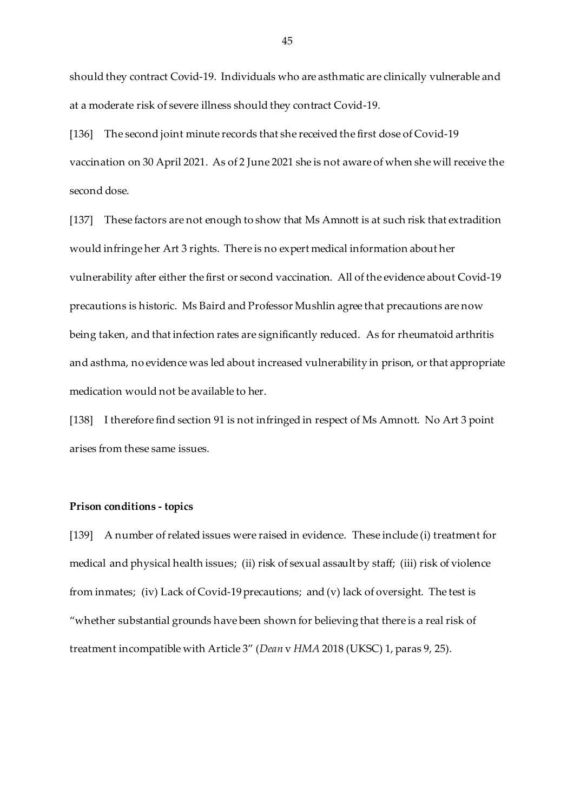should they contract Covid-19. Individuals who are asthmatic are clinically vulnerable and at a moderate risk of severe illness should they contract Covid-19.

[136] The second joint minute records that she received the first dose of Covid-19 vaccination on 30 April 2021. As of 2 June 2021 she is not aware of when she will receive the second dose.

[137] These factors are not enough to show that Ms Amnott is at such risk that extradition would infringe her Art 3 rights. There is no expert medical information about her vulnerability after either the first or second vaccination. All of the evidence about Covid-19 precautions is historic. Ms Baird and Professor Mushlin agree that precautions are now being taken, and that infection rates are significantly reduced. As for rheumatoid arthritis and asthma, no evidence was led about increased vulnerability in prison, or that appropriate medication would not be available to her.

[138] I therefore find section 91 is not infringed in respect of Ms Amnott. No Art 3 point arises from these same issues.

### **Prison conditions - topics**

[139] A number of related issues were raised in evidence. These include (i) treatment for medical and physical health issues; (ii) risk of sexual assault by staff; (iii) risk of violence from inmates; (iv) Lack of Covid-19 precautions; and (v) lack of oversight. The test is "whether substantial grounds have been shown for believing that there is a real risk of treatment incompatible with Article 3" (*Dean* v *HMA* 2018 (UKSC) 1, paras 9, 25).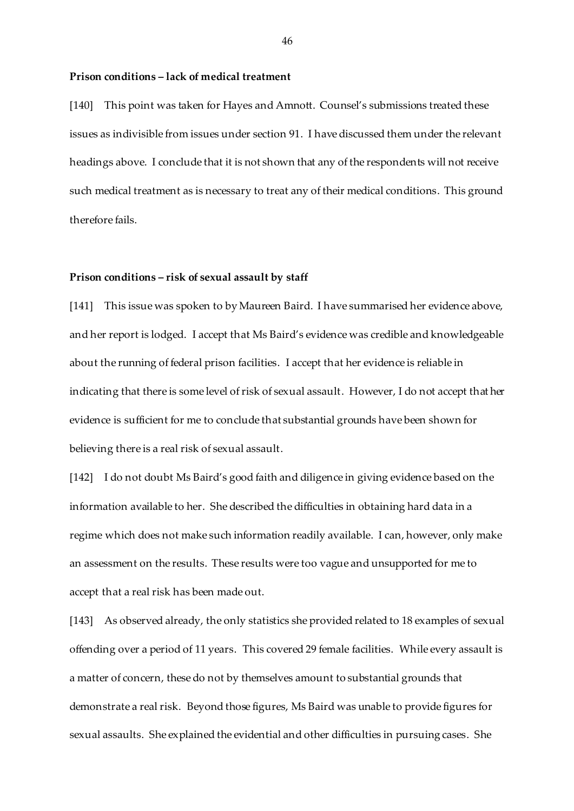### **Prison conditions – lack of medical treatment**

[140] This point was taken for Hayes and Amnott. Counsel's submissions treated these issues as indivisible from issues under section 91. I have discussed them under the relevant headings above. I conclude that it is not shown that any of the respondents will not receive such medical treatment as is necessary to treat any of their medical conditions. This ground therefore fails.

### **Prison conditions – risk of sexual assault by staff**

[141] This issue was spoken to by Maureen Baird. I have summarised her evidence above, and her report is lodged. I accept that Ms Baird's evidence was credible and knowledgeable about the running of federal prison facilities. I accept that her evidence is reliable in indicating that there is some level of risk of sexual assault. However, I do not accept that her evidence is sufficient for me to conclude that substantial grounds have been shown for believing there is a real risk of sexual assault.

[142] I do not doubt Ms Baird's good faith and diligence in giving evidence based on the information available to her. She described the difficulties in obtaining hard data in a regime which does not make such information readily available. I can, however, only make an assessment on the results. These results were too vague and unsupported for me to accept that a real risk has been made out.

[143] As observed already, the only statistics she provided related to 18 examples of sexual offending over a period of 11 years. This covered 29 female facilities. While every assault is a matter of concern, these do not by themselves amount to substantial grounds that demonstrate a real risk. Beyond those figures, Ms Baird was unable to provide figures for sexual assaults. She explained the evidential and other difficulties in pursuing cases. She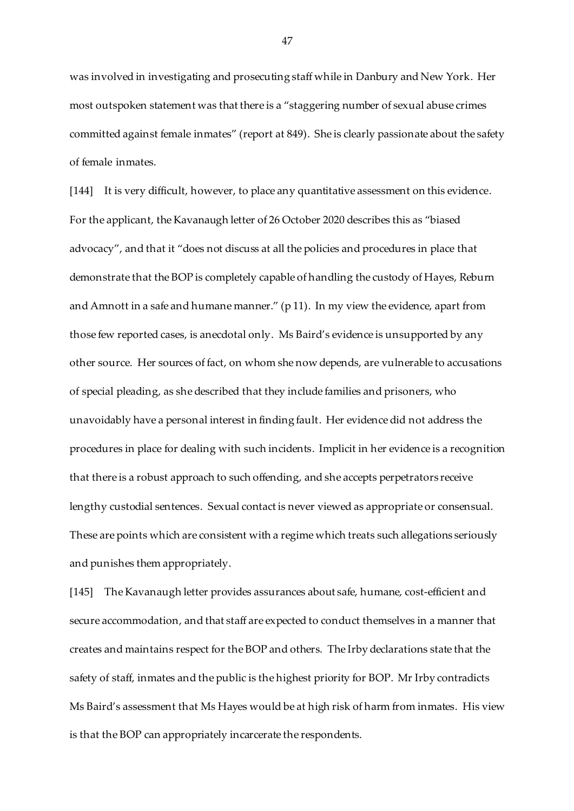was involved in investigating and prosecuting staff while in Danbury and New York. Her most outspoken statement was that there is a "staggering number of sexual abuse crimes committed against female inmates" (report at 849). She is clearly passionate about the safety of female inmates.

[144] It is very difficult, however, to place any quantitative assessment on this evidence. For the applicant, the Kavanaugh letter of 26 October 2020 describes this as "biased advocacy", and that it "does not discuss at all the policies and procedures in place that demonstrate that the BOP is completely capable of handling the custody of Hayes, Reburn and Amnott in a safe and humane manner."  $(p 11)$ . In my view the evidence, apart from those few reported cases, is anecdotal only. Ms Baird's evidence is unsupported by any other source. Her sources of fact, on whom she now depends, are vulnerable to accusations of special pleading, as she described that they include families and prisoners, who unavoidably have a personal interest in finding fault. Her evidence did not address the procedures in place for dealing with such incidents. Implicit in her evidence is a recognition that there is a robust approach to such offending, and she accepts perpetrators receive lengthy custodial sentences. Sexual contact is never viewed as appropriate or consensual. These are points which are consistent with a regime which treats such allegations seriously and punishes them appropriately.

[145] The Kavanaugh letter provides assurances about safe, humane, cost-efficient and secure accommodation, and that staff are expected to conduct themselves in a manner that creates and maintains respect for the BOP and others. The Irby declarations state that the safety of staff, inmates and the public is the highest priority for BOP. Mr Irby contradicts Ms Baird's assessment that Ms Hayes would be at high risk of harm from inmates. His view is that the BOP can appropriately incarcerate the respondents.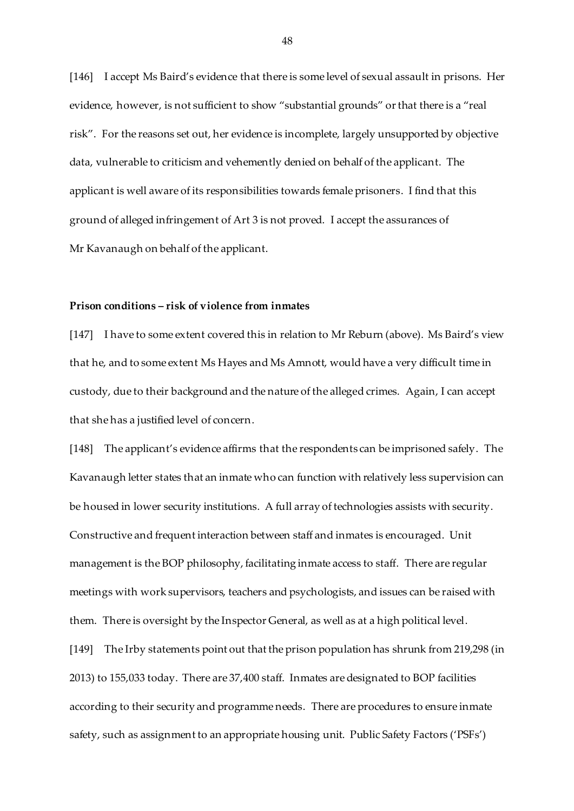[146] I accept Ms Baird's evidence that there is some level of sexual assault in prisons. Her evidence, however, is not sufficient to show "substantial grounds" or that there is a "real risk". For the reasons set out, her evidence is incomplete, largely unsupported by objective data, vulnerable to criticism and vehemently denied on behalf of the applicant. The applicant is well aware of its responsibilities towards female prisoners. I find that this ground of alleged infringement of Art 3 is not proved. I accept the assurances of Mr Kavanaugh on behalf of the applicant.

# **Prison conditions – risk of violence from inmates**

[147] I have to some extent covered this in relation to Mr Reburn (above). Ms Baird's view that he, and to some extent Ms Hayes and Ms Amnott, would have a very difficult time in custody, due to their background and the nature of the alleged crimes. Again, I can accept that she has a justified level of concern.

[148] The applicant's evidence affirms that the respondents can be imprisoned safely. The Kavanaugh letter states that an inmate who can function with relatively less supervision can be housed in lower security institutions. A full array of technologies assists with security. Constructive and frequent interaction between staff and inmates is encouraged. Unit management is the BOP philosophy, facilitating inmate access to staff. There are regular meetings with work supervisors, teachers and psychologists, and issues can be raised with them. There is oversight by the Inspector General, as well as at a high political level. [149] The Irby statements point out that the prison population has shrunk from 219,298 (in 2013) to 155,033 today. There are 37,400 staff. Inmates are designated to BOP facilities according to their security and programme needs. There are procedures to ensure inmate safety, such as assignment to an appropriate housing unit. Public Safety Factors ('PSFs')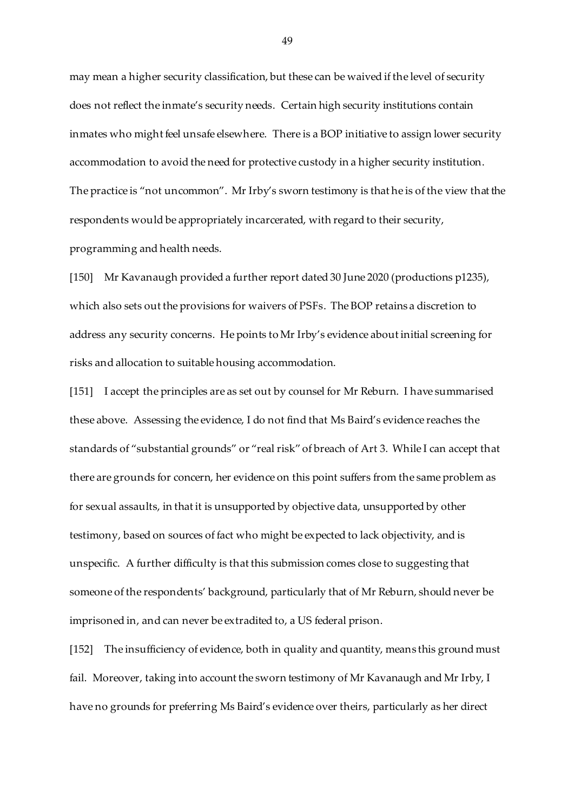may mean a higher security classification, but these can be waived if the level of security does not reflect the inmate's security needs. Certain high security institutions contain inmates who might feel unsafe elsewhere. There is a BOP initiative to assign lower security accommodation to avoid the need for protective custody in a higher security institution. The practice is "not uncommon". Mr Irby's sworn testimony is that he is of the view that the respondents would be appropriately incarcerated, with regard to their security, programming and health needs.

[150] Mr Kavanaugh provided a further report dated 30 June 2020 (productions p1235), which also sets out the provisions for waivers of PSFs. The BOP retains a discretion to address any security concerns. He points to Mr Irby's evidence about initial screening for risks and allocation to suitable housing accommodation.

[151] I accept the principles are as set out by counsel for Mr Reburn. I have summarised these above. Assessing the evidence, I do not find that Ms Baird's evidence reaches the standards of "substantial grounds" or "real risk" of breach of Art 3. While I can accept that there are grounds for concern, her evidence on this point suffers from the same problem as for sexual assaults, in that it is unsupported by objective data, unsupported by other testimony, based on sources of fact who might be expected to lack objectivity, and is unspecific. A further difficulty is that this submission comes close to suggesting that someone of the respondents' background, particularly that of Mr Reburn, should never be imprisoned in, and can never be extradited to, a US federal prison.

[152] The insufficiency of evidence, both in quality and quantity, means this ground must fail. Moreover, taking into account the sworn testimony of Mr Kavanaugh and Mr Irby, I have no grounds for preferring Ms Baird's evidence over theirs, particularly as her direct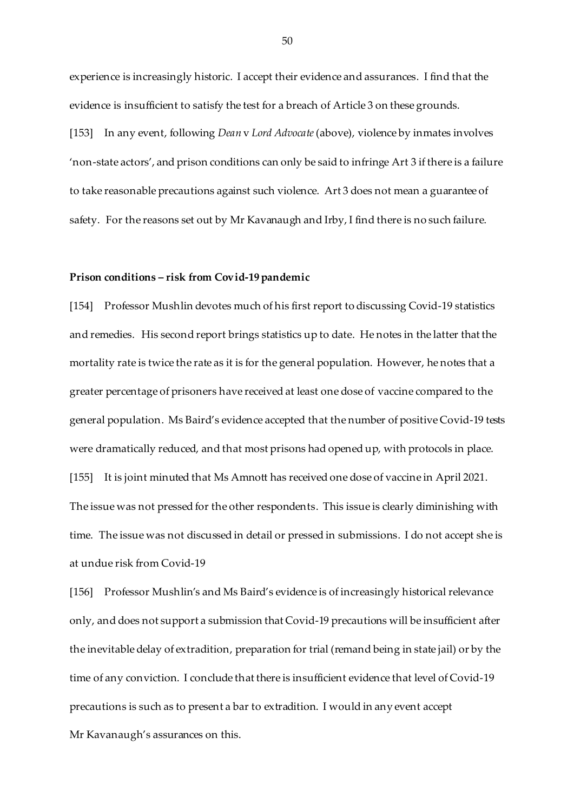experience is increasingly historic. I accept their evidence and assurances. I find that the evidence is insufficient to satisfy the test for a breach of Article 3 on these grounds. [153] In any event, following *Dean* v *Lord Advocate*(above), violence by inmates involves 'non-state actors', and prison conditions can only be said to infringe Art 3 if there is a failure to take reasonable precautions against such violence. Art 3 does not mean a guarantee of safety. For the reasons set out by Mr Kavanaugh and Irby, I find there is no such failure.

### **Prison conditions – risk from Covid-19 pandemic**

[154] Professor Mushlin devotes much of his first report to discussing Covid-19 statistics and remedies. His second report brings statistics up to date. He notes in the latter that the mortality rate is twice the rate as it is for the general population. However, he notes that a greater percentage of prisoners have received at least one dose of vaccine compared to the general population. Ms Baird's evidence accepted that the number of positive Covid-19 tests were dramatically reduced, and that most prisons had opened up, with protocols in place. [155] It is joint minuted that Ms Amnott has received one dose of vaccine in April 2021. The issue was not pressed for the other respondents. This issue is clearly diminishing with time. The issue was not discussed in detail or pressed in submissions. I do not accept she is at undue risk from Covid-19

[156] Professor Mushlin's and Ms Baird's evidence is of increasingly historical relevance only, and does not support a submission that Covid-19 precautions will be insufficient after the inevitable delay of extradition, preparation for trial (remand being in state jail) or by the time of any conviction. I conclude that there is insufficient evidence that level of Covid-19 precautions is such as to present a bar to extradition. I would in any event accept Mr Kavanaugh's assurances on this.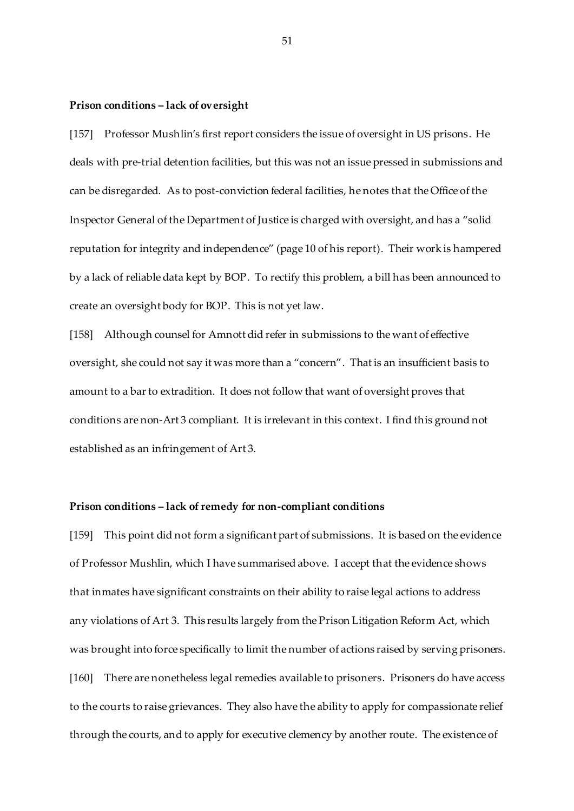### **Prison conditions – lack of oversight**

[157] Professor Mushlin's first report considers the issue of oversight in US prisons. He deals with pre-trial detention facilities, but this was not an issue pressed in submissions and can be disregarded. As to post-conviction federal facilities, he notes that the Office of the Inspector General of the Department of Justice is charged with oversight, and has a "solid reputation for integrity and independence" (page 10 of his report). Their work is hampered by a lack of reliable data kept by BOP. To rectify this problem, a bill has been announced to create an oversight body for BOP. This is not yet law.

[158] Although counsel for Amnott did refer in submissions to the want of effective oversight, she could not say it was more than a "concern". That is an insufficient basis to amount to a bar to extradition. It does not follow that want of oversight proves that conditions are non-Art 3 compliant. It is irrelevant in this context. I find this ground not established as an infringement of Art 3.

# **Prison conditions – lack of remedy for non-compliant conditions**

[159] This point did not form a significant part of submissions. It is based on the evidence of Professor Mushlin, which I have summarised above. I accept that the evidence shows that inmates have significant constraints on their ability to raise legal actions to address any violations of Art 3. This results largely from the Prison Litigation Reform Act, which was brought into force specifically to limit the number of actions raised by serving prisoners. [160] There are nonetheless legal remedies available to prisoners. Prisoners do have access to the courts to raise grievances. They also have the ability to apply for compassionate relief through the courts, and to apply for executive clemency by another route. The existence of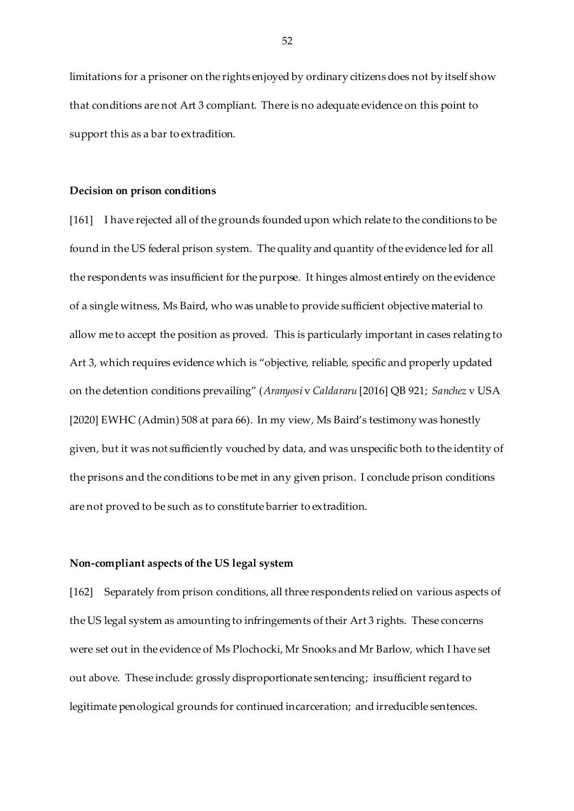limitations for a prisoner on the rights enjoyed by ordinary citizens does not by itself show that conditions are not Art 3 compliant. There is no adequate evidence on this point to support this as a bar to extradition.

### **Decision on prison conditions**

[161] I have rejected all of the grounds founded upon which relate to the conditions to be found in the US federal prison system. The quality and quantity of the evidence led for all the respondents was insufficient for the purpose. It hinges almost entirely on the evidence of a single witness, Ms Baird, who was unable to provide sufficient objective material to allow me to accept the position as proved. This is particularly important in cases relating to Art 3, which requires evidence which is "objective, reliable, specific and properly updated on the detention conditions prevailing" (*Aranyosi* v *Caldararu* [2016] QB 921; *Sanchez* v USA [2020] EWHC (Admin) 508 at para 66). In my view, Ms Baird's testimony was honestly given, but it was not sufficiently vouched by data, and was unspecific both to the identity of the prisons and the conditions to be met in any given prison. I conclude prison conditions are not proved to be such as to constitute barrier to extradition.

# **Non-compliant aspects of the US legal system**

[162] Separately from prison conditions, all three respondents relied on various aspects of the US legal system as amounting to infringements of their Art 3 rights. These concerns were set out in the evidence of Ms Plochocki, Mr Snooks and Mr Barlow, which I have set out above. These include: grossly disproportionate sentencing; insufficient regard to legitimate penological grounds for continued incarceration; and irreducible sentences.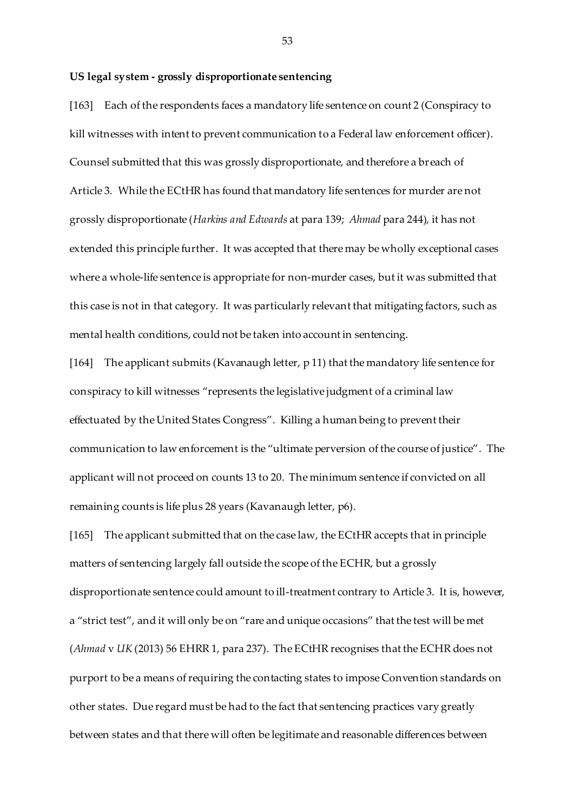### **US legal system - grossly disproportionate sentencing**

[163] Each of the respondents faces a mandatory life sentence on count 2 (Conspiracy to kill witnesses with intent to prevent communication to a Federal law enforcement officer). Counsel submitted that this was grossly disproportionate, and therefore a breach of Article 3. While the ECtHR has found that mandatory life sentences for murder are not grossly disproportionate (*Harkins and Edwards* at para 139; *Ahmad* para 244), it has not extended this principle further. It was accepted that there may be wholly exceptional cases where a whole-life sentence is appropriate for non-murder cases, but it was submitted that this case is not in that category. It was particularly relevant that mitigating factors, such as mental health conditions, could not be taken into account in sentencing.

[164] The applicant submits (Kavanaugh letter, p 11) that the mandatory life sentence for conspiracy to kill witnesses "represents the legislative judgment of a criminal law effectuated by the United States Congress". Killing a human being to prevent their communication to law enforcement is the "ultimate perversion of the course of justice". The applicant will not proceed on counts 13 to 20. The minimum sentence if convicted on all remaining counts is life plus 28 years (Kavanaugh letter, p6).

[165] The applicant submitted that on the case law, the ECtHR accepts that in principle matters of sentencing largely fall outside the scope of the ECHR, but a grossly disproportionate sentence could amount to ill-treatment contrary to Article 3. It is, however, a "strict test", and it will only be on "rare and unique occasions" that the test will be met (*Ahmad* v *UK* (2013) 56 EHRR 1, para 237). The ECtHR recognises that the ECHR does not purport to be a means of requiring the contacting states to impose Convention standards on other states. Due regard must be had to the fact that sentencing practices vary greatly between states and that there will often be legitimate and reasonable differences between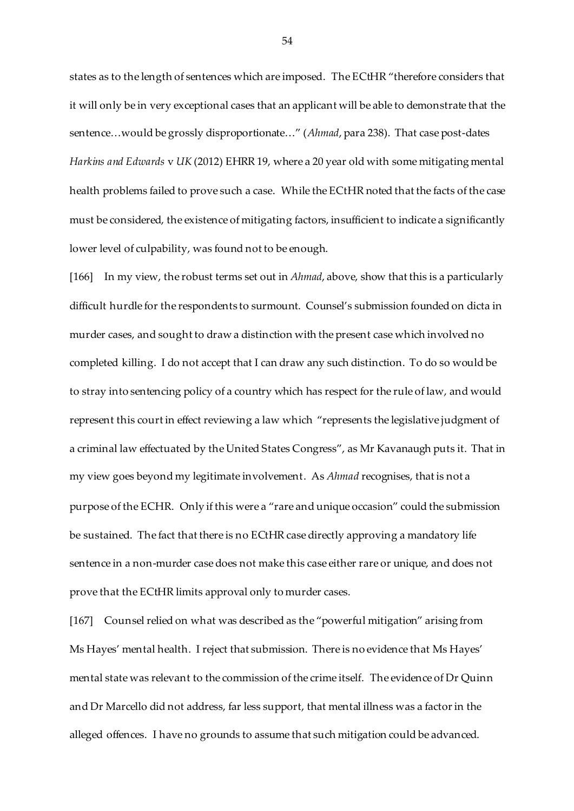states as to the length of sentences which are imposed. The ECtHR "therefore considers that it will only be in very exceptional cases that an applicant will be able to demonstrate that the sentence…would be grossly disproportionate…" (*Ahmad*, para 238). That case post-dates *Harkins and Edwards* v *UK* (2012) EHRR 19, where a 20 year old with some mitigating mental health problems failed to prove such a case. While the ECtHR noted that the facts of the case must be considered, the existence of mitigating factors, insufficient to indicate a significantly lower level of culpability, was found not to be enough.

[166] In my view, the robust terms set out in *Ahmad*, above, show that this is a particularly difficult hurdle for the respondents to surmount. Counsel's submission founded on dicta in murder cases, and sought to draw a distinction with the present case which involved no completed killing. I do not accept that I can draw any such distinction. To do so would be to stray into sentencing policy of a country which has respect for the rule of law, and would represent this court in effect reviewing a law which "represents the legislative judgment of a criminal law effectuated by the United States Congress", as Mr Kavanaugh puts it. That in my view goes beyond my legitimate involvement. As *Ahmad* recognises, that is not a purpose of the ECHR. Only if this were a "rare and unique occasion" could the submission be sustained. The fact that there is no ECtHR case directly approving a mandatory life sentence in a non-murder case does not make this case either rare or unique, and does not prove that the ECtHR limits approval only to murder cases.

[167] Counsel relied on what was described as the "powerful mitigation" arising from Ms Hayes' mental health. I reject that submission. There is no evidence that Ms Hayes' mental state was relevant to the commission of the crime itself. The evidence of Dr Quinn and Dr Marcello did not address, far less support, that mental illness was a factor in the alleged offences. I have no grounds to assume that such mitigation could be advanced.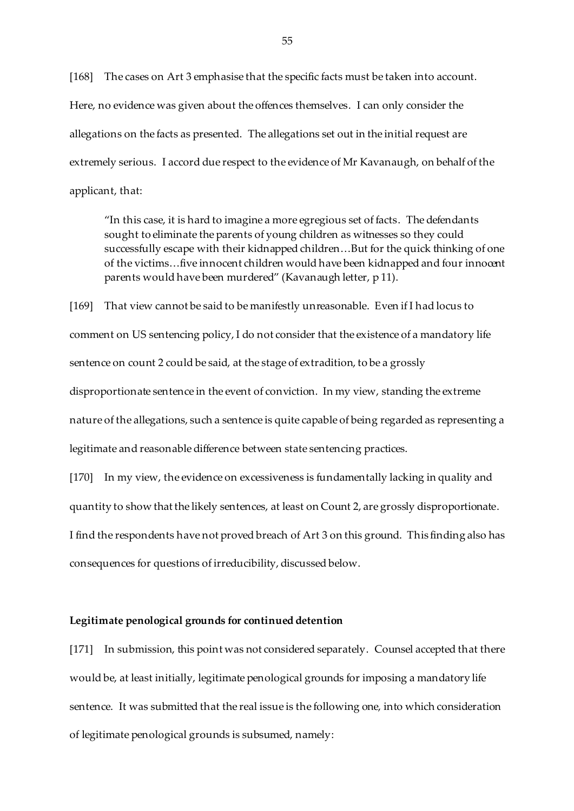[168] The cases on Art 3 emphasise that the specific facts must be taken into account. Here, no evidence was given about the offences themselves. I can only consider the allegations on the facts as presented. The allegations set out in the initial request are extremely serious. I accord due respect to the evidence of Mr Kavanaugh, on behalf of the applicant, that:

"In this case, it is hard to imagine a more egregious set of facts. The defendants sought to eliminate the parents of young children as witnesses so they could successfully escape with their kidnapped children…But for the quick thinking of one of the victims…five innocent children would have been kidnapped and four innocent parents would have been murdered" (Kavanaugh letter, p 11).

[169] That view cannot be said to be manifestly unreasonable. Even if I had locus to comment on US sentencing policy, I do not consider that the existence of a mandatory life sentence on count 2 could be said, at the stage of extradition, to be a grossly disproportionate sentence in the event of conviction. In my view, standing the extreme nature of the allegations, such a sentence is quite capable of being regarded as representing a legitimate and reasonable difference between state sentencing practices.

[170] In my view, the evidence on excessiveness is fundamentally lacking in quality and

quantity to show that the likely sentences, at least on Count 2, are grossly disproportionate.

I find the respondents have not proved breach of Art 3 on this ground. This finding also has consequences for questions of irreducibility, discussed below.

### **Legitimate penological grounds for continued detention**

[171] In submission, this point was not considered separately. Counsel accepted that there would be, at least initially, legitimate penological grounds for imposing a mandatory life sentence. It was submitted that the real issue is the following one, into which consideration of legitimate penological grounds is subsumed, namely: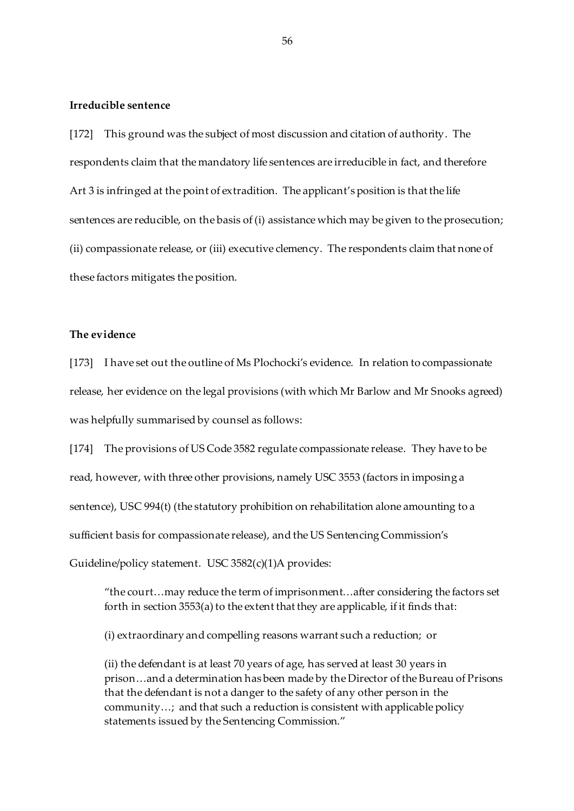# **Irreducible sentence**

[172] This ground was the subject of most discussion and citation of authority. The respondents claim that the mandatory life sentences are irreducible in fact, and therefore Art 3 is infringed at the point of extradition. The applicant's position is that the life sentences are reducible, on the basis of (i) assistance which may be given to the prosecution; (ii) compassionate release, or (iii) executive clemency. The respondents claim that none of these factors mitigates the position.

# **The evidence**

[173] I have set out the outline of Ms Plochocki's evidence. In relation to compassionate release, her evidence on the legal provisions (with which Mr Barlow and Mr Snooks agreed) was helpfully summarised by counsel as follows:

[174] The provisions of US Code 3582 regulate compassionate release. They have to be read, however, with three other provisions, namely USC 3553 (factors in imposing a sentence), USC 994(t) (the statutory prohibition on rehabilitation alone amounting to a sufficient basis for compassionate release), and the US Sentencing Commission's Guideline/policy statement. USC 3582(c)(1)A provides:

"the court…may reduce the term of imprisonment…after considering the factors set forth in section 3553(a) to the extent that they are applicable, if it finds that:

(i) extraordinary and compelling reasons warrant such a reduction; or

(ii) the defendant is at least 70 years of age, has served at least 30 years in prison…and a determination has been made by the Director of the Bureau of Prisons that the defendant is not a danger to the safety of any other person in the community…; and that such a reduction is consistent with applicable policy statements issued by the Sentencing Commission."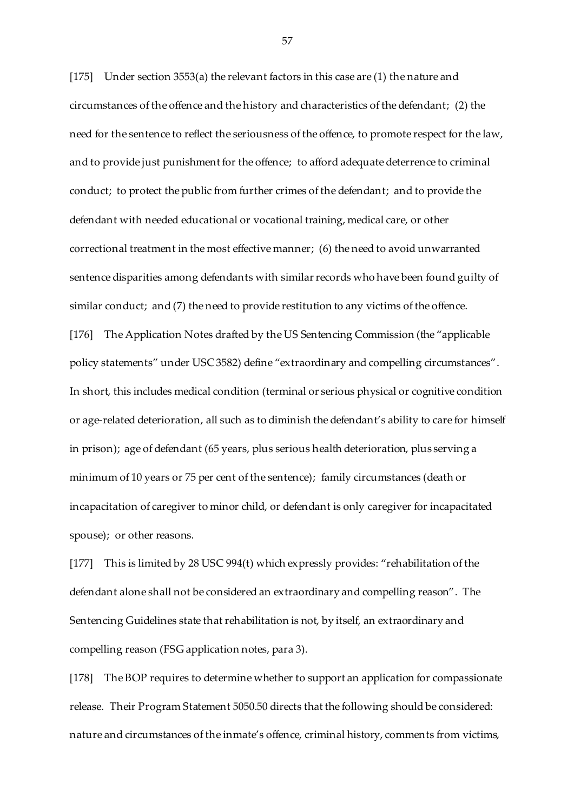[175] Under section 3553(a) the relevant factors in this case are (1) the nature and circumstances of the offence and the history and characteristics of the defendant; (2) the need for the sentence to reflect the seriousness of the offence, to promote respect for the law, and to provide just punishment for the offence; to afford adequate deterrence to criminal conduct; to protect the public from further crimes of the defendant; and to provide the defendant with needed educational or vocational training, medical care, or other correctional treatment in the most effective manner; (6) the need to avoid unwarranted sentence disparities among defendants with similar records who have been found guilty of similar conduct; and (7) the need to provide restitution to any victims of the offence. [176] The Application Notes drafted by the US Sentencing Commission (the "applicable policy statements" under USC 3582) define "extraordinary and compelling circumstances". In short, this includes medical condition (terminal or serious physical or cognitive condition or age-related deterioration, all such as to diminish the defendant's ability to care for himself in prison); age of defendant (65 years, plus serious health deterioration, plus serving a minimum of 10 years or 75 per cent of the sentence); family circumstances (death or incapacitation of caregiver to minor child, or defendant is only caregiver for incapacitated spouse); or other reasons.

[177] This is limited by 28 USC 994(t) which expressly provides: "rehabilitation of the defendant alone shall not be considered an extraordinary and compelling reason". The Sentencing Guidelines state that rehabilitation is not, by itself, an extraordinary and compelling reason (FSG application notes, para 3).

[178] The BOP requires to determine whether to support an application for compassionate release. Their Program Statement 5050.50 directs that the following should be considered: nature and circumstances of the inmate's offence, criminal history, comments from victims,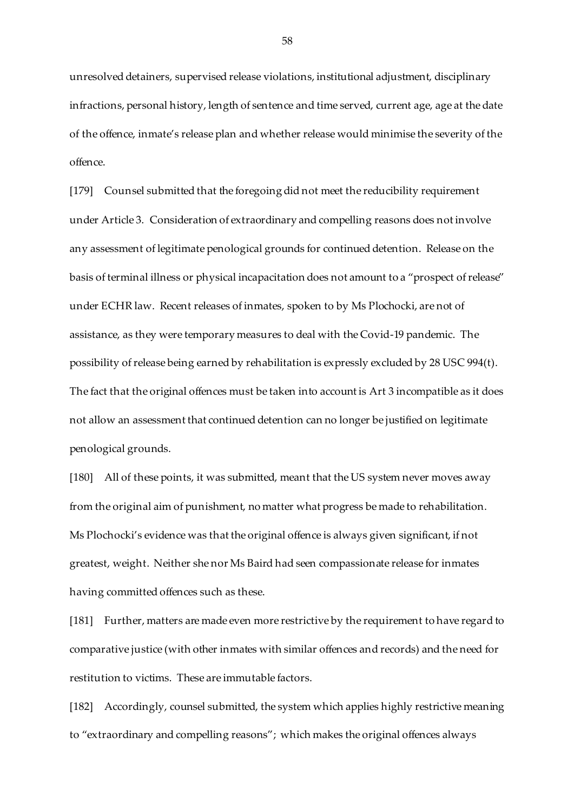unresolved detainers, supervised release violations, institutional adjustment, disciplinary infractions, personal history, length of sentence and time served, current age, age at the date of the offence, inmate's release plan and whether release would minimise the severity of the offence.

[179] Counsel submitted that the foregoing did not meet the reducibility requirement under Article 3. Consideration of extraordinary and compelling reasons does not involve any assessment of legitimate penological grounds for continued detention. Release on the basis of terminal illness or physical incapacitation does not amount to a "prospect of release" under ECHR law. Recent releases of inmates, spoken to by Ms Plochocki, are not of assistance, as they were temporary measures to deal with the Covid-19 pandemic. The possibility of release being earned by rehabilitation is expressly excluded by 28 USC 994(t). The fact that the original offences must be taken into account is Art 3 incompatible as it does not allow an assessment that continued detention can no longer be justified on legitimate penological grounds.

[180] All of these points, it was submitted, meant that the US system never moves away from the original aim of punishment, no matter what progress be made to rehabilitation. Ms Plochocki's evidence was that the original offence is always given significant, if not greatest, weight. Neither she nor Ms Baird had seen compassionate release for inmates having committed offences such as these.

[181] Further, matters are made even more restrictive by the requirement to have regard to comparative justice (with other inmates with similar offences and records) and the need for restitution to victims. These are immutable factors.

[182] Accordingly, counsel submitted, the system which applies highly restrictive meaning to "extraordinary and compelling reasons"; which makes the original offences always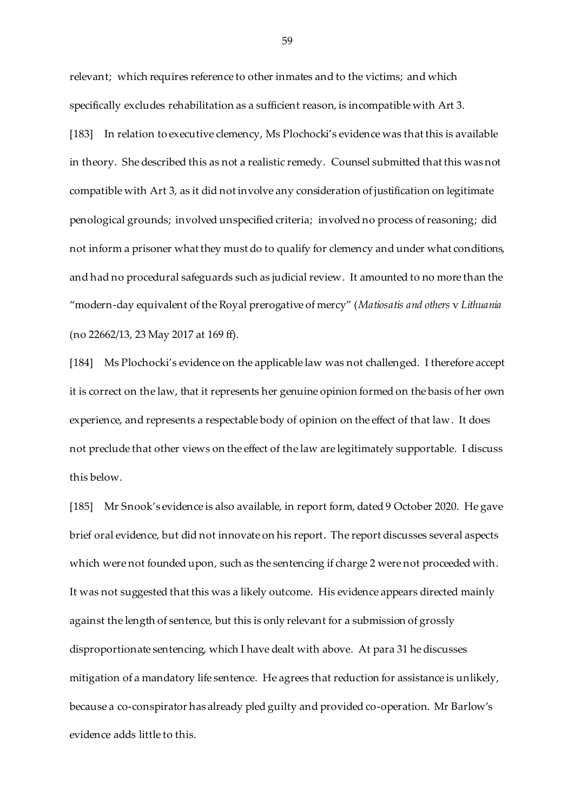relevant; which requires reference to other inmates and to the victims; and which specifically excludes rehabilitation as a sufficient reason, is incompatible with Art 3. [183] In relation to executive clemency, Ms Plochocki's evidence was that this is available in theory. She described this as not a realistic remedy. Counsel submitted that this was not compatible with Art 3, as it did not involve any consideration of justification on legitimate penological grounds; involved unspecified criteria; involved no process of reasoning; did not inform a prisoner what they must do to qualify for clemency and under what conditions, and had no procedural safeguards such as judicial review. It amounted to no more than the "modern-day equivalent of the Royal prerogative of mercy" (*Matiosatis and others* v *Lithuania*  (no 22662/13, 23 May 2017 at 169 ff).

[184] Ms Plochocki's evidence on the applicable law was not challenged. I therefore accept it is correct on the law, that it represents her genuine opinion formed on the basis of her own experience, and represents a respectable body of opinion on the effect of that law. It does not preclude that other views on the effect of the law are legitimately supportable. I discuss this below.

[185] Mr Snook's evidence is also available, in report form, dated 9 October 2020. He gave brief oral evidence, but did not innovate on his report. The report discusses several aspects which were not founded upon, such as the sentencing if charge 2 were not proceeded with. It was not suggested that this was a likely outcome. His evidence appears directed mainly against the length of sentence, but this is only relevant for a submission of grossly disproportionate sentencing, which I have dealt with above. At para 31 he discusses mitigation of a mandatory life sentence. He agrees that reduction for assistance is unlikely, because a co-conspirator has already pled guilty and provided co-operation. Mr Barlow's evidence adds little to this.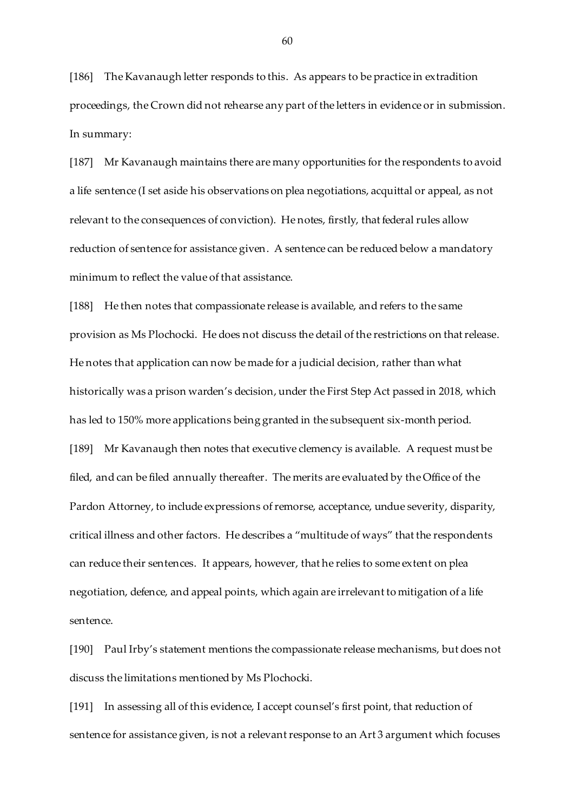[186] The Kavanaugh letter responds to this. As appears to be practice in extradition proceedings, the Crown did not rehearse any part of the letters in evidence or in submission. In summary:

[187] Mr Kavanaugh maintains there are many opportunities for the respondents to avoid a life sentence (I set aside his observations on plea negotiations, acquittal or appeal, as not relevant to the consequences of conviction). He notes, firstly, that federal rules allow reduction of sentence for assistance given. A sentence can be reduced below a mandatory minimum to reflect the value of that assistance.

[188] He then notes that compassionate release is available, and refers to the same provision as Ms Plochocki. He does not discuss the detail of the restrictions on that release. He notes that application can now be made for a judicial decision, rather than what historically was a prison warden's decision, under the First Step Act passed in 2018, which has led to 150% more applications being granted in the subsequent six-month period. [189] Mr Kavanaugh then notes that executive clemency is available. A request must be filed, and can be filed annually thereafter. The merits are evaluated by the Office of the Pardon Attorney, to include expressions of remorse, acceptance, undue severity, disparity, critical illness and other factors. He describes a "multitude of ways" that the respondents can reduce their sentences. It appears, however, that he relies to some extent on plea negotiation, defence, and appeal points, which again are irrelevant to mitigation of a life sentence.

[190] Paul Irby's statement mentions the compassionate release mechanisms, but does not discuss the limitations mentioned by Ms Plochocki.

[191] In assessing all of this evidence, I accept counsel's first point, that reduction of sentence for assistance given, is not a relevant response to an Art 3 argument which focuses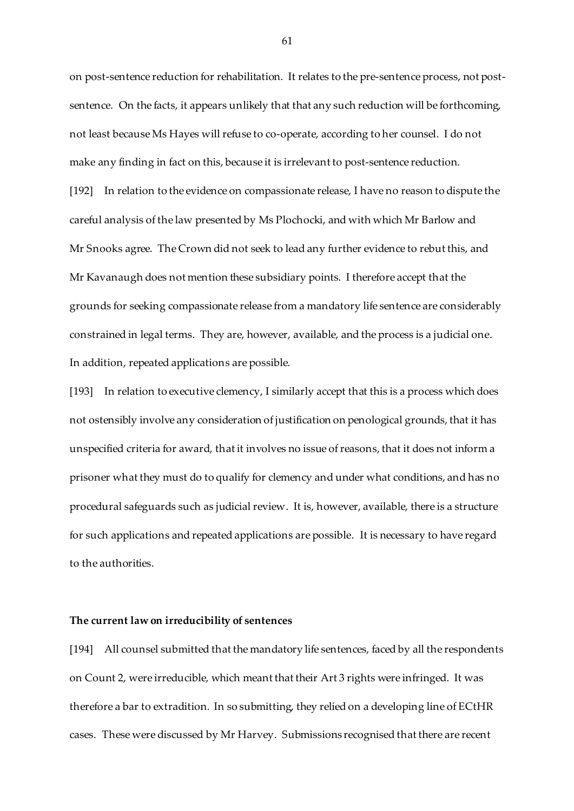on post-sentence reduction for rehabilitation. It relates to the pre-sentence process, not postsentence. On the facts, it appears unlikely that that any such reduction will be forthcoming, not least because Ms Hayes will refuse to co-operate, according to her counsel. I do not make any finding in fact on this, because it is irrelevant to post-sentence reduction. [192] In relation to the evidence on compassionate release, I have no reason to dispute the careful analysis of the law presented by Ms Plochocki, and with which Mr Barlow and Mr Snooks agree. The Crown did not seek to lead any further evidence to rebut this, and Mr Kavanaugh does not mention these subsidiary points. I therefore accept that the grounds for seeking compassionate release from a mandatory life sentence are considerably constrained in legal terms. They are, however, available, and the process is a judicial one. In addition, repeated applications are possible.

[193] In relation to executive clemency, I similarly accept that this is a process which does not ostensibly involve any consideration of justification on penological grounds, that it has unspecified criteria for award, that it involves no issue of reasons, that it does not inform a prisoner what they must do to qualify for clemency and under what conditions, and has no procedural safeguards such as judicial review. It is, however, available, there is a structure for such applications and repeated applications are possible. It is necessary to have regard to the authorities.

### **The current law on irreducibility of sentences**

[194] All counsel submitted that the mandatory life sentences, faced by all the respondents on Count 2, were irreducible, which meant that their Art 3 rights were infringed. It was therefore a bar to extradition. In so submitting, they relied on a developing line of ECtHR cases. These were discussed by Mr Harvey. Submissions recognised that there are recent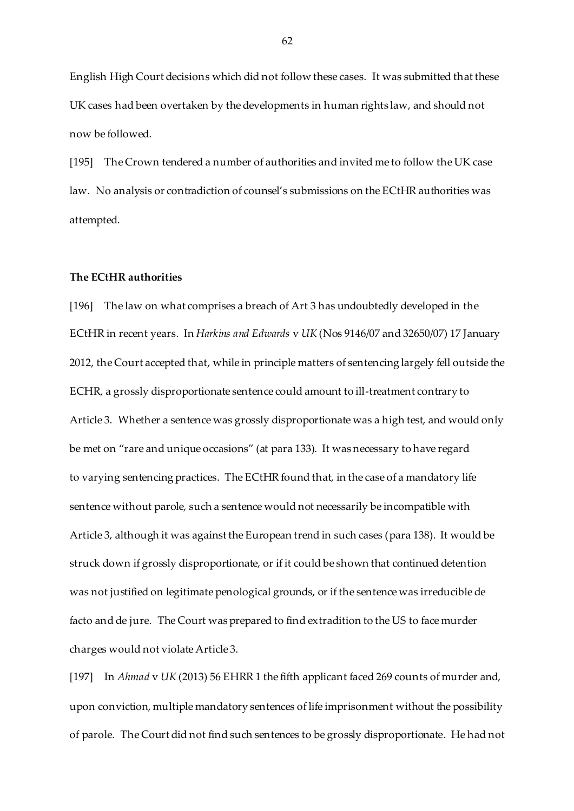English High Court decisions which did not follow these cases. It was submitted that these UK cases had been overtaken by the developments in human rights law, and should not now be followed.

[195] The Crown tendered a number of authorities and invited me to follow the UK case law. No analysis or contradiction of counsel's submissions on the ECtHR authorities was attempted.

# **The ECtHR authorities**

[196] The law on what comprises a breach of Art 3 has undoubtedly developed in the ECtHR in recent years. In *Harkins and Edwards* v *UK* (Nos 9146/07 and 32650/07) 17 January 2012, the Court accepted that, while in principle matters of sentencing largely fell outside the ECHR, a grossly disproportionate sentence could amount to ill-treatment contrary to Article 3. Whether a sentence was grossly disproportionate was a high test, and would only be met on "rare and unique occasions" (at para 133). It was necessary to have regard to varying sentencing practices. The ECtHR found that, in the case of a mandatory life sentence without parole, such a sentence would not necessarily be incompatible with Article 3, although it was against the European trend in such cases (para 138). It would be struck down if grossly disproportionate, or if it could be shown that continued detention was not justified on legitimate penological grounds, or if the sentence was irreducible de facto and de jure. The Court was prepared to find extradition to the US to face murder charges would not violate Article 3.

[197] In *Ahmad* v *UK* (2013) 56 EHRR 1 the fifth applicant faced 269 counts of murder and, upon conviction, multiple mandatory sentences of life imprisonment without the possibility of parole. The Court did not find such sentences to be grossly disproportionate. He had not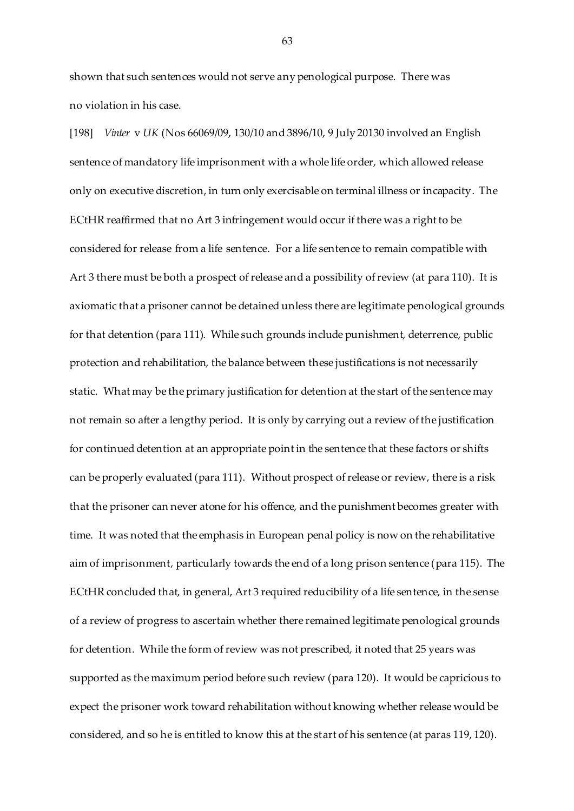shown that such sentences would not serve any penological purpose. There was no violation in his case.

[198] *Vinter* v *UK* (Nos 66069/09, 130/10 and 3896/10, 9 July 20130 involved an English sentence of mandatory life imprisonment with a whole life order, which allowed release only on executive discretion, in turn only exercisable on terminal illness or incapacity. The ECtHR reaffirmed that no Art 3 infringement would occur if there was a right to be considered for release from a life sentence. For a life sentence to remain compatible with Art 3 there must be both a prospect of release and a possibility of review (at para 110). It is axiomatic that a prisoner cannot be detained unless there are legitimate penological grounds for that detention (para 111). While such grounds include punishment, deterrence, public protection and rehabilitation, the balance between these justifications is not necessarily static. What may be the primary justification for detention at the start of the sentence may not remain so after a lengthy period. It is only by carrying out a review of the justification for continued detention at an appropriate point in the sentence that these factors or shifts can be properly evaluated (para 111). Without prospect of release or review, there is a risk that the prisoner can never atone for his offence, and the punishment becomes greater with time. It was noted that the emphasis in European penal policy is now on the rehabilitative aim of imprisonment, particularly towards the end of a long prison sentence (para 115). The ECtHR concluded that, in general, Art 3 required reducibility of a life sentence, in the sense of a review of progress to ascertain whether there remained legitimate penological grounds for detention. While the form of review was not prescribed, it noted that 25 years was supported as the maximum period before such review (para 120). It would be capricious to expect the prisoner work toward rehabilitation without knowing whether release would be considered, and so he is entitled to know this at the start of his sentence (at paras 119, 120).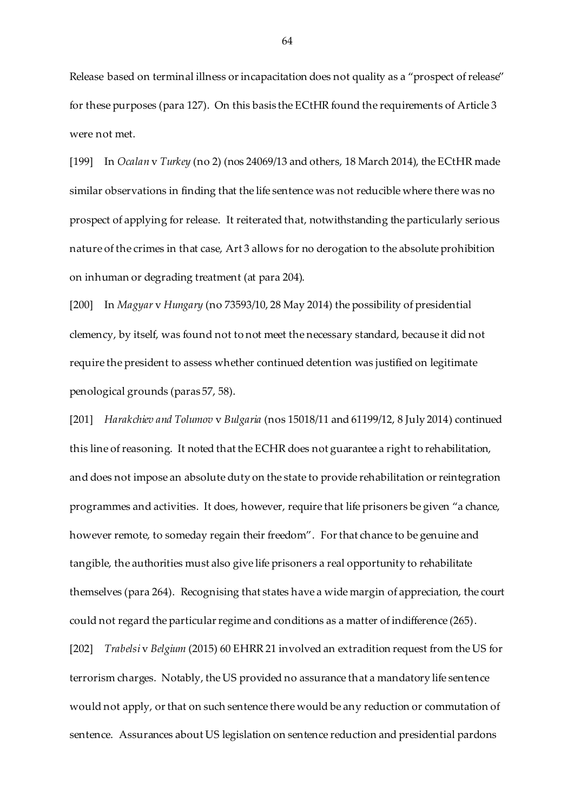Release based on terminal illness or incapacitation does not quality as a "prospect of release" for these purposes (para 127). On this basis the ECtHR found the requirements of Article 3 were not met.

[199] In *Ocalan* v *Turkey* (no 2) (nos 24069/13 and others, 18 March 2014), the ECtHR made similar observations in finding that the life sentence was not reducible where there was no prospect of applying for release. It reiterated that, notwithstanding the particularly serious nature of the crimes in that case, Art 3 allows for no derogation to the absolute prohibition on inhuman or degrading treatment (at para 204).

[200] In *Magyar* v *Hungary* (no 73593/10, 28 May 2014) the possibility of presidential clemency, by itself, was found not to not meet the necessary standard, because it did not require the president to assess whether continued detention was justified on legitimate penological grounds (paras 57, 58).

[201] *Harakchiev and Tolumov* v *Bulgaria* (nos 15018/11 and 61199/12, 8 July 2014) continued this line of reasoning. It noted that the ECHR does not guarantee a right to rehabilitation, and does not impose an absolute duty on the state to provide rehabilitation or reintegration programmes and activities. It does, however, require that life prisoners be given "a chance, however remote, to someday regain their freedom". For that chance to be genuine and tangible, the authorities must also give life prisoners a real opportunity to rehabilitate themselves (para 264). Recognising that states have a wide margin of appreciation, the court could not regard the particular regime and conditions as a matter of indifference (265).

[202] *Trabelsi* v *Belgium* (2015) 60 EHRR 21 involved an extradition request from the US for terrorism charges. Notably, the US provided no assurance that a mandatory life sentence would not apply, or that on such sentence there would be any reduction or commutation of sentence. Assurances about US legislation on sentence reduction and presidential pardons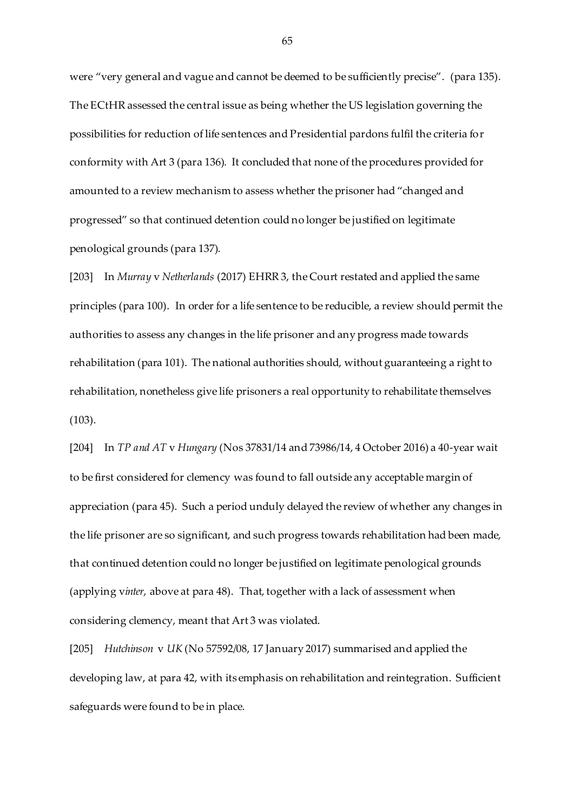were "very general and vague and cannot be deemed to be sufficiently precise". (para 135). The ECtHR assessed the central issue as being whether the US legislation governing the possibilities for reduction of life sentences and Presidential pardons fulfil the criteria for conformity with Art 3 (para 136). It concluded that none of the procedures provided for amounted to a review mechanism to assess whether the prisoner had "changed and progressed" so that continued detention could no longer be justified on legitimate penological grounds (para 137).

[203] In *Murray* v *Netherlands* (2017) EHRR 3, the Court restated and applied the same principles (para 100). In order for a life sentence to be reducible, a review should permit the authorities to assess any changes in the life prisoner and any progress made towards rehabilitation (para 101). The national authorities should, without guaranteeing a right to rehabilitation, nonetheless give life prisoners a real opportunity to rehabilitate themselves (103).

[204] In *TP and AT* v *Hungary* (Nos 37831/14 and 73986/14, 4 October 2016) a 40-year wait to be first considered for clemency was found to fall outside any acceptable margin of appreciation (para 45). Such a period unduly delayed the review of whether any changes in the life prisoner are so significant, and such progress towards rehabilitation had been made, that continued detention could no longer be justified on legitimate penological grounds (applying v*inter*, above at para 48). That, together with a lack of assessment when considering clemency, meant that Art 3 was violated.

[205] *Hutchinson* v *UK* (No 57592/08, 17 January 2017) summarised and applied the developing law, at para 42, with its emphasis on rehabilitation and reintegration. Sufficient safeguards were found to be in place.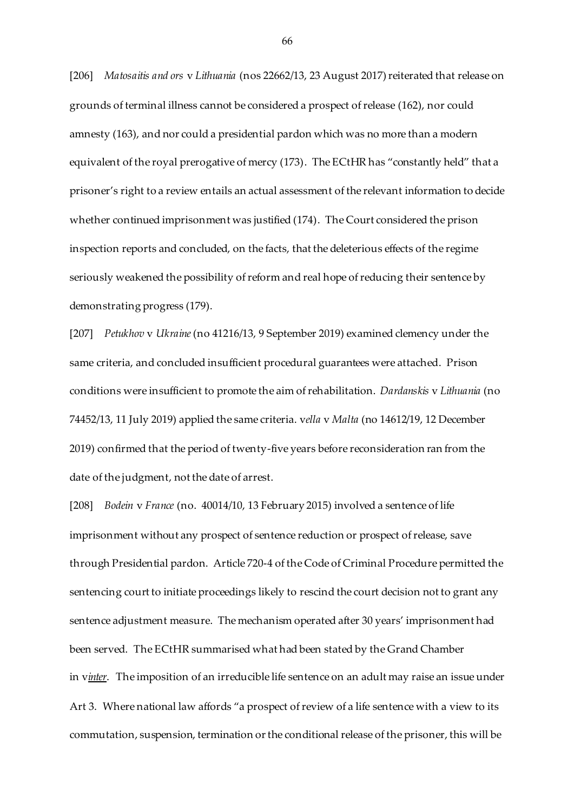[206] *Matosaitis and ors* v *Lithuania* (nos 22662/13, 23 August 2017) reiterated that release on grounds of terminal illness cannot be considered a prospect of release (162), nor could amnesty (163), and nor could a presidential pardon which was no more than a modern equivalent of the royal prerogative of mercy (173). The ECtHR has "constantly held" that a prisoner's right to a review entails an actual assessment of the relevant information to decide whether continued imprisonment was justified (174). The Court considered the prison inspection reports and concluded, on the facts, that the deleterious effects of the regime seriously weakened the possibility of reform and real hope of reducing their sentence by demonstrating progress (179).

[207] *Petukhov* v *Ukraine*(no 41216/13, 9 September 2019) examined clemency under the same criteria, and concluded insufficient procedural guarantees were attached. Prison conditions were insufficient to promote the aim of rehabilitation. *Dardanskis* v *Lithuania* (no 74452/13, 11 July 2019) applied the same criteria. v*ella* v *Malta* (no 14612/19, 12 December 2019) confirmed that the period of twenty-five years before reconsideration ran from the date of the judgment, not the date of arrest.

[208] *Bodein* v *France* (no. 40014/10, 13 February 2015) involved a sentence of life imprisonment without any prospect of sentence reduction or prospect of release, save through Presidential pardon. Article 720-4 of the Code of Criminal Procedure permitted the sentencing court to initiate proceedings likely to rescind the court decision not to grant any sentence adjustment measure. The mechanism operated after 30 years' imprisonment had been served. The ECtHR summarised what had been stated by the Grand Chamber in v*inter*. The imposition of an irreducible life sentence on an adult may raise an issue under Art 3. Where national law affords "a prospect of review of a life sentence with a view to its commutation, suspension, termination or the conditional release of the prisoner, this will be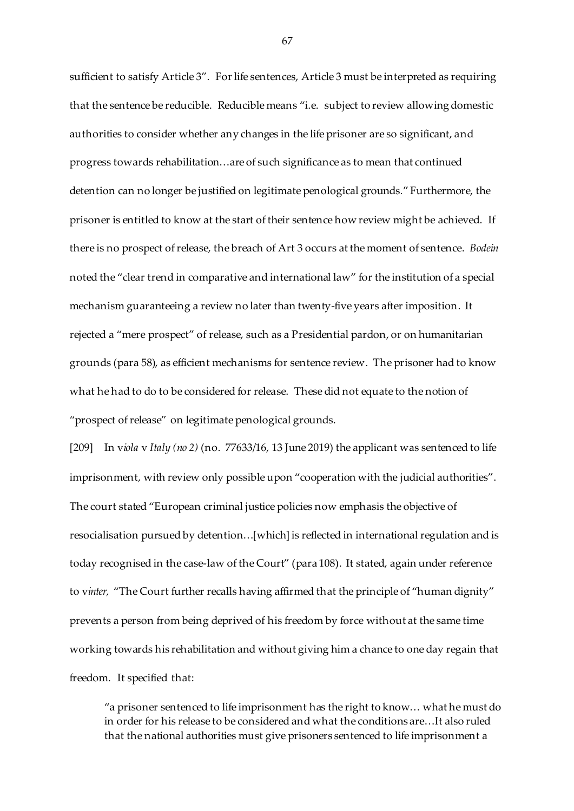sufficient to satisfy Article 3". For life sentences, Article 3 must be interpreted as requiring that the sentence be reducible. Reducible means "i.e. subject to review allowing domestic authorities to consider whether any changes in the life prisoner are so significant, and progress towards rehabilitation…are of such significance as to mean that continued detention can no longer be justified on legitimate penological grounds." Furthermore, the prisoner is entitled to know at the start of their sentence how review might be achieved. If there is no prospect of release, the breach of Art 3 occurs at the moment of sentence. *Bodein* noted the "clear trend in comparative and international law" for the institution of a special mechanism guaranteeing a review no later than twenty-five years after imposition. It rejected a "mere prospect" of release, such as a Presidential pardon, or on humanitarian grounds (para 58), as efficient mechanisms for sentence review. The prisoner had to know what he had to do to be considered for release. These did not equate to the notion of "prospect of release" on legitimate penological grounds.

[209] In v*iola* v *Italy (no 2)* (no. 77633/16, 13 June 2019) the applicant was sentenced to life imprisonment, with review only possible upon "cooperation with the judicial authorities". The court stated "European criminal justice policies now emphasis the objective of resocialisation pursued by detention…[which] is reflected in international regulation and is today recognised in the case-law of the Court" (para 108). It stated, again under reference to v*inter,* "The Court further recalls having affirmed that the principle of "human dignity" prevents a person from being deprived of his freedom by force without at the same time working towards his rehabilitation and without giving him a chance to one day regain that freedom. It specified that:

"a prisoner sentenced to life imprisonment has the right to know… what he must do in order for his release to be considered and what the conditions are…It also ruled that the national authorities must give prisoners sentenced to life imprisonment a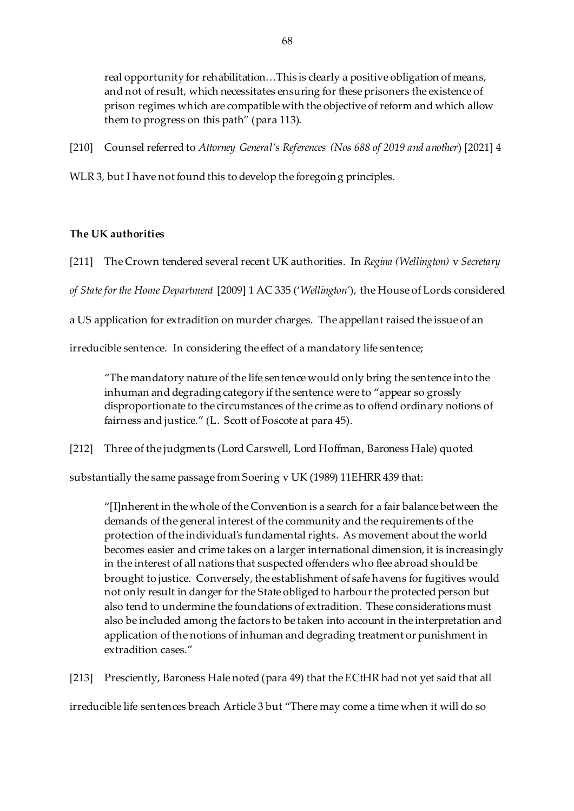real opportunity for rehabilitation…This is clearly a positive obligation of means, and not of result, which necessitates ensuring for these prisoners the existence of prison regimes which are compatible with the objective of reform and which allow them to progress on this path" (para 113).

[210] Counsel referred to *Attorney General's References (Nos 688 of 2019 and another*) [2021] 4

WLR 3, but I have not found this to develop the foregoing principles.

# **The UK authorities**

[211] The Crown tendered several recent UK authorities. In *Regina (Wellington)* v *Secretary* 

*of State for the Home Department* [2009] 1 AC 335 ('*Wellington'*), the House of Lords considered

a US application for extradition on murder charges. The appellant raised the issue of an

irreducible sentence. In considering the effect of a mandatory life sentence;

"The mandatory nature of the life sentence would only bring the sentence into the inhuman and degrading category if the sentence were to "appear so grossly disproportionate to the circumstances of the crime as to offend ordinary notions of fairness and justice." (L. Scott of Foscote at para 45).

[212] Three of the judgments (Lord Carswell, Lord Hoffman, Baroness Hale) quoted

substantially the same passage from Soering v UK (1989) 11EHRR 439 that:

"[I]nherent in the whole of the Convention is a search for a fair balance between the demands of the general interest of the community and the requirements of the protection of the individual's fundamental rights. As movement about the world becomes easier and crime takes on a larger international dimension, it is increasingly in the interest of all nations that suspected offenders who flee abroad should be brought to justice. Conversely, the establishment of safe havens for fugitives would not only result in danger for the State obliged to harbour the protected person but also tend to undermine the foundations of extradition. These considerations must also be included among the factors to be taken into account in the interpretation and application of the notions of inhuman and degrading treatment or punishment in extradition cases."

[213] Presciently, Baroness Hale noted (para 49) that the ECtHR had not yet said that all irreducible life sentences breach Article 3 but "There may come a time when it will do so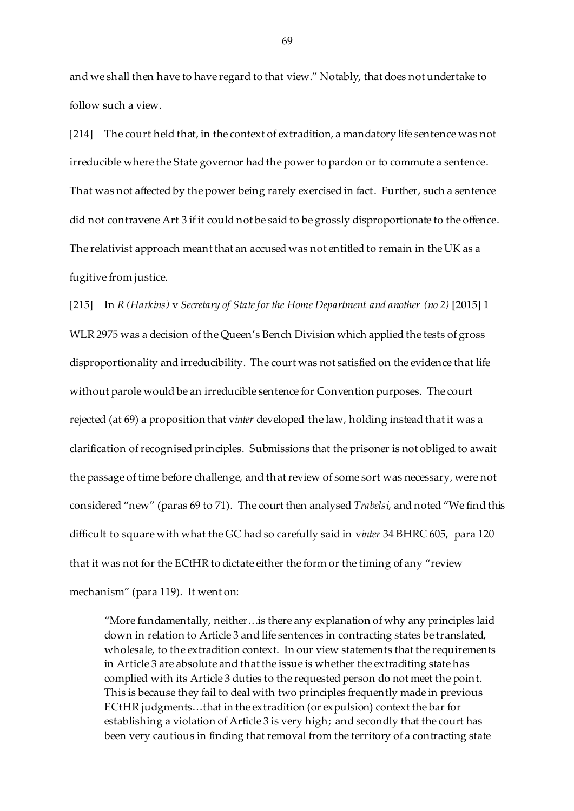and we shall then have to have regard to that view." Notably, that does not undertake to follow such a view.

[214] The court held that, in the context of extradition, a mandatory life sentence was not irreducible where the State governor had the power to pardon or to commute a sentence. That was not affected by the power being rarely exercised in fact. Further, such a sentence did not contravene Art 3 if it could not be said to be grossly disproportionate to the offence. The relativist approach meant that an accused was not entitled to remain in the UK as a fugitive from justice.

[215] In *R (Harkins)* v *Secretary of State for the Home Department and another (no 2)* [2015] 1 WLR 2975 was a decision of the Queen's Bench Division which applied the tests of gross disproportionality and irreducibility. The court was not satisfied on the evidence that life without parole would be an irreducible sentence for Convention purposes. The court rejected (at 69) a proposition that v*inter* developed the law, holding instead that it was a clarification of recognised principles. Submissions that the prisoner is not obliged to await the passage of time before challenge, and that review of some sort was necessary, were not considered "new" (paras 69 to 71). The court then analysed *Trabelsi*, and noted "We find this difficult to square with what the GC had so carefully said in v*inter* 34 BHRC 605, para 120 that it was not for the ECtHR to dictate either the form or the timing of any "review mechanism" (para 119). It went on:

"More fundamentally, neither…is there any explanation of why any principles laid down in relation to Article 3 and life sentences in contracting states be translated, wholesale, to the extradition context. In our view statements that the requirements in Article 3 are absolute and that the issue is whether the extraditing state has complied with its Article 3 duties to the requested person do not meet the point. This is because they fail to deal with two principles frequently made in previous ECtHR judgments…that in the extradition (or expulsion) context the bar for establishing a violation of Article 3 is very high; and secondly that the court has been very cautious in finding that removal from the territory of a contracting state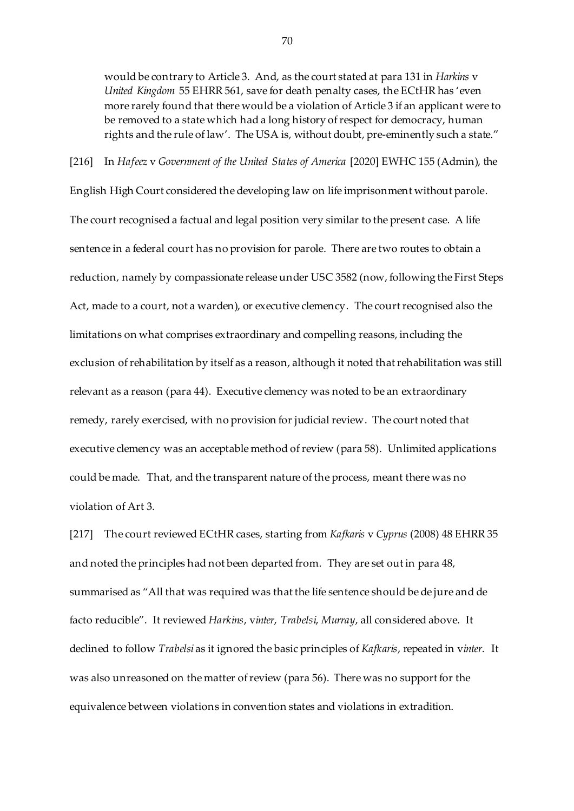would be contrary to Article 3. And, as the court stated at para 131 in *Harkins* v *United Kingdom* 55 EHRR 561, save for death penalty cases, the ECtHR has 'even more rarely found that there would be a violation of Article 3 if an applicant were to be removed to a state which had a long history of respect for democracy, human rights and the rule of law'. The USA is, without doubt, pre-eminently such a state."

[216] In *Hafeez* v *Government of the United States of America* [2020] EWHC 155 (Admin), the

English High Court considered the developing law on life imprisonment without parole. The court recognised a factual and legal position very similar to the present case. A life sentence in a federal court has no provision for parole. There are two routes to obtain a reduction, namely by compassionate release under USC 3582 (now, following the First Steps Act, made to a court, not a warden), or executive clemency. The court recognised also the limitations on what comprises extraordinary and compelling reasons, including the exclusion of rehabilitation by itself as a reason, although it noted that rehabilitation was still relevant as a reason (para 44). Executive clemency was noted to be an extraordinary remedy, rarely exercised, with no provision for judicial review. The court noted that executive clemency was an acceptable method of review (para 58). Unlimited applications could be made. That, and the transparent nature of the process, meant there was no violation of Art 3.

[217] The court reviewed ECtHR cases, starting from *Kafkaris* v *Cyprus* (2008) 48 EHRR 35 and noted the principles had not been departed from. They are set out in para 48, summarised as "All that was required was that the life sentence should be de jure and de facto reducible". It reviewed *Harkins*, v*inter*, *Trabelsi*, *Murray*, all considered above. It declined to follow *Trabelsi* as it ignored the basic principles of *Kafkaris*, repeated in v*inter*. It was also unreasoned on the matter of review (para 56). There was no support for the equivalence between violations in convention states and violations in extradition.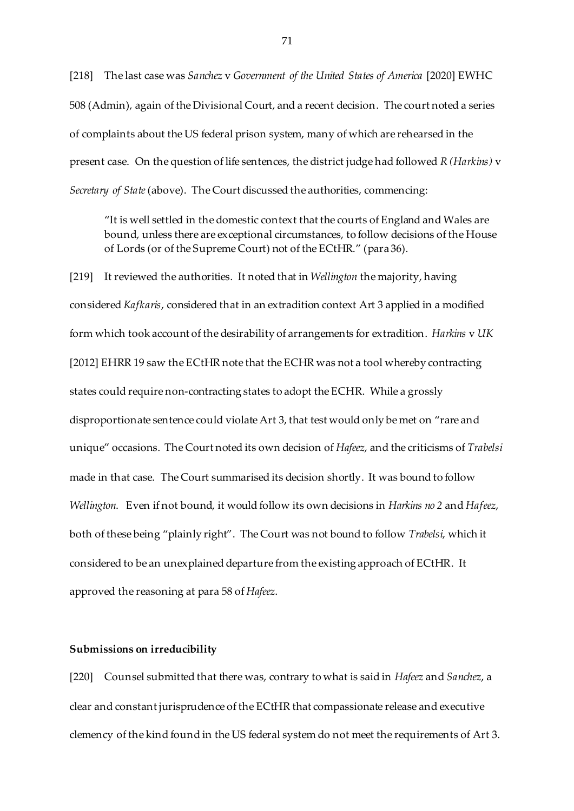[218] The last case was *Sanchez* v *Government of the United States of America* [2020] EWHC 508 (Admin), again of the Divisional Court, and a recent decision. The court noted a series of complaints about the US federal prison system, many of which are rehearsed in the present case. On the question of life sentences, the district judge had followed *R (Harkins)* v *Secretary of State*(above). The Court discussed the authorities, commencing:

"It is well settled in the domestic context that the courts of England and Wales are bound, unless there are exceptional circumstances, to follow decisions of the House of Lords (or of the Supreme Court) not of the ECtHR." (para 36).

[219] It reviewed the authorities. It noted that in *Wellington* the majority, having considered *Kafkaris*, considered that in an extradition context Art 3 applied in a modified form which took account of the desirability of arrangements for extradition. *Harkins* v *UK* [2012] EHRR 19 saw the ECtHR note that the ECHR was not a tool whereby contracting states could require non-contracting states to adopt the ECHR. While a grossly disproportionate sentence could violate Art 3, that test would only be met on "rare and unique" occasions. The Court noted its own decision of *Hafeez*, and the criticisms of *Trabelsi* made in that case. The Court summarised its decision shortly. It was bound to follow *Wellington*. Even if not bound, it would follow its own decisions in *Harkins no 2* and *Hafeez*, both of these being "plainly right". The Court was not bound to follow *Trabelsi*, which it considered to be an unexplained departure from the existing approach of ECtHR. It approved the reasoning at para 58 of *Hafeez*.

# **Submissions on irreducibility**

[220] Counsel submitted that there was, contrary to what is said in *Hafeez* and *Sanchez*, a clear and constant jurisprudence of the ECtHR that compassionate release and executive clemency of the kind found in the US federal system do not meet the requirements of Art 3.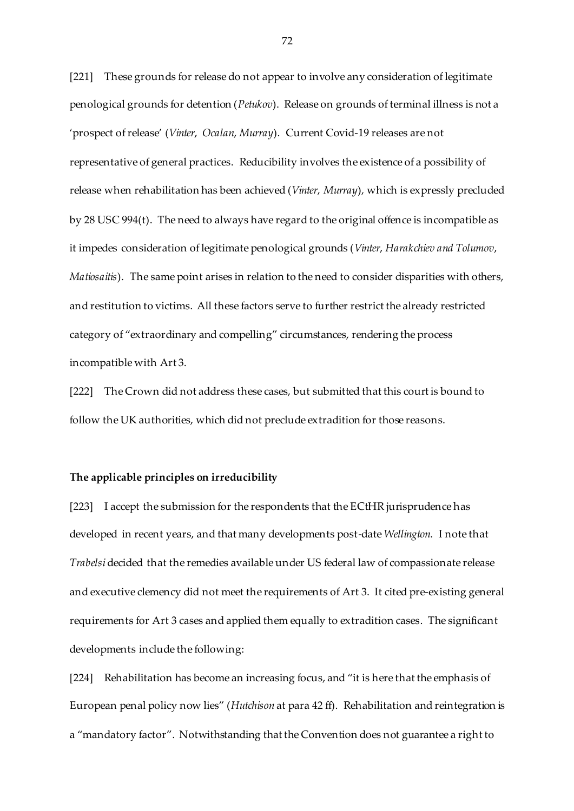[221] These grounds for release do not appear to involve any consideration of legitimate penological grounds for detention (*Petukov*). Release on grounds of terminal illness is not a 'prospect of release' (*Vinter*, *Ocalan*, *Murray*). Current Covid-19 releases are not representative of general practices. Reducibility involves the existence of a possibility of release when rehabilitation has been achieved (*Vinter*, *Murray*), which is expressly precluded by 28 USC 994(t). The need to always have regard to the original offence is incompatible as it impedes consideration of legitimate penological grounds (*Vinter*, *Harakchiev and Tolumov*, *Matiosaitis*). The same point arises in relation to the need to consider disparities with others, and restitution to victims. All these factors serve to further restrict the already restricted category of "extraordinary and compelling" circumstances, rendering the process incompatible with Art 3.

[222] The Crown did not address these cases, but submitted that this court is bound to follow the UK authorities, which did not preclude extradition for those reasons.

### **The applicable principles on irreducibility**

[223] I accept the submission for the respondents that the ECtHR jurisprudence has developed in recent years, and that many developments post-date *Wellington*. I note that *Trabelsi* decided that the remedies available under US federal law of compassionate release and executive clemency did not meet the requirements of Art 3. It cited pre-existing general requirements for Art 3 cases and applied them equally to extradition cases. The significant developments include the following:

[224] Rehabilitation has become an increasing focus, and "it is here that the emphasis of European penal policy now lies" (*Hutchison* at para 42 ff). Rehabilitation and reintegration is a "mandatory factor". Notwithstanding that the Convention does not guarantee a right to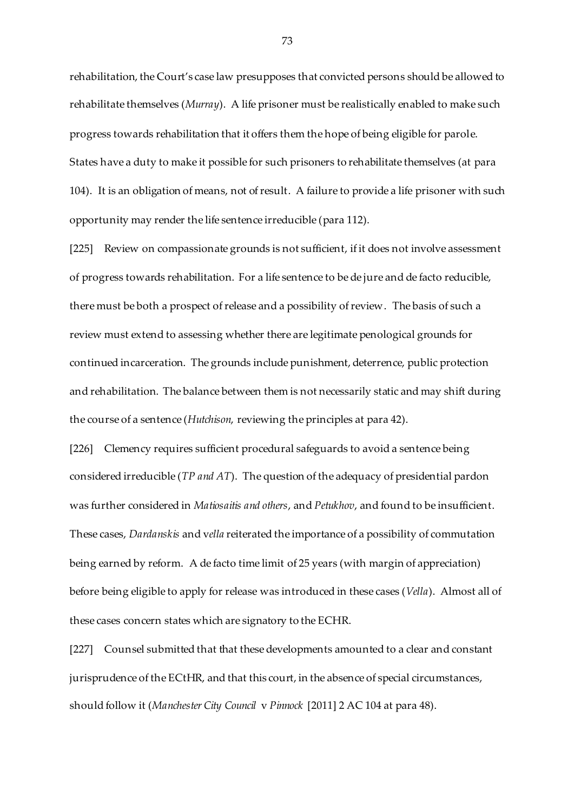rehabilitation, the Court's case law presupposes that convicted persons should be allowed to rehabilitate themselves (*Murray*). A life prisoner must be realistically enabled to make such progress towards rehabilitation that it offers them the hope of being eligible for parole. States have a duty to make it possible for such prisoners to rehabilitate themselves (at para 104). It is an obligation of means, not of result. A failure to provide a life prisoner with such opportunity may render the life sentence irreducible (para 112).

[225] Review on compassionate grounds is not sufficient, if it does not involve assessment of progress towards rehabilitation. For a life sentence to be de jure and de facto reducible, there must be both a prospect of release and a possibility of review. The basis of such a review must extend to assessing whether there are legitimate penological grounds for continued incarceration. The grounds include punishment, deterrence, public protection and rehabilitation. The balance between them is not necessarily static and may shift during the course of a sentence (*Hutchison*, reviewing the principles at para 42).

[226] Clemency requires sufficient procedural safeguards to avoid a sentence being considered irreducible (*TP and AT*). The question of the adequacy of presidential pardon was further considered in *Matiosaitis and others*, and *Petukhov*, and found to be insufficient. These cases, *Dardanskis* and v*ella* reiterated the importance of a possibility of commutation being earned by reform. A de facto time limit of 25 years (with margin of appreciation) before being eligible to apply for release was introduced in these cases (*Vella*). Almost all of these cases concern states which are signatory to the ECHR.

[227] Counsel submitted that that these developments amounted to a clear and constant jurisprudence of the ECtHR, and that this court, in the absence of special circumstances, should follow it (*Manchester City Council* v *Pinnock* [2011] 2 AC 104 at para 48).

73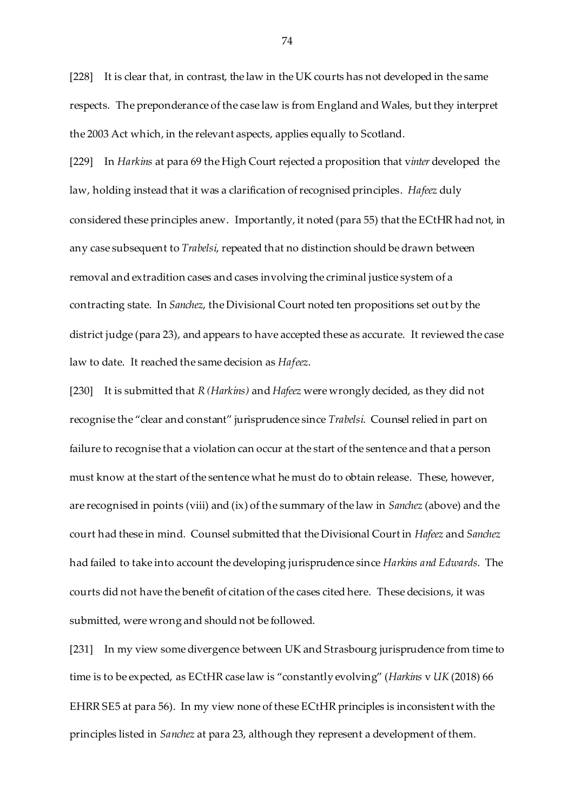[228] It is clear that, in contrast, the law in the UK courts has not developed in the same respects. The preponderance of the case law is from England and Wales, but they interpret the 2003 Act which, in the relevant aspects, applies equally to Scotland.

[229] In *Harkins* at para 69 the High Court rejected a proposition that v*inter* developed the law, holding instead that it was a clarification of recognised principles. *Hafeez* duly considered these principles anew. Importantly, it noted (para 55) that the ECtHR had not, in any case subsequent to *Trabelsi*, repeated that no distinction should be drawn between removal and extradition cases and cases involving the criminal justice system of a contracting state. In *Sanchez*, the Divisional Court noted ten propositions set out by the district judge (para 23), and appears to have accepted these as accurate. It reviewed the case law to date. It reached the same decision as *Hafeez*.

[230] It is submitted that *R (Harkins)* and *Hafeez* were wrongly decided, as they did not recognise the "clear and constant" jurisprudence since *Trabelsi*. Counsel relied in part on failure to recognise that a violation can occur at the start of the sentence and that a person must know at the start of the sentence what he must do to obtain release. These, however, are recognised in points (viii) and (ix) of the summary of the law in *Sanchez* (above) and the court had these in mind. Counsel submitted that the Divisional Court in *Hafeez* and *Sanchez* had failed to take into account the developing jurisprudence since *Harkins and Edwards*. The courts did not have the benefit of citation of the cases cited here. These decisions, it was submitted, were wrong and should not be followed.

[231] In my view some divergence between UK and Strasbourg jurisprudence from time to time is to be expected, as ECtHR case law is "constantly evolving" (*Harkins* v *UK* (2018) 66 EHRR SE5 at para 56). In my view none of these ECtHR principles is inconsistent with the principles listed in *Sanchez* at para 23, although they represent a development of them.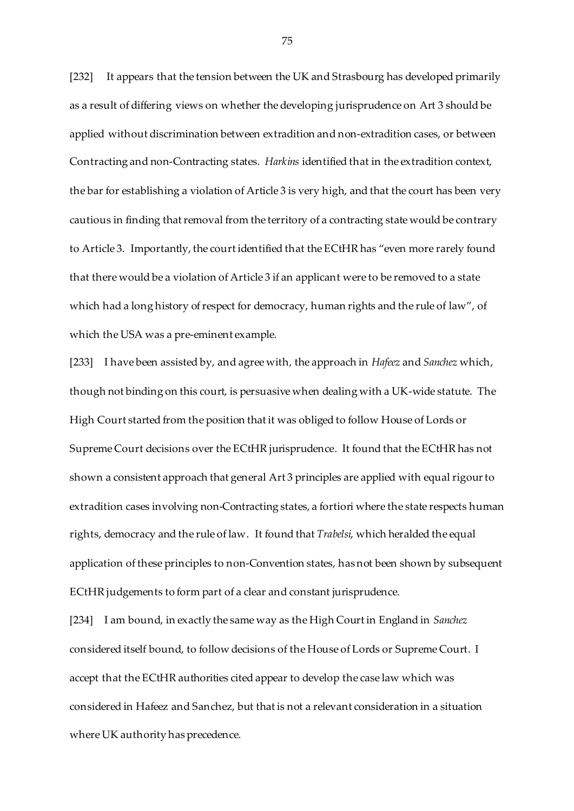[232] It appears that the tension between the UK and Strasbourg has developed primarily as a result of differing views on whether the developing jurisprudence on Art 3 should be applied without discrimination between extradition and non-extradition cases, or between Contracting and non-Contracting states. *Harkins* identified that in the extradition context, the bar for establishing a violation of Article 3 is very high, and that the court has been very cautious in finding that removal from the territory of a contracting state would be contrary to Article 3. Importantly, the court identified that the ECtHR has "even more rarely found that there would be a violation of Article 3 if an applicant were to be removed to a state which had a long history of respect for democracy, human rights and the rule of law", of which the USA was a pre-eminent example.

[233] I have been assisted by, and agree with, the approach in *Hafeez* and *Sanchez* which, though not binding on this court, is persuasive when dealing with a UK-wide statute. The High Court started from the position that it was obliged to follow House of Lords or Supreme Court decisions over the ECtHR jurisprudence. It found that the ECtHR has not shown a consistent approach that general Art 3 principles are applied with equal rigour to extradition cases involving non-Contracting states, a fortiori where the state respects human rights, democracy and the rule of law. It found that *Trabelsi*, which heralded the equal application of these principles to non-Convention states, has not been shown by subsequent ECtHR judgements to form part of a clear and constant jurisprudence.

[234] I am bound, in exactly the same way as the High Court in England in *Sanchez* considered itself bound, to follow decisions of the House of Lords or Supreme Court. I accept that the ECtHR authorities cited appear to develop the case law which was considered in Hafeez and Sanchez, but that is not a relevant consideration in a situation where UK authority has precedence.

75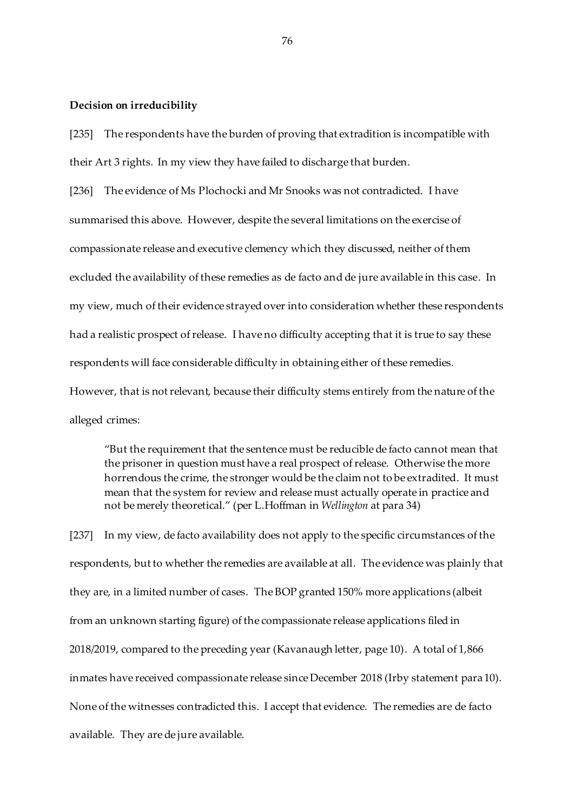## **Decision on irreducibility**

[235] The respondents have the burden of proving that extradition is incompatible with their Art 3 rights. In my view they have failed to discharge that burden.

[236] The evidence of Ms Plochocki and Mr Snooks was not contradicted. I have summarised this above. However, despite the several limitations on the exercise of compassionate release and executive clemency which they discussed, neither of them excluded the availability of these remedies as de facto and de jure available in this case. In my view, much of their evidence strayed over into consideration whether these respondents had a realistic prospect of release. I have no difficulty accepting that it is true to say these respondents will face considerable difficulty in obtaining either of these remedies. However, that is not relevant, because their difficulty stems entirely from the nature of the alleged crimes:

"But the requirement that the sentence must be reducible de facto cannot mean that the prisoner in question must have a real prospect of release. Otherwise the more horrendous the crime, the stronger would be the claim not to be extradited. It must mean that the system for review and release must actually operate in practice and not be merely theoretical." (per L.Hoffman in *Wellington* at para 34)

[237] In my view, de facto availability does not apply to the specific circumstances of the respondents, but to whether the remedies are available at all. The evidence was plainly that they are, in a limited number of cases. The BOP granted 150% more applications (albeit from an unknown starting figure) of the compassionate release applications filed in 2018/2019, compared to the preceding year (Kavanaugh letter, page 10). A total of 1,866 inmates have received compassionate release since December 2018 (Irby statement para 10). None of the witnesses contradicted this. I accept that evidence. The remedies are de facto available. They are de jure available.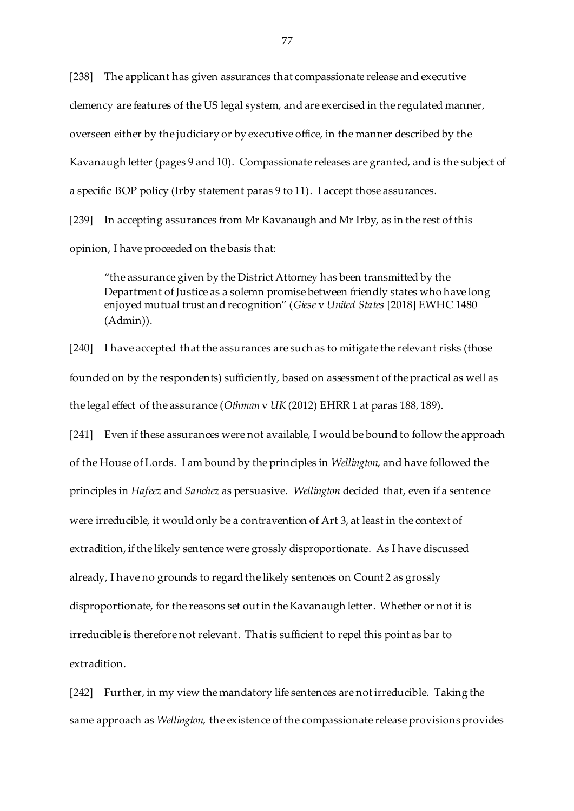[238] The applicant has given assurances that compassionate release and executive clemency are features of the US legal system, and are exercised in the regulated manner, overseen either by the judiciary or by executive office, in the manner described by the Kavanaugh letter (pages 9 and 10). Compassionate releases are granted, and is the subject of a specific BOP policy (Irby statement paras 9 to 11). I accept those assurances.

[239] In accepting assurances from Mr Kavanaugh and Mr Irby, as in the rest of this opinion, I have proceeded on the basis that:

"the assurance given by the District Attorney has been transmitted by the Department of Justice as a solemn promise between friendly states who have long enjoyed mutual trust and recognition" (*Giese* v *United States* [2018] EWHC 1480 (Admin)).

[240] I have accepted that the assurances are such as to mitigate the relevant risks (those founded on by the respondents) sufficiently, based on assessment of the practical as well as the legal effect of the assurance (*Othman* v *UK* (2012) EHRR 1 at paras 188, 189).

[241] Even if these assurances were not available, I would be bound to follow the approach of the House of Lords. I am bound by the principles in *Wellington*, and have followed the principles in *Hafeez* and *Sanchez* as persuasive. *Wellington* decided that, even if a sentence were irreducible, it would only be a contravention of Art 3, at least in the context of extradition, if the likely sentence were grossly disproportionate. As I have discussed already, I have no grounds to regard the likely sentences on Count 2 as grossly disproportionate, for the reasons set out in the Kavanaugh letter. Whether or not it is irreducible is therefore not relevant. That is sufficient to repel this point as bar to extradition.

[242] Further, in my view the mandatory life sentences are not irreducible. Taking the same approach as *Wellington*, the existence of the compassionate release provisions provides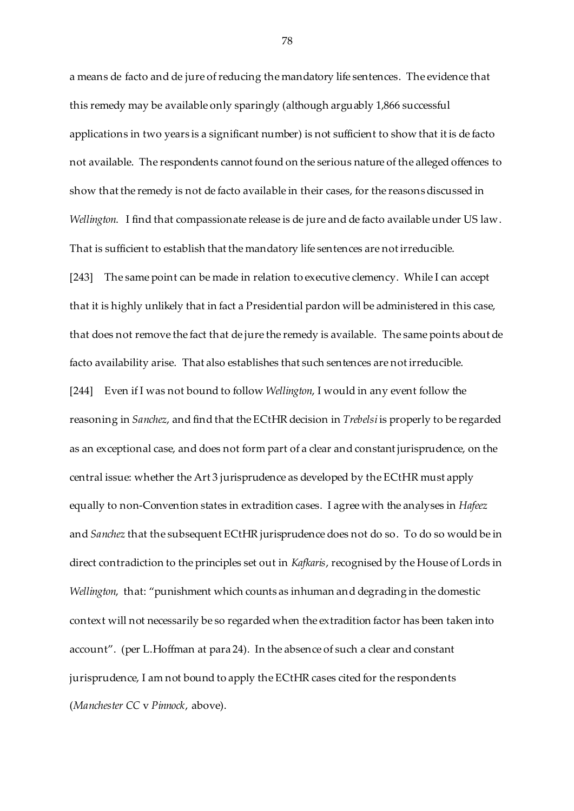a means de facto and de jure of reducing the mandatory life sentences. The evidence that this remedy may be available only sparingly (although arguably 1,866 successful applications in two years is a significant number) is not sufficient to show that it is de facto not available. The respondents cannot found on the serious nature of the alleged offences to show that the remedy is not de facto available in their cases, for the reasons discussed in *Wellington*. I find that compassionate release is de jure and de facto available under US law. That is sufficient to establish that the mandatory life sentences are not irreducible.

[243] The same point can be made in relation to executive clemency. While I can accept that it is highly unlikely that in fact a Presidential pardon will be administered in this case, that does not remove the fact that de jure the remedy is available. The same points about de facto availability arise. That also establishes that such sentences are not irreducible. [244] Even if I was not bound to follow *Wellington*, I would in any event follow the reasoning in *Sanchez*, and find that the ECtHR decision in *Trebelsi* is properly to be regarded as an exceptional case, and does not form part of a clear and constant jurisprudence, on the central issue: whether the Art 3 jurisprudence as developed by the ECtHR must apply equally to non-Convention states in extradition cases. I agree with the analyses in *Hafeez* and *Sanchez* that the subsequent ECtHR jurisprudence does not do so. To do so would be in direct contradiction to the principles set out in *Kafkaris*, recognised by the House of Lords in *Wellington*, that: "punishment which counts as inhuman and degrading in the domestic context will not necessarily be so regarded when the extradition factor has been taken into account". (per L.Hoffman at para 24). In the absence of such a clear and constant jurisprudence, I am not bound to apply the ECtHR cases cited for the respondents (*Manchester CC* v *Pinnock*, above).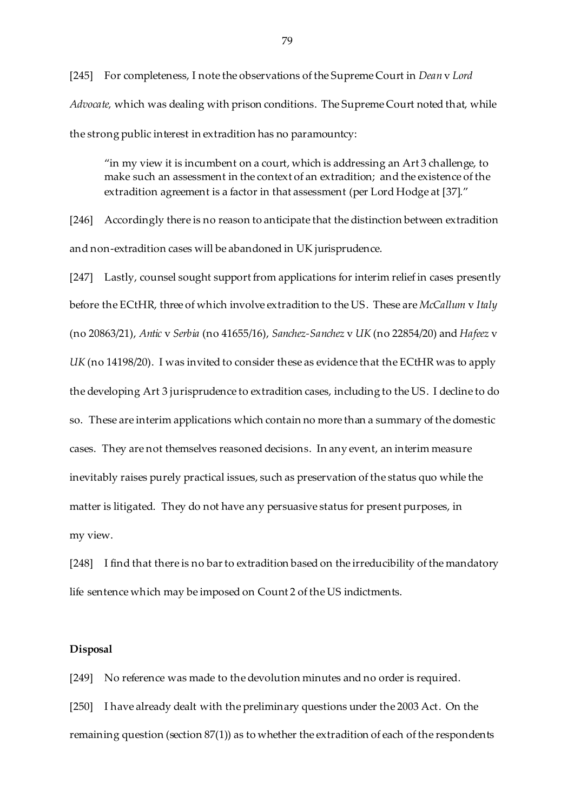[245] For completeness, I note the observations of the Supreme Court in *Dean* v *Lord Advocate,* which was dealing with prison conditions. The Supreme Court noted that, while the strong public interest in extradition has no paramountcy:

"in my view it is incumbent on a court, which is addressing an Art 3 challenge, to make such an assessment in the context of an extradition; and the existence of the extradition agreement is a factor in that assessment (per Lord Hodge at [37]."

[246] Accordingly there is no reason to anticipate that the distinction between extradition and non-extradition cases will be abandoned in UK jurisprudence.

[247] Lastly, counsel sought support from applications for interim relief in cases presently before the ECtHR, three of which involve extradition to the US. These are *McCallum* v *Italy* (no 20863/21), *Antic* v *Serbia* (no 41655/16), *Sanchez-Sanchez* v *UK* (no 22854/20) and *Hafeez* v *UK* (no 14198/20). I was invited to consider these as evidence that the ECtHR was to apply the developing Art 3 jurisprudence to extradition cases, including to the US. I decline to do so. These are interim applications which contain no more than a summary of the domestic cases. They are not themselves reasoned decisions. In any event, an interim measure inevitably raises purely practical issues, such as preservation of the status quo while the matter is litigated. They do not have any persuasive status for present purposes, in my view.

[248] I find that there is no bar to extradition based on the irreducibility of the mandatory life sentence which may be imposed on Count 2 of the US indictments.

## **Disposal**

[249] No reference was made to the devolution minutes and no order is required. [250] I have already dealt with the preliminary questions under the 2003 Act. On the remaining question (section 87(1)) as to whether the extradition of each of the respondents